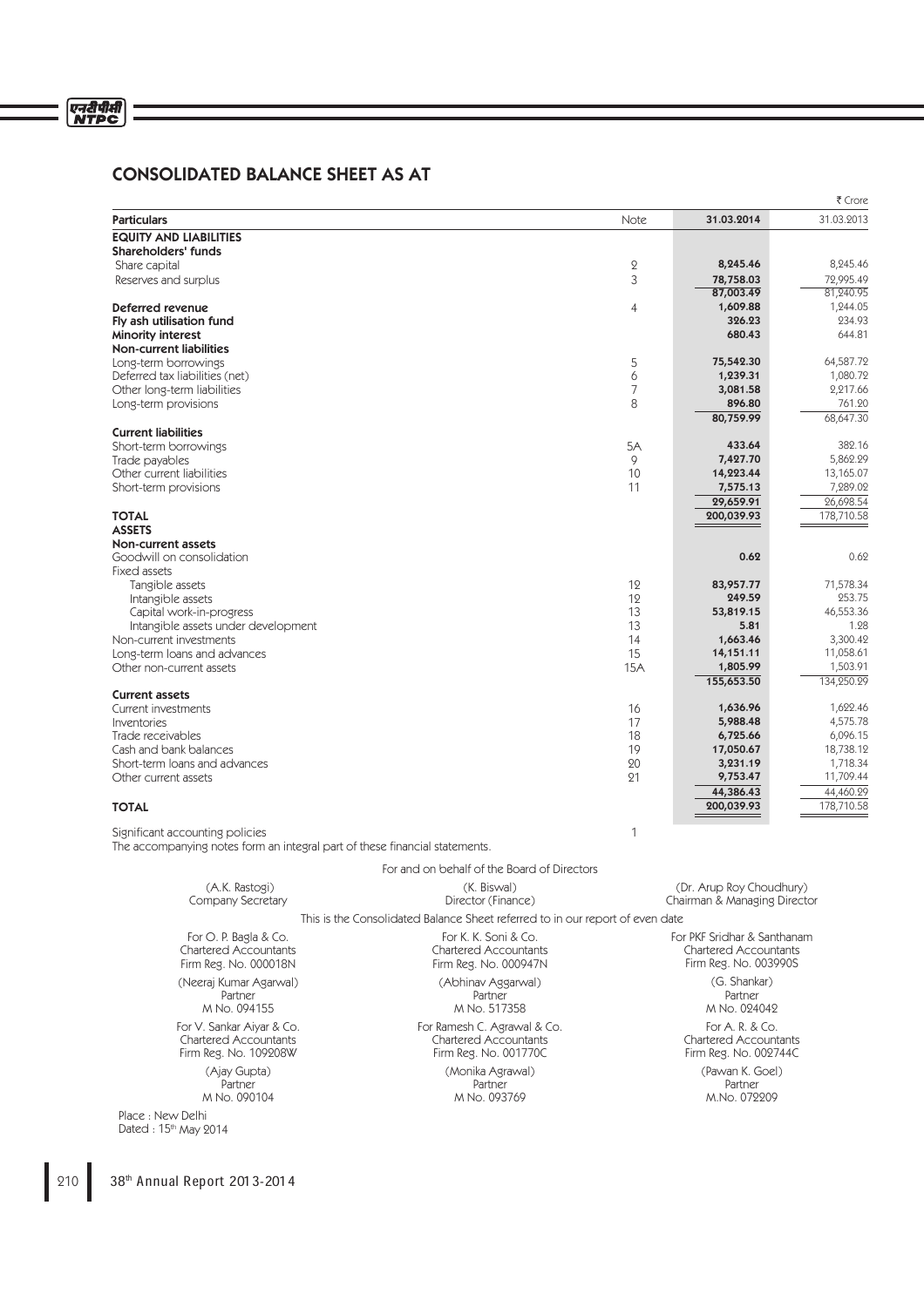# CONSOLIDATED BALANCE SHEET AS AT

|                                                                                                                |                                                                               |             |                                                 | ₹ Crore            |
|----------------------------------------------------------------------------------------------------------------|-------------------------------------------------------------------------------|-------------|-------------------------------------------------|--------------------|
| <b>Particulars</b>                                                                                             |                                                                               | <b>Note</b> | 31.03.2014                                      | 31.03.2013         |
| <b>EQUITY AND LIABILITIES</b>                                                                                  |                                                                               |             |                                                 |                    |
| Shareholders' funds                                                                                            |                                                                               |             |                                                 |                    |
| Share capital                                                                                                  |                                                                               | $\mathbf 2$ | 8,245.46                                        | 8,245.46           |
| Reserves and surplus                                                                                           |                                                                               | 3           | 78,758.03                                       | 72,995.49          |
|                                                                                                                |                                                                               |             | 87,003.49                                       | 81,240.95          |
| Deferred revenue                                                                                               |                                                                               | 4           | 1,609.88<br>326.23                              | 1,244.05<br>234.93 |
| Fly ash utilisation fund<br>Minority interest                                                                  |                                                                               |             | 680.43                                          | 644.81             |
| <b>Non-current liabilities</b>                                                                                 |                                                                               |             |                                                 |                    |
| Long-term borrowings                                                                                           |                                                                               | 5           | 75,542.30                                       | 64,587.72          |
| Deferred tax liabilities (net)                                                                                 |                                                                               | 6           | 1,239.31                                        | 1,080.72           |
| Other long-term liabilities                                                                                    |                                                                               | 7           | 3,081.58                                        | 2,217.66           |
| Long-term provisions                                                                                           |                                                                               | 8           | 896.80                                          | 761.20             |
|                                                                                                                |                                                                               |             | 80,759.99                                       | 68,647.30          |
| <b>Current liabilities</b>                                                                                     |                                                                               |             |                                                 |                    |
| Short-term borrowings                                                                                          |                                                                               | 5A          | 433.64                                          | 382.16             |
| Trade payables                                                                                                 |                                                                               | 9           | 7,427.70                                        | 5,862.29           |
| Other current liabilities                                                                                      |                                                                               | 10          | 14,223.44                                       | 13,165.07          |
| Short-term provisions                                                                                          |                                                                               | 11          | 7,575.13                                        | 7,289.02           |
|                                                                                                                |                                                                               |             | 29,659.91                                       | 26,698.54          |
| <b>TOTAL</b>                                                                                                   |                                                                               |             | 200,039.93                                      | 178,710.58         |
| <b>ASSETS</b>                                                                                                  |                                                                               |             |                                                 |                    |
| Non-current assets<br>Goodwill on consolidation                                                                |                                                                               |             | 0.62                                            | 0.62               |
| Fixed assets                                                                                                   |                                                                               |             |                                                 |                    |
| Tangible assets                                                                                                |                                                                               | 12          | 83,957.77                                       | 71,578.34          |
| Intangible assets                                                                                              |                                                                               | 12          | 249.59                                          | 253.75             |
| Capital work-in-progress                                                                                       |                                                                               | 13          | 53,819.15                                       | 46,553.36          |
| Intangible assets under development                                                                            |                                                                               | 13          | 5.81                                            | 1.28               |
| Non-current investments                                                                                        |                                                                               | 14          | 1,663.46                                        | 3,300.42           |
| Long-term loans and advances                                                                                   |                                                                               | 15          | 14,151.11                                       | 11,058.61          |
| Other non-current assets                                                                                       |                                                                               | 15A         | 1,805.99                                        | 1,503.91           |
|                                                                                                                |                                                                               |             | 155,653.50                                      | 134,250.29         |
| <b>Current assets</b>                                                                                          |                                                                               |             |                                                 |                    |
| Current investments                                                                                            |                                                                               | 16          | 1,636.96                                        | 1,622.46           |
| Inventories                                                                                                    |                                                                               | 17          | 5,988.48                                        | 4,575.78           |
| Trade receivables                                                                                              |                                                                               | 18          | 6,725.66                                        | 6,096.15           |
| Cash and bank balances                                                                                         |                                                                               | 19          | 17,050.67                                       | 18,738.12          |
| Short-term loans and advances                                                                                  |                                                                               | 20          | 3,231.19                                        | 1,718.34           |
| Other current assets                                                                                           |                                                                               | 21          | 9,753.47                                        | 11,709.44          |
|                                                                                                                |                                                                               |             | 44,386.43                                       | 44,460.29          |
| <b>TOTAL</b>                                                                                                   |                                                                               |             | 200,039.93                                      | 178,710.58         |
| Significant accounting policies<br>The accompanying notes form an integral part of these financial statements. |                                                                               | 1           |                                                 |                    |
|                                                                                                                | For and on behalf of the Board of Directors                                   |             |                                                 |                    |
| (A.K. Rastogi)                                                                                                 | (K. Biswal)                                                                   |             | (Dr. Arup Roy Choudhury)                        |                    |
| Company Secretary                                                                                              | Director (Finance)                                                            |             | Chairman & Managing Director                    |                    |
|                                                                                                                | This is the Consolidated Balance Sheet referred to in our report of even date |             |                                                 |                    |
| For O. P. Bagla & Co.                                                                                          | For K. K. Soni & Co.                                                          |             | For PKF Sridhar & Santhanam                     |                    |
| <b>Chartered Accountants</b>                                                                                   | <b>Chartered Accountants</b>                                                  |             | <b>Chartered Accountants</b>                    |                    |
| Firm Reg. No. 000018N                                                                                          | Firm Reg. No. 000947N                                                         |             | Firm Reg. No. 003990S                           |                    |
| (Neeraj Kumar Agarwal)                                                                                         | (Abhinav Aggarwal)                                                            |             | (G. Shankar)                                    |                    |
| Partner                                                                                                        | Partner                                                                       |             | Partner                                         |                    |
| M No. 094155                                                                                                   | M No. 517358                                                                  |             | M No. 024042                                    |                    |
| For V. Sankar Aiyar & Co.<br><b>Chartered Accountants</b>                                                      | For Ramesh C. Agrawal & Co.<br><b>Chartered Accountants</b>                   |             | For A. R. & Co.<br><b>Chartered Accountants</b> |                    |

Firm Reg. No. 001770C

(Monika Agrawal) Partner M No. 093769

Firm Reg. No. 002744C

(Pawan K. Goel) Partner M.No. 072209

Partner M No. 090104

Firm Reg. No. 109208W

(Ajay Gupta)

Place : New Delhi Dated : 15th May 2014

210 38<sup>th</sup> Annual Report 2013-2014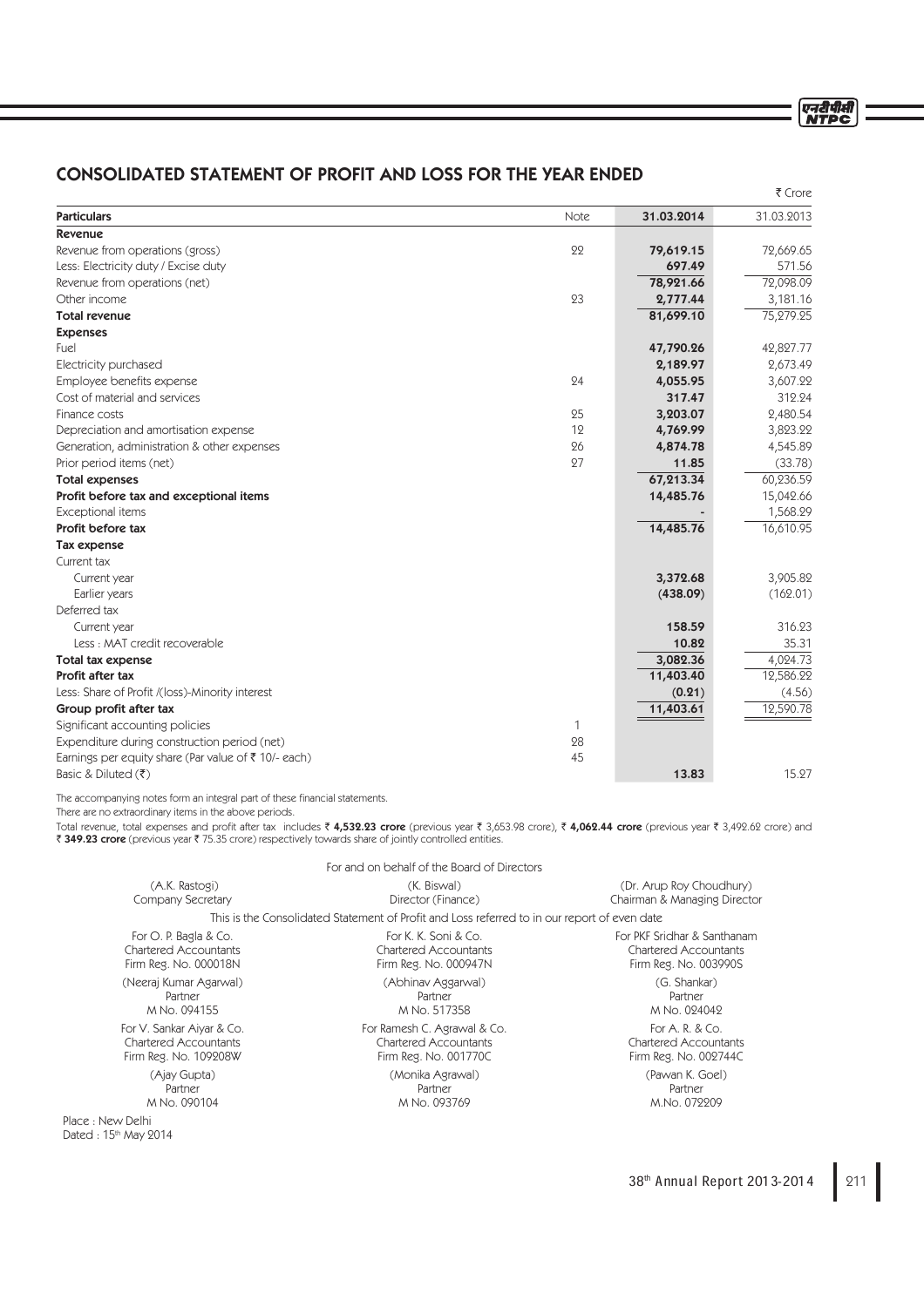# CONSOLIDATED STATEMENT OF PROFIT AND LOSS FOR THE YEAR ENDED

|                                                                 |      |            | ₹ Crore    |
|-----------------------------------------------------------------|------|------------|------------|
| <b>Particulars</b>                                              | Note | 31.03.2014 | 31.03.2013 |
| <b>Revenue</b>                                                  |      |            |            |
| Revenue from operations (gross)                                 | 22   | 79,619.15  | 72,669.65  |
| Less: Electricity duty / Excise duty                            |      | 697.49     | 571.56     |
| Revenue from operations (net)                                   |      | 78,921.66  | 72,098.09  |
| Other income                                                    | 23   | 2,777.44   | 3,181.16   |
| <b>Total revenue</b>                                            |      | 81,699.10  | 75,279.25  |
| <b>Expenses</b>                                                 |      |            |            |
| Fuel                                                            |      | 47,790.26  | 42,827.77  |
| Electricity purchased                                           |      | 2,189.97   | 2,673.49   |
| Employee benefits expense                                       | 24   | 4,055.95   | 3,607.22   |
| Cost of material and services                                   |      | 317.47     | 312.24     |
| Finance costs                                                   | 25   | 3,203.07   | 2,480.54   |
| Depreciation and amortisation expense                           | 12   | 4,769.99   | 3,823.22   |
| Generation, administration & other expenses                     | 26   | 4,874.78   | 4,545.89   |
| Prior period items (net)                                        | 27   | 11.85      | (33.78)    |
| <b>Total expenses</b>                                           |      | 67,213.34  | 60,236.59  |
| Profit before tax and exceptional items                         |      | 14,485.76  | 15,042.66  |
| Exceptional items                                               |      |            | 1,568.29   |
| Profit before tax                                               |      | 14,485.76  | 16,610.95  |
| <b>Tax expense</b>                                              |      |            |            |
| Current tax                                                     |      |            |            |
| Current year                                                    |      | 3,372.68   | 3,905.82   |
| Earlier years                                                   |      | (438.09)   | (162.01)   |
| Deferred tax                                                    |      |            |            |
| Current year                                                    |      | 158.59     | 316.23     |
| Less: MAT credit recoverable                                    |      | 10.82      | 35.31      |
| Total tax expense                                               |      | 3,082.36   | 4,024.73   |
| Profit after tax                                                |      | 11,403.40  | 12,586.22  |
| Less: Share of Profit /(loss)-Minority interest                 |      | (0.21)     | (4.56)     |
| Group profit after tax                                          |      | 11,403.61  | 12,590.78  |
| Significant accounting policies                                 | 1    |            |            |
| Expenditure during construction period (net)                    | 28   |            |            |
| Earnings per equity share (Par value of $\bar{\tau}$ 10/- each) | 45   |            |            |
| Basic & Diluted $( ₹)$                                          |      | 13.83      | 15.27      |

The accompanying notes form an integral part of these financial statements.

There are no extraordinary items in the above periods.

Total revenue, total expenses and profit after tax includes  $\bar{\epsilon}$  4,532.23 crore (previous year  $\bar{\epsilon}$  3,653.98 crore),  $\bar{\epsilon}$  4,062.44 crore (previous year  $\bar{\epsilon}$  3,492.62 crore) and ` 349.23 crore (previous year ` 75.35 crore) respectively towards share of jointly controlled entities.

|                              | For and on behalf of the Board of Directors                                                  |                              |
|------------------------------|----------------------------------------------------------------------------------------------|------------------------------|
| (A.K. Rastogi)               | (K. Biswal)                                                                                  | (Dr. Arup Roy Choudhury)     |
| Company Secretary            | Director (Finance)                                                                           | Chairman & Managing Director |
|                              | This is the Consolidated Statement of Profit and Loss referred to in our report of even date |                              |
| For O. P. Bagla & Co.        | For K. K. Soni & Co.                                                                         | For PKF Sridhar & Santhanam  |
| Chartered Accountants        | Chartered Accountants                                                                        | Chartered Accountants        |
| Firm Reg. No. 000018N        | Firm Reg. No. 000947N                                                                        | Firm Reg. No. 003990S        |
| (Neeraj Kumar Agarwal)       | (Abhinav Aggarwal)                                                                           | (G. Shankar)                 |
| Partner                      | Partner                                                                                      | Partner                      |
| M No. 094155                 | M No. 517358                                                                                 | M No. 024042                 |
| For V. Sankar Aiyar & Co.    | For Ramesh C. Agrawal & Co.                                                                  | For A. R. & Co.              |
| <b>Chartered Accountants</b> | Chartered Accountants                                                                        | <b>Chartered Accountants</b> |
| Firm Reg. No. 109208W        | Firm Reg. No. 001770C                                                                        | Firm Reg. No. 002744C        |
| (Ajay Gupta)                 | (Monika Agrawal)                                                                             | (Pawan K. Goel)              |
| Partner                      | Partner                                                                                      | Partner                      |
| M No. 090104                 | M No. 093769                                                                                 | M.No. 072209                 |
| v Delhi                      |                                                                                              |                              |

Place : New Dated : 15th May 2014 एनदीपीसी<br>NTPC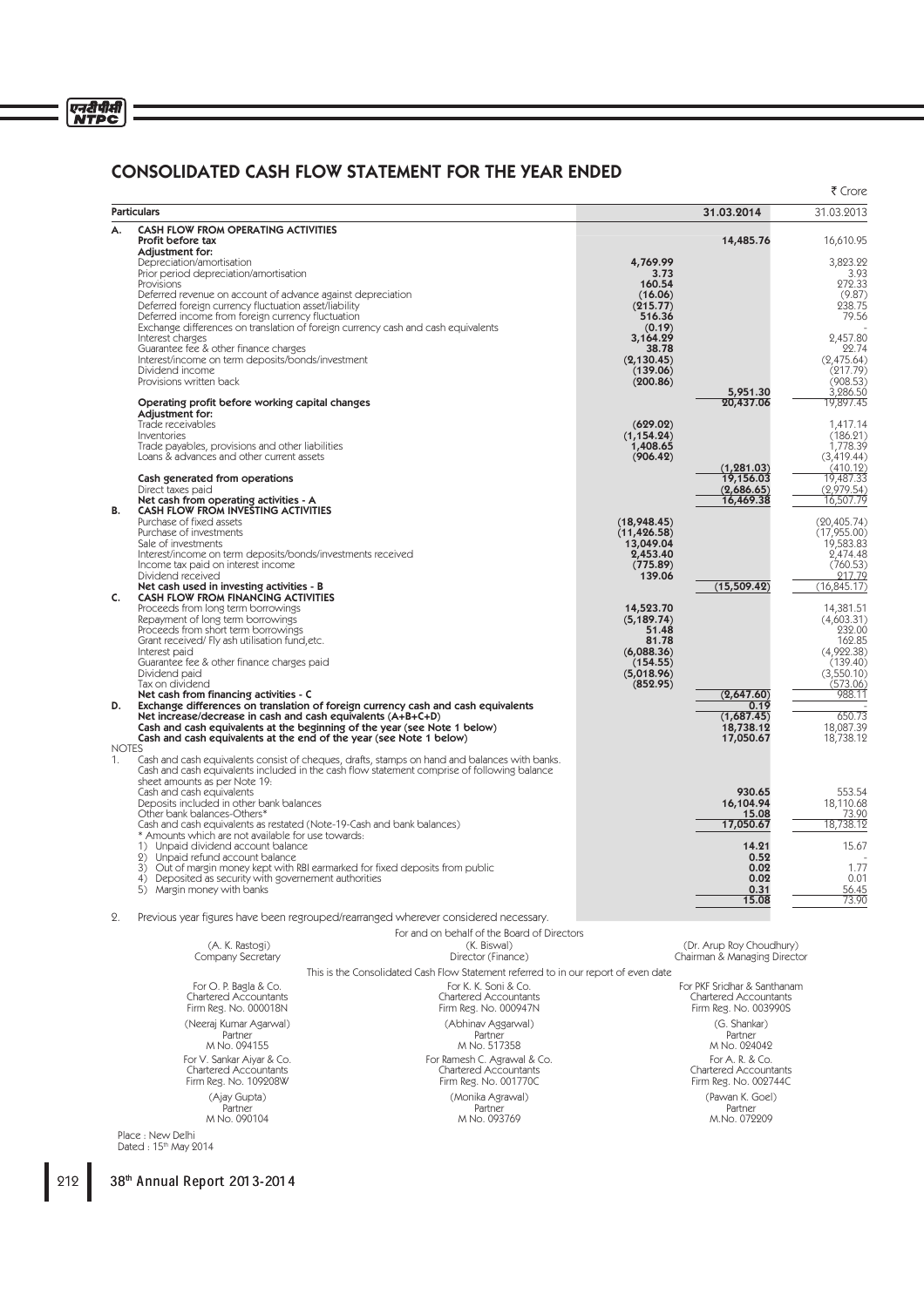# एनदीपीसी<br>NTPC

# CONSOLIDATED CASH FLOW STATEMENT FOR THE YEAR ENDED

|              |                                                                                                                              |                                                                                               |                           |                                                          | ₹ Crore                      |
|--------------|------------------------------------------------------------------------------------------------------------------------------|-----------------------------------------------------------------------------------------------|---------------------------|----------------------------------------------------------|------------------------------|
|              | <b>Particulars</b>                                                                                                           |                                                                                               |                           | 31.03.2014                                               | 31.03.2013                   |
| А.           | <b>CASH FLOW FROM OPERATING ACTIVITIES</b>                                                                                   |                                                                                               |                           |                                                          |                              |
|              | Profit before tax<br>Adjustment for:                                                                                         |                                                                                               |                           | 14,485.76                                                | 16,610.95                    |
|              | Depreciation/amortisation<br>Prior period depreciation/amortisation                                                          |                                                                                               | 4,769.99<br>3.73          |                                                          | 3,823.22<br>3.93             |
|              | Provisions                                                                                                                   |                                                                                               | 160.54                    |                                                          | 272.33                       |
|              | Deferred revenue on account of advance against depreciation<br>Deferred foreign currency fluctuation asset/liability         |                                                                                               | (16.06)<br>(215.77)       |                                                          | (9.87)<br>238.75             |
|              | Deferred income from foreign currency fluctuation                                                                            |                                                                                               | 516.36                    |                                                          | 79.56                        |
|              | Interest charges                                                                                                             | Exchange differences on translation of foreign currency cash and cash equivalents             | (0.19)<br>3,164.29        |                                                          | 2,457.80                     |
|              | Guarantee fee & other finance charges                                                                                        |                                                                                               | 38.78                     |                                                          | 22.74                        |
|              | Interest/income on term deposits/bonds/investment<br>Dividend income                                                         |                                                                                               | (2, 130.45)<br>(139.06)   |                                                          | (2,475.64)<br>(217.79)       |
|              | Provisions written back                                                                                                      |                                                                                               | (200.86)                  |                                                          | (908.53)                     |
|              | Operating profit before working capital changes                                                                              |                                                                                               |                           | 5,951.30<br>20,437.06                                    | 3,286.50<br>19,897.45        |
|              | Adjustment for:<br>Trade receivables                                                                                         |                                                                                               | (629.02)                  |                                                          | 1,417.14                     |
|              | Inventories                                                                                                                  |                                                                                               | (1, 154.24)               |                                                          | (186.21)                     |
|              | Trade payables, provisions and other liabilities<br>Loans & advances and other current assets                                |                                                                                               | 1,408.65<br>(906.42)      |                                                          | 1,778.39<br>(3,419.44)       |
|              |                                                                                                                              |                                                                                               |                           | (1, 281.03)                                              | $\frac{(410.12)}{19,487.33}$ |
|              | Cash generated from operations<br>Direct taxes paid                                                                          |                                                                                               |                           | 19,156.03<br>(2,686.65)                                  | (2,979.54)                   |
| В.           | Net cash from operating activities - A                                                                                       |                                                                                               |                           | 16,469.38                                                | 16,507.79                    |
|              | CASH FLOW FROM INVESTING ACTIVITIES<br>Purchase of fixed assets                                                              |                                                                                               | (18, 948.45)              |                                                          | (20, 405.74)                 |
|              | Purchase of investments<br>Sale of investments                                                                               |                                                                                               | (11, 426.58)<br>13,049.04 |                                                          | (17,955.00)<br>19,583.83     |
|              | Interest/income on term deposits/bonds/investments received                                                                  |                                                                                               | 2,453.40                  |                                                          | 2,474.48                     |
|              | Income tax paid on interest income<br>Dividend received                                                                      |                                                                                               | (775.89)<br>139.06        |                                                          | (760.53)<br>217.79           |
|              | Net cash used in investing activities - B                                                                                    |                                                                                               |                           | (15,509.42)                                              | (16, 845.17)                 |
| C.           | CASH FLOW FROM FINANCING ACTIVITIES<br>Proceeds from long term borrowings                                                    |                                                                                               | 14,523.70                 |                                                          | 14,381.51                    |
|              | Repayment of long term borrowings<br>Proceeds from short term borrowings                                                     |                                                                                               | (5.189.74)<br>51.48       |                                                          | (4.603.31)<br>232.00         |
|              | Grant received/ Fly ash utilisation fund, etc.                                                                               |                                                                                               | 81.78                     |                                                          | 162.85                       |
|              | Interest paid<br>Guarantee fee & other finance charges paid                                                                  |                                                                                               | (6,088.36)<br>(154.55)    |                                                          | (4,922.38)<br>(139.40)       |
|              | Dividend paid                                                                                                                |                                                                                               | (5,018.96)                |                                                          | (3,550.10)                   |
|              | Tax on dividend<br>Net cash from financing activities - C                                                                    |                                                                                               | (852.95)                  | (2,647.60)                                               | (573.06)<br>988.11           |
| D.           |                                                                                                                              | Exchange differences on translation of foreign currency cash and cash equivalents             |                           | 0.19                                                     | 650.73                       |
|              | Net increase/decrease in cash and cash equivalents (A+B+C+D)                                                                 | Cash and cash equivalents at the beginning of the year (see Note 1 below)                     |                           | (1,687.45)<br>18,738.12                                  | 18,087.39                    |
| <b>NOTES</b> | Cash and cash equivalents at the end of the year (see Note 1 below)                                                          |                                                                                               |                           | 17,050.67                                                | 18,738.12                    |
| 1.           |                                                                                                                              | Cash and cash equivalents consist of cheques, drafts, stamps on hand and balances with banks. |                           |                                                          |                              |
|              | sheet amounts as per Note 19:                                                                                                | Cash and cash equivalents included in the cash flow statement comprise of following balance   |                           |                                                          |                              |
|              | Cash and cash equivalents                                                                                                    |                                                                                               |                           | 930.65                                                   | 553.54                       |
|              | Deposits included in other bank balances<br>Other bank balances-Others*                                                      |                                                                                               |                           | 16,104.94<br>15.08                                       | 18,110.68<br>73.90           |
|              | Cash and cash equivalents as restated (Note-19-Cash and bank balances)<br>* Amounts which are not available for use towards: |                                                                                               |                           | 17,050.67                                                | 18,738.12                    |
|              | 1) Unpaid dividend account balance                                                                                           |                                                                                               |                           | 14.21                                                    | 15.67                        |
|              | 2) Unpaid refund account balance                                                                                             | 3) Out of margin money kept with RBI earmarked for fixed deposits from public                 |                           | 0.52<br>0.02                                             | 1.77                         |
|              | 4) Deposited as security with governement authorities                                                                        |                                                                                               |                           | 0.02<br>0.31                                             | 0.01<br>56.45                |
|              | 5) Margin money with banks                                                                                                   |                                                                                               |                           | 15.08                                                    | 73.90                        |
| 2.           |                                                                                                                              | Previous year figures have been regrouped/rearranged wherever considered necessary.           |                           |                                                          |                              |
|              |                                                                                                                              | For and on behalf of the Board of Directors                                                   |                           |                                                          |                              |
|              | (A. K. Rastogi)<br>Company Secretary                                                                                         | (K. Biswal)<br>Director (Finance)                                                             |                           | (Dr. Arup Roy Choudhury)<br>Chairman & Managing Director |                              |
|              |                                                                                                                              | This is the Consolidated Cash Flow Statement referred to in our report of even date           |                           |                                                          |                              |
|              | For O. P. Bagla & Co.                                                                                                        | For K. K. Soni & Co.                                                                          |                           | For PKF Sridhar & Santhanam                              |                              |
|              | <b>Chartered Accountants</b><br>Firm Reg. No. 000018N                                                                        | <b>Chartered Accountants</b><br>Firm Reg. No. 000947N                                         |                           | <b>Chartered Accountants</b><br>Firm Reg. No. 003990S    |                              |
|              | (Neeraj Kumar Agarwal)                                                                                                       | (Abhinav Aggarwal)                                                                            |                           | (G. Shankar)                                             |                              |
|              | Partner<br>M No. 094155                                                                                                      | Partner<br>M No. 517358                                                                       |                           | Partner<br>M No. 024042                                  |                              |
|              | For V. Sankar Aiyar & Co.                                                                                                    | For Ramesh C. Agrawal & Co.                                                                   |                           | For A. R. & Co.                                          |                              |
|              | Chartered Accountants                                                                                                        | Chartered Accountants                                                                         |                           | <b>Chartered Accountants</b>                             |                              |
|              | Firm Reg. No. 109208W                                                                                                        | Firm Reg. No. 001770C                                                                         |                           | Firm Reg. No. 002744C                                    |                              |
|              | (Ajay Gupta)<br>Partner                                                                                                      | (Monika Agrawal)<br>Partner                                                                   |                           | (Pawan K. Goel)<br>Partner                               |                              |
|              | M No. 090104                                                                                                                 | M No. 093769                                                                                  |                           | M.No. 072209                                             |                              |
|              | Dalh                                                                                                                         |                                                                                               |                           |                                                          |                              |

Place : New Delhi<br>Dated : 15<sup>th</sup> May 2014

212 38<sup>th</sup> Annual Report 2013-2014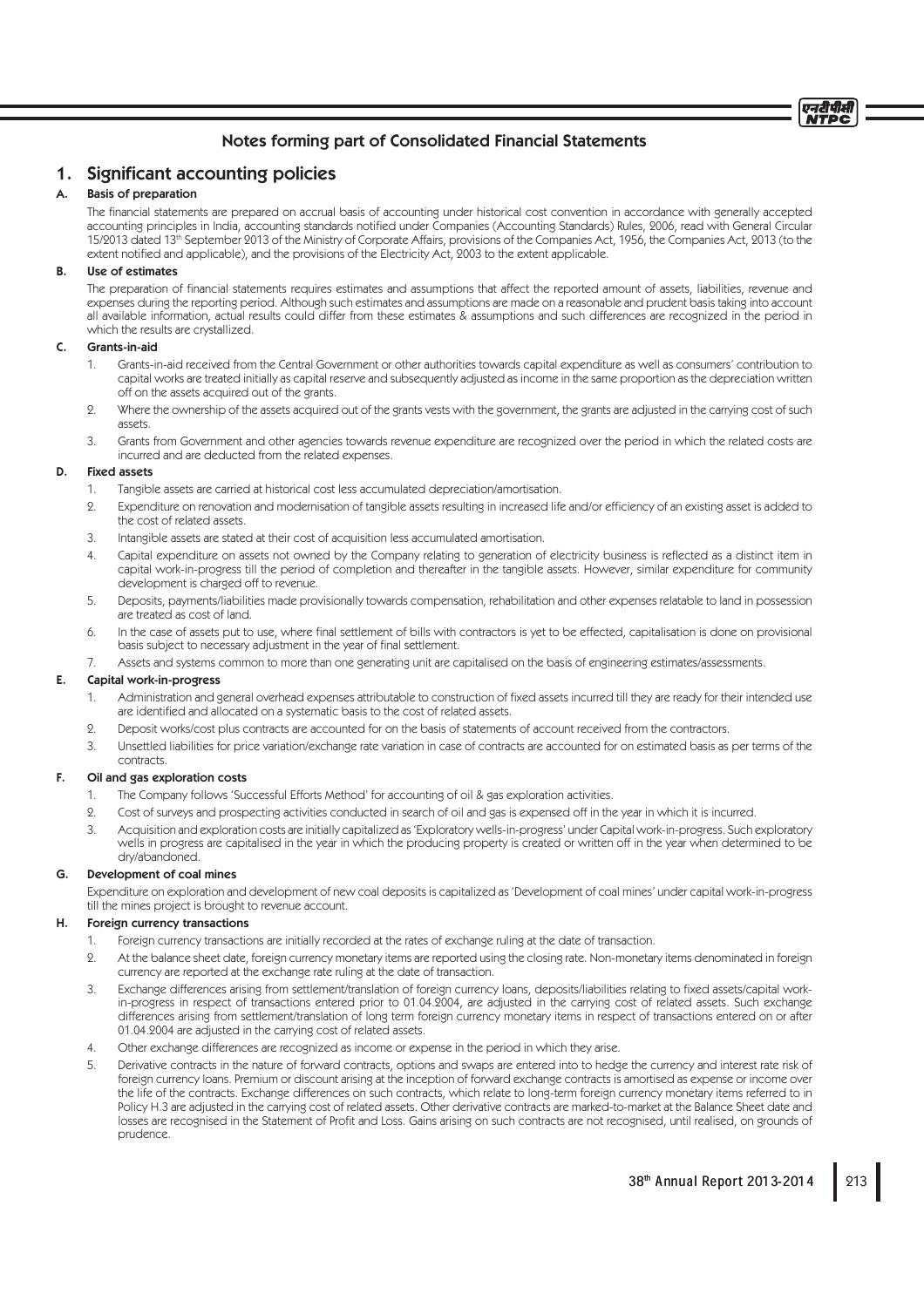# 1. Significant accounting policies

# A. Basis of preparation

The financial statements are prepared on accrual basis of accounting under historical cost convention in accordance with generally accepted accounting principles in India, accounting standards notified under Companies (Accounting Standards) Rules, 2006, read with General Circular 15/2013 dated 13<sup>th</sup> September 2013 of the Ministry of Corporate Affairs, provisions of the Companies Act, 1956, the Companies Act, 2013 (to the extent notified and applicable), and the provisions of the Electricity Act, 2003 to the extent applicable.

### B. Use of estimates

The preparation of financial statements requires estimates and assumptions that affect the reported amount of assets, liabilities, revenue and expenses during the reporting period. Although such estimates and assumptions are made on a reasonable and prudent basis taking into account all available information, actual results could differ from these estimates & assumptions and such differences are recognized in the period in which the results are crystallized.

## C. Grants-in-aid

- 1. Grants-in-aid received from the Central Government or other authorities towards capital expenditure as well as consumers' contribution to capital works are treated initially as capital reserve and subsequently adjusted as income in the same proportion as the depreciation written off on the assets acquired out of the grants.
- 2. Where the ownership of the assets acquired out of the grants vests with the government, the grants are adjusted in the carrying cost of such assets.
- 3. Grants from Government and other agencies towards revenue expenditure are recognized over the period in which the related costs are incurred and are deducted from the related expenses.

# D. Fixed assets

- 1. Tangible assets are carried at historical cost less accumulated depreciation/amortisation.
- 9. Expenditure on renovation and modernisation of tangible assets resulting in increased life and/or efficiency of an existing asset is added to the cost of related assets.
- 3. Intangible assets are stated at their cost of acquisition less accumulated amortisation.
- 4. Capital expenditure on assets not owned by the Company relating to generation of electricity business is reflected as a distinct item in capital work-in-progress till the period of completion and thereafter in the tangible assets. However, similar expenditure for community development is charged off to revenue.
- 5. Deposits, payments/liabilities made provisionally towards compensation, rehabilitation and other expenses relatable to land in possession are treated as cost of land.
- 6. In the case of assets put to use, where final settlement of bills with contractors is yet to be effected, capitalisation is done on provisional basis subject to necessary adjustment in the year of final settlement.
- 7. Assets and systems common to more than one generating unit are capitalised on the basis of engineering estimates/assessments.

## E. Capital work-in-progress

- 1. Administration and general overhead expenses attributable to construction of fixed assets incurred till they are ready for their intended use are identified and allocated on a systematic basis to the cost of related assets.
- 2. Deposit works/cost plus contracts are accounted for on the basis of statements of account received from the contractors.
- 3. Unsettled liabilities for price variation/exchange rate variation in case of contracts are accounted for on estimated basis as per terms of the contracts.

### F. Oil and gas exploration costs

- 1. The Company follows 'Successful Efforts Method' for accounting of oil & gas exploration activities.
- 2. Cost of surveys and prospecting activities conducted in search of oil and gas is expensed off in the year in which it is incurred.
- 3. Acquisition and exploration costs are initially capitalized as 'Exploratory wells-in-progress' under Capital work-in-progress. Such exploratory wells in progress are capitalised in the year in which the producing property is created or written off in the year when determined to be dry/abandoned.

### G. Development of coal mines

 Expenditure on exploration and development of new coal deposits is capitalized as 'Development of coal mines' under capital work-in-progress till the mines project is brought to revenue account.

## H. Foreign currency transactions

- 1. Foreign currency transactions are initially recorded at the rates of exchange ruling at the date of transaction.
- 2. At the balance sheet date, foreign currency monetary items are reported using the closing rate. Non-monetary items denominated in foreign currency are reported at the exchange rate ruling at the date of transaction.
- 3. Exchange differences arising from settlement/translation of foreign currency loans, deposits/liabilities relating to fixed assets/capital workin-progress in respect of transactions entered prior to 01.04.2004, are adjusted in the carrying cost of related assets. Such exchange differences arising from settlement/translation of long term foreign currency monetary items in respect of transactions entered on or after 01.04.2004 are adjusted in the carrying cost of related assets.
- 4. Other exchange differences are recognized as income or expense in the period in which they arise.
- 5. Derivative contracts in the nature of forward contracts, options and swaps are entered into to hedge the currency and interest rate risk of foreign currency loans. Premium or discount arising at the inception of forward exchange contracts is amortised as expense or income over the life of the contracts. Exchange differences on such contracts, which relate to long-term foreign currency monetary items referred to in Policy H.3 are adjusted in the carrying cost of related assets. Other derivative contracts are marked-to-market at the Balance Sheet date and losses are recognised in the Statement of Profit and Loss. Gains arising on such contracts are not recognised, until realised, on grounds of prudence.

एनटीपीसी NTDC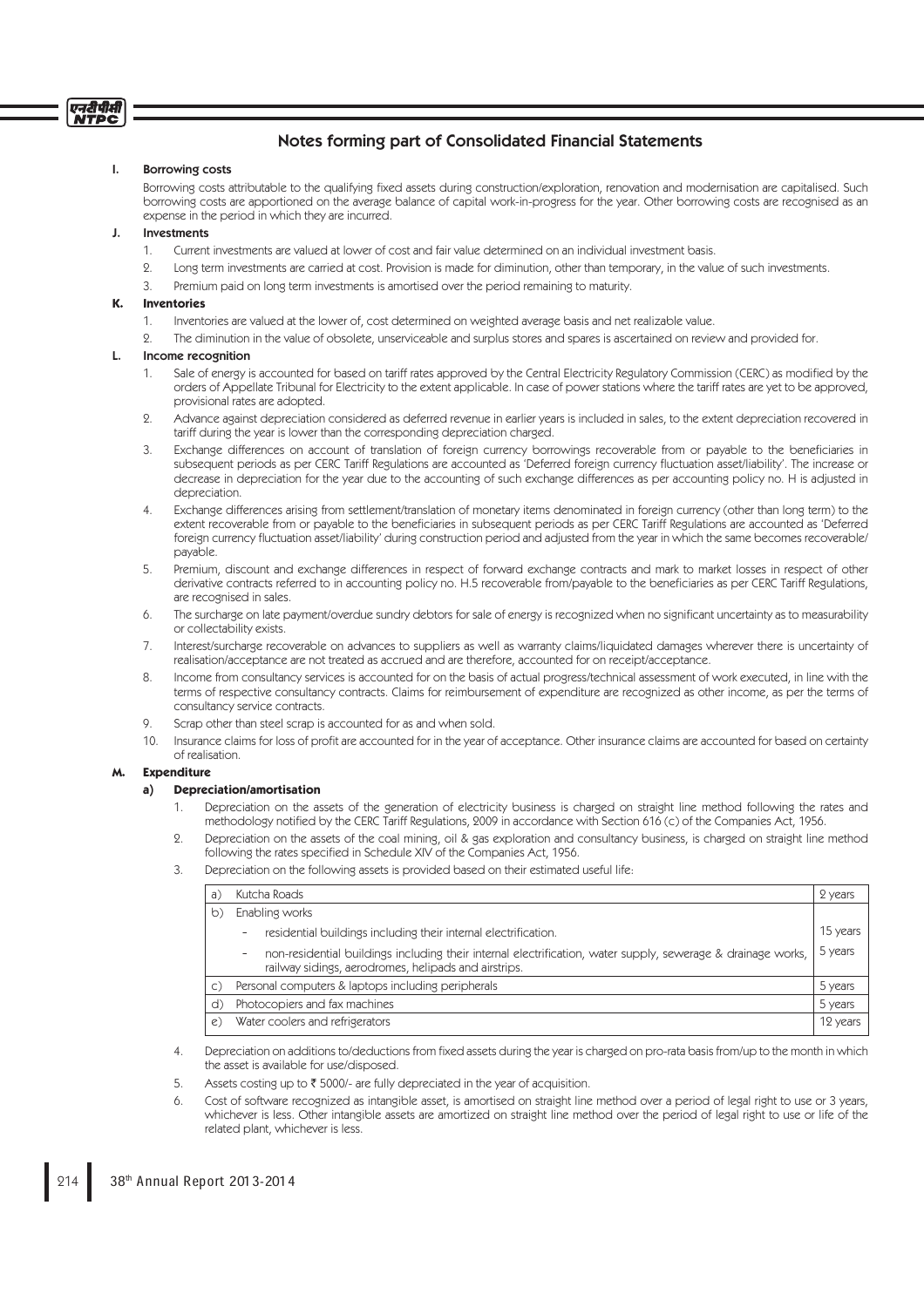# Notes forming part of Consolidated Financial Statements

## I. Borrowing costs

Borrowing costs attributable to the qualifying fixed assets during construction/exploration, renovation and modernisation are capitalised. Such borrowing costs are apportioned on the average balance of capital work-in-progress for the year. Other borrowing costs are recognised as an expense in the period in which they are incurred.

#### J. Investments

- 1. Current investments are valued at lower of cost and fair value determined on an individual investment basis.
- 2. Long term investments are carried at cost. Provision is made for diminution, other than temporary, in the value of such investments.
- 3. Premium paid on long term investments is amortised over the period remaining to maturity.

#### **K. Inventories**

- 1. Inventories are valued at the lower of, cost determined on weighted average basis and net realizable value.
- 2. The diminution in the value of obsolete, unserviceable and surplus stores and spares is ascertained on review and provided for.

#### Income recognition

- Sale of energy is accounted for based on tariff rates approved by the Central Electricity Regulatory Commission (CERC) as modified by the orders of Appellate Tribunal for Electricity to the extent applicable. In case of power stations where the tariff rates are yet to be approved, provisional rates are adopted.
- 2. Advance against depreciation considered as deferred revenue in earlier years is included in sales, to the extent depreciation recovered in tariff during the year is lower than the corresponding depreciation charged.
- 3. Exchange differences on account of translation of foreign currency borrowings recoverable from or payable to the beneficiaries in subsequent periods as per CERC Tariff Regulations are accounted as 'Deferred foreign currency fluctuation asset/liability'. The increase or decrease in depreciation for the year due to the accounting of such exchange differences as per accounting policy no. H is adjusted in depreciation.
- 4. Exchange differences arising from settlement/translation of monetary items denominated in foreign currency (other than long term) to the extent recoverable from or payable to the beneficiaries in subsequent periods as per CERC Tariff Regulations are accounted as 'Deferred foreign currency fluctuation asset/liability' during construction period and adjusted from the year in which the same becomes recoverable/ payable.
- 5. Premium, discount and exchange differences in respect of forward exchange contracts and mark to market losses in respect of other derivative contracts referred to in accounting policy no. H.5 recoverable from/payable to the beneficiaries as per CERC Tariff Regulations, are recognised in sales.
- 6. The surcharge on late payment/overdue sundry debtors for sale of energy is recognized when no signifi cant uncertainty as to measurability or collectability exists.
- 7. Interest/surcharge recoverable on advances to suppliers as well as warranty claims/liquidated damages wherever there is uncertainty of realisation/acceptance are not treated as accrued and are therefore, accounted for on receipt/acceptance.
- 8. Income from consultancy services is accounted for on the basis of actual progress/technical assessment of work executed, in line with the terms of respective consultancy contracts. Claims for reimbursement of expenditure are recognized as other income, as per the terms of consultancy service contracts.
- 9. Scrap other than steel scrap is accounted for as and when sold.
- 10. Insurance claims for loss of profit are accounted for in the year of acceptance. Other insurance claims are accounted for based on certainty of realisation.

## **M. Expenditure**

## **a) Depreciation/amortisation**

- 1. Depreciation on the assets of the generation of electricity business is charged on straight line method following the rates and methodology notified by the CERC Tariff Regulations, 2009 in accordance with Section 616 (c) of the Companies Act, 1956.
- 2. Depreciation on the assets of the coal mining, oil & gas exploration and consultancy business, is charged on straight line method following the rates specified in Schedule XIV of the Companies Act, 1956.
- 3. Depreciation on the following assets is provided based on their estimated useful life:

| a)             | Kutcha Roads                                                                                                                                                                                     | 2 years  |
|----------------|--------------------------------------------------------------------------------------------------------------------------------------------------------------------------------------------------|----------|
| b)             | Enabling works                                                                                                                                                                                   |          |
|                | residential buildings including their internal electrification.<br>$\qquad \qquad \blacksquare$                                                                                                  | 15 years |
|                | non-residential buildings including their internal electrification, water supply, sewerage & drainage works,<br>$\overline{\phantom{a}}$<br>railway sidings, aerodromes, helipads and airstrips. | 5 years  |
| $\mathsf{C}$ ) | Personal computers & laptops including peripherals                                                                                                                                               | 5 years  |
| d)             | Photocopiers and fax machines                                                                                                                                                                    | 5 years  |
| e)             | Water coolers and refrigerators                                                                                                                                                                  | 12 years |

4. Depreciation on additions to/deductions from fixed assets during the year is charged on pro-rata basis from/up to the month in which the asset is available for use/disposed.

- 5. Assets costing up to  $\bar{\tau}$  5000/- are fully depreciated in the year of acquisition.
- 6. Cost of software recognized as intangible asset, is amortised on straight line method over a period of legal right to use or 3 years, whichever is less. Other intangible assets are amortized on straight line method over the period of legal right to use or life of the related plant, whichever is less.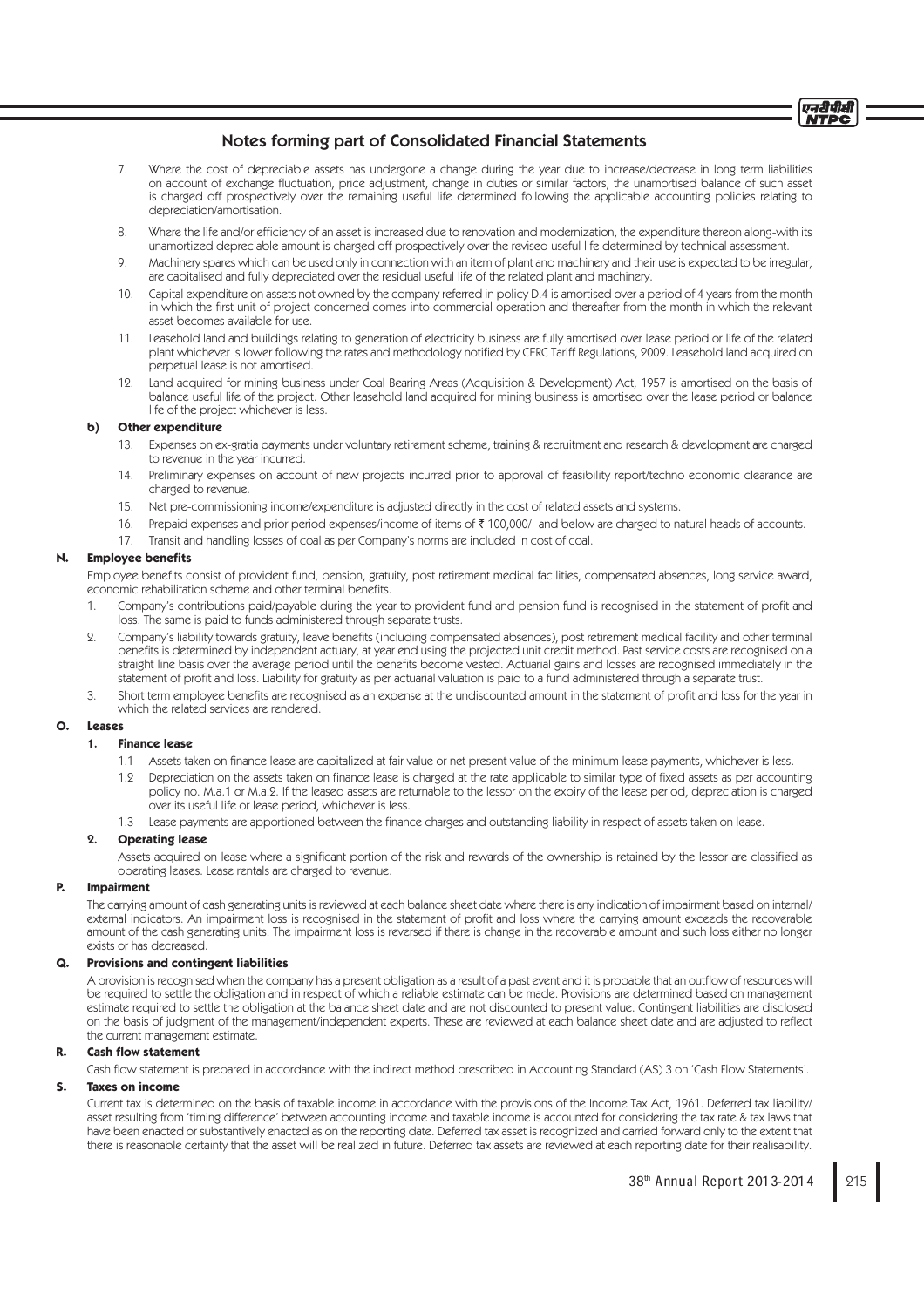

- 7. Where the cost of depreciable assets has undergone a change during the year due to increase/decrease in long term liabilities on account of exchange fluctuation, price adjustment, change in duties or similar factors, the unamortised balance of such asset is charged off prospectively over the remaining useful life determined following the applicable accounting policies relating to depreciation/amortisation.
- 8. Where the life and/or efficiency of an asset is increased due to renovation and modernization, the expenditure thereon along-with its unamortized depreciable amount is charged off prospectively over the revised useful life determined by technical assessment.
- 9. Machinery spares which can be used only in connection with an item of plant and machinery and their use is expected to be irregular, are capitalised and fully depreciated over the residual useful life of the related plant and machinery.
- 10. Capital expenditure on assets not owned by the company referred in policy D.4 is amortised over a period of 4 years from the month in which the first unit of project concerned comes into commercial operation and thereafter from the month in which the relevant asset becomes available for use.
- 11. Leasehold land and buildings relating to generation of electricity business are fully amortised over lease period or life of the related plant whichever is lower following the rates and methodology notified by CERC Tariff Regulations, 2009. Leasehold land acquired on perpetual lease is not amortised.
- 12. Land acquired for mining business under Coal Bearing Areas (Acquisition & Development) Act, 1957 is amortised on the basis of balance useful life of the project. Other leasehold land acquired for mining business is amortised over the lease period or balance life of the project whichever is less.

### **b) Other expenditure**

- 13. Expenses on ex-gratia payments under voluntary retirement scheme, training & recruitment and research & development are charged to revenue in the year incurred.
- 14. Preliminary expenses on account of new projects incurred prior to approval of feasibility report/techno economic clearance are charged to revenue.
- 15. Net pre-commissioning income/expenditure is adjusted directly in the cost of related assets and systems.
- 16. Prepaid expenses and prior period expenses/income of items of ₹ 100,000/- and below are charged to natural heads of accounts.
- 17. Transit and handling losses of coal as per Company's norms are included in cost of coal.

## **N.** Employee benefits

Employee benefits consist of provident fund, pension, gratuity, post retirement medical facilities, compensated absences, long service award, economic rehabilitation scheme and other terminal benefits.

- 1. Company's contributions paid/payable during the year to provident fund and pension fund is recognised in the statement of profit and loss. The same is paid to funds administered through separate trusts.
- 2. Company's liability towards gratuity, leave benefits (including compensated absences), post retirement medical facility and other terminal benefits is determined by independent actuary, at year end using the projected unit credit method. Past service costs are recognised on a straight line basis over the average period until the benefits become vested. Actuarial gains and losses are recognised immediately in the statement of profit and loss. Liability for gratuity as per actuarial valuation is paid to a fund administered through a separate trust
- 3. Short term employee benefits are recognised as an expense at the undiscounted amount in the statement of profit and loss for the year in which the related services are rendered.

#### **O. Leases**

## 1. **Finance lease**

- 1.1 Assets taken on finance lease are capitalized at fair value or net present value of the minimum lease payments, whichever is less.
- 1.2 Depreciation on the assets taken on finance lease is charged at the rate applicable to similar type of fixed assets as per accounting policy no. M.a.1 or M.a.2. If the leased assets are returnable to the lessor on the expiry of the lease period, depreciation is charged over its useful life or lease period, whichever is less.
- 1.3 Lease payments are apportioned between the finance charges and outstanding liability in respect of assets taken on lease.

#### 2. **Operating lease**

Assets acquired on lease where a significant portion of the risk and rewards of the ownership is retained by the lessor are classified as operating leases. Lease rentals are charged to revenue.

## **P. Impairment**

 The carrying amount of cash generating units is reviewed at each balance sheet date where there is any indication of impairment based on internal/ external indicators. An impairment loss is recognised in the statement of profi t and loss where the carrying amount exceeds the recoverable amount of the cash generating units. The impairment loss is reversed if there is change in the recoverable amount and such loss either no longer exists or has decreased.

### **Q. Provisions and contingent liabilities**

A provision is recognised when the company has a present obligation as a result of a past event and it is probable that an outflow of resources will be required to settle the obligation and in respect of which a reliable estimate can be made. Provisions are determined based on management estimate required to settle the obligation at the balance sheet date and are not discounted to present value. Contingent liabilities are disclosed on the basis of judgment of the management/independent experts. These are reviewed at each balance sheet date and are adjusted to reflect the current management estimate.

## **R.** Cash flow statement

Cash flow statement is prepared in accordance with the indirect method prescribed in Accounting Standard (AS) 3 on 'Cash Flow Statements'.

### **S. Taxes on income**

 Current tax is determined on the basis of taxable income in accordance with the provisions of the Income Tax Act, 1961. Deferred tax liability/ asset resulting from 'timing difference' between accounting income and taxable income is accounted for considering the tax rate & tax laws that have been enacted or substantively enacted as on the reporting date. Deferred tax asset is recognized and carried forward only to the extent that there is reasonable certainty that the asset will be realized in future. Deferred tax assets are reviewed at each reporting date for their realisability.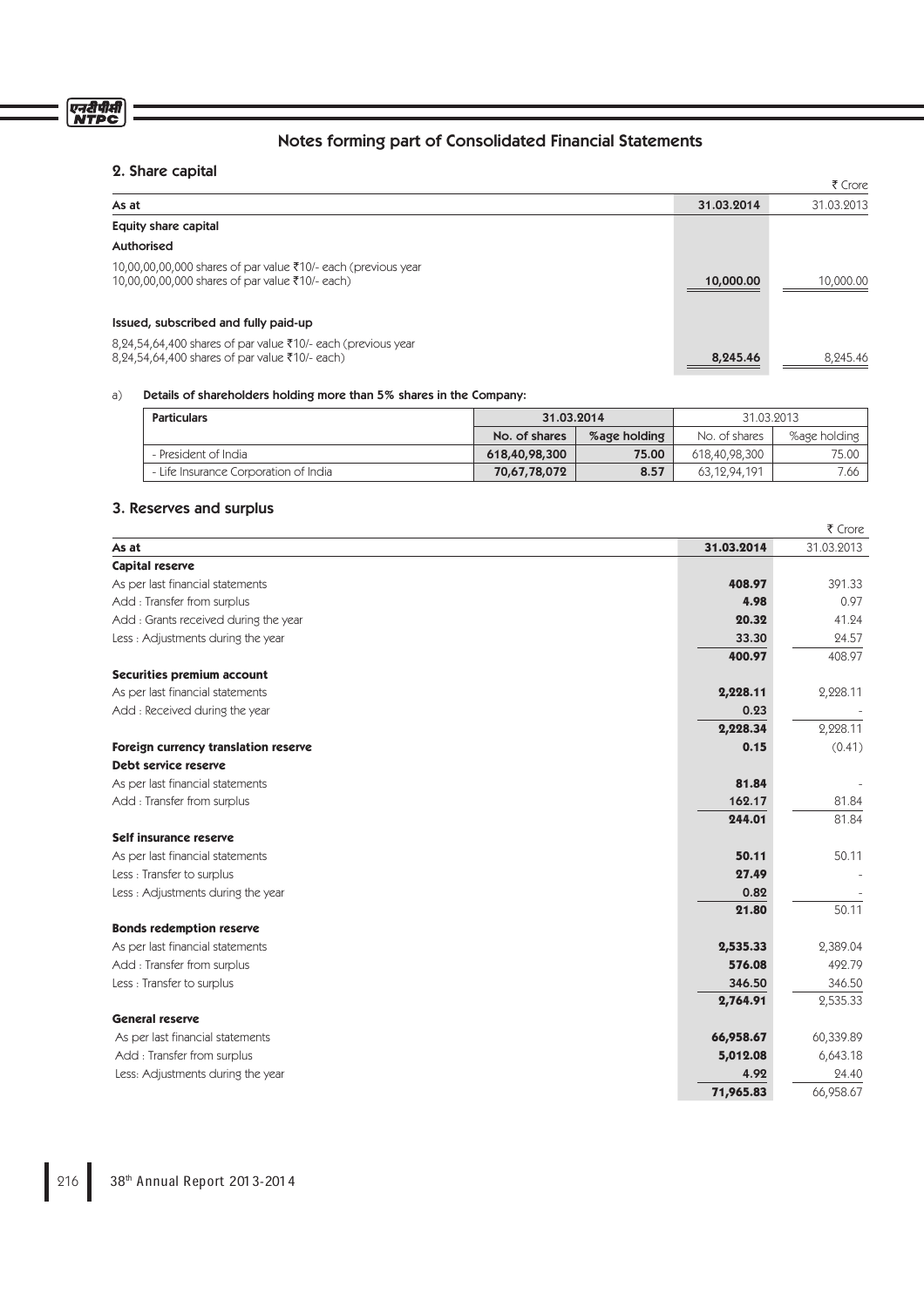# 2. Share capital

एनदीपीसी<br>NTPC

|                                                                                                                  |            | ₹ Crore    |
|------------------------------------------------------------------------------------------------------------------|------------|------------|
| As at                                                                                                            | 31.03.2014 | 31.03.2013 |
| Equity share capital                                                                                             |            |            |
| Authorised                                                                                                       |            |            |
| 10,00,00,00,000 shares of par value ₹10/- each (previous year<br>10,00,00,00,000 shares of par value ₹10/- each) | 10,000.00  | 10,000.00  |
| Issued, subscribed and fully paid-up                                                                             |            |            |
| 8,24,54,64,400 shares of par value ₹10/- each (previous year<br>8,24,54,64,400 shares of par value ₹10/- each)   | 8,245.46   | 8,245.46   |

Notes forming part of Consolidated Financial Statements

# a) Details of shareholders holding more than 5% shares in the Company:

| <b>Particulars</b>                    | 31.03.2014    |              | 31.03.2013    |              |
|---------------------------------------|---------------|--------------|---------------|--------------|
|                                       | No. of shares | %age holding | No. of shares | %age holding |
| - President of India                  | 618,40,98,300 | 75.00        | 618,40,98,300 | 75.00        |
| - Life Insurance Corporation of India | 70,67,78,072  | 8.57         | 63.12.94.191  | 7.66         |

# 3. Reserves and surplus

|                                       |            | ₹ Crore    |
|---------------------------------------|------------|------------|
| As at                                 | 31.03.2014 | 31.03.2013 |
| <b>Capital reserve</b>                |            |            |
| As per last financial statements      | 408.97     | 391.33     |
| Add : Transfer from surplus           | 4.98       | 0.97       |
| Add : Grants received during the year | 20.32      | 41.24      |
| Less: Adjustments during the year     | 33.30      | 24.57      |
|                                       | 400.97     | 408.97     |
| <b>Securities premium account</b>     |            |            |
| As per last financial statements      | 2,228.11   | 2,228.11   |
| Add: Received during the year         | 0.23       |            |
|                                       | 2,228.34   | 2,228.11   |
| Foreign currency translation reserve  | 0.15       | (0.41)     |
| Debt service reserve                  |            |            |
| As per last financial statements      | 81.84      |            |
| Add: Transfer from surplus            | 162.17     | 81.84      |
|                                       | 244.01     | 81.84      |
| Self insurance reserve                |            |            |
| As per last financial statements      | 50.11      | 50.11      |
| Less : Transfer to surplus            | 27.49      |            |
| Less: Adjustments during the year     | 0.82       |            |
|                                       | 21.80      | 50.11      |
| <b>Bonds redemption reserve</b>       |            |            |
| As per last financial statements      | 2,535.33   | 2,389.04   |
| Add : Transfer from surplus           | 576.08     | 492.79     |
| Less: Transfer to surplus             | 346.50     | 346.50     |
|                                       | 2,764.91   | 2,535.33   |
| <b>General reserve</b>                |            |            |
| As per last financial statements      | 66,958.67  | 60,339.89  |
| Add: Transfer from surplus            | 5,012.08   | 6,643.18   |
| Less: Adjustments during the year     | 4.92       | 24.40      |
|                                       | 71,965.83  | 66,958.67  |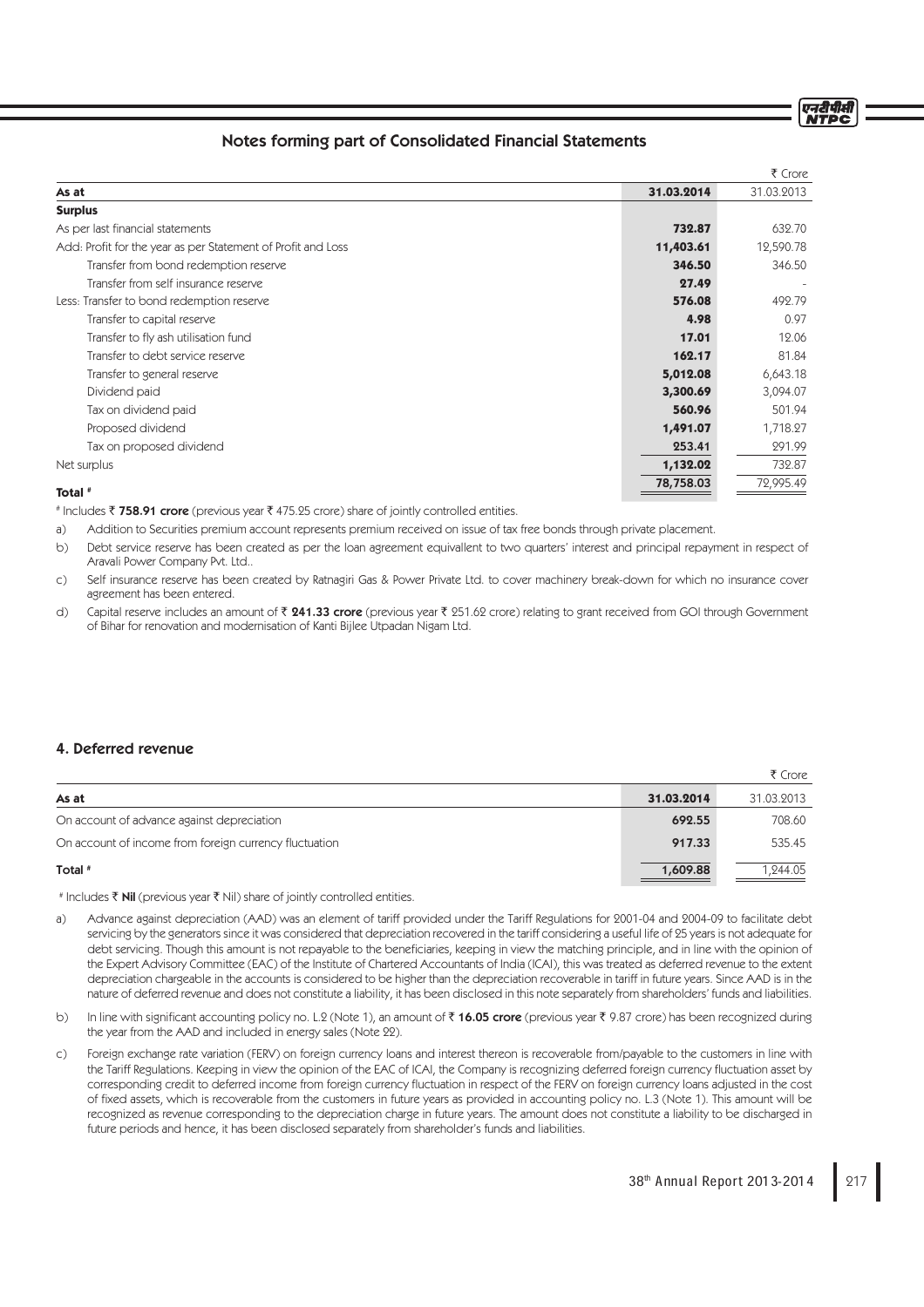# Notes forming part of Consolidated Financial Statements

|                                                              |            | ₹ Crore    |
|--------------------------------------------------------------|------------|------------|
| As at                                                        | 31.03.2014 | 31.03.2013 |
| <b>Surplus</b>                                               |            |            |
| As per last financial statements                             | 732.87     | 632.70     |
| Add: Profit for the year as per Statement of Profit and Loss | 11,403.61  | 12,590.78  |
| Transfer from bond redemption reserve                        | 346.50     | 346.50     |
| Transfer from self insurance reserve                         | 27.49      |            |
| Less: Transfer to bond redemption reserve                    | 576.08     | 492.79     |
| Transfer to capital reserve                                  | 4.98       | 0.97       |
| Transfer to fly ash utilisation fund                         | 17.01      | 12.06      |
| Transfer to debt service reserve                             | 162.17     | 81.84      |
| Transfer to general reserve                                  | 5,012.08   | 6,643.18   |
| Dividend paid                                                | 3,300.69   | 3,094.07   |
| Tax on dividend paid                                         | 560.96     | 501.94     |
| Proposed dividend                                            | 1,491.07   | 1,718.27   |
| Tax on proposed dividend                                     | 253.41     | 291.99     |
| Net surplus                                                  | 1,132.02   | 732.87     |
| Total #                                                      | 78,758.03  | 72,995.49  |
|                                                              |            |            |

# Includes ₹ 758.91 crore (previous year ₹ 475.25 crore) share of jointly controlled entities.

a) Addition to Securities premium account represents premium received on issue of tax free bonds through private placement.

b) Debt service reserve has been created as per the loan agreement equivallent to two quarters' interest and principal repayment in respect of Aravali Power Company Pvt. Ltd..

c) Self insurance reserve has been created by Ratnagiri Gas & Power Private Ltd. to cover machinery break-down for which no insurance cover agreement has been entered.

d) Capital reserve includes an amount of  $\bar{z}$  241.33 crore (previous year  $\bar{z}$  251.62 crore) relating to grant received from GOI through Government of Bihar for renovation and modernisation of Kanti Bijlee Utpadan Nigam Ltd.

# 4. Deferred revenue

|                                                        |            | ₹ Crore    |
|--------------------------------------------------------|------------|------------|
| As at                                                  | 31.03.2014 | 31.03.2013 |
| On account of advance against depreciation             | 692.55     | 708.60     |
| On account of income from foreign currency fluctuation | 917.33     | 535.45     |
| Total #                                                | 1,609.88   | 1,244.05   |

# Includes ₹ **Nil** (previous year ₹ Nil) share of jointly controlled entities.

- a) Advance against depreciation (AAD) was an element of tariff provided under the Tariff Regulations for 2001-04 and 2004-09 to facilitate debt servicing by the generators since it was considered that depreciation recovered in the tariff considering a useful life of 25 years is not adequate for debt servicing. Though this amount is not repayable to the beneficiaries, keeping in view the matching principle, and in line with the opinion of the Expert Advisory Committee (EAC) of the Institute of Chartered Accountants of India (ICAI), this was treated as deferred revenue to the extent depreciation chargeable in the accounts is considered to be higher than the depreciation recoverable in tariff in future years. Since AAD is in the nature of deferred revenue and does not constitute a liability, it has been disclosed in this note separately from shareholders' funds and liabilities.
- b) In line with significant accounting policy no. L.2 (Note 1), an amount of  $\bar{\tau}$  16.05 crore (previous year  $\bar{\tau}$  9.87 crore) has been recognized during the year from the AAD and included in energy sales (Note 22).
- c) Foreign exchange rate variation (FERV) on foreign currency loans and interest thereon is recoverable from/payable to the customers in line with the Tariff Regulations. Keeping in view the opinion of the EAC of ICAI, the Company is recognizing deferred foreign currency fluctuation asset by corresponding credit to deferred income from foreign currency fluctuation in respect of the FERV on foreign currency loans adjusted in the cost of fixed assets, which is recoverable from the customers in future years as provided in accounting policy no. L.3 (Note 1). This amount will be recognized as revenue corresponding to the depreciation charge in future years. The amount does not constitute a liability to be discharged in future periods and hence, it has been disclosed separately from shareholder's funds and liabilities.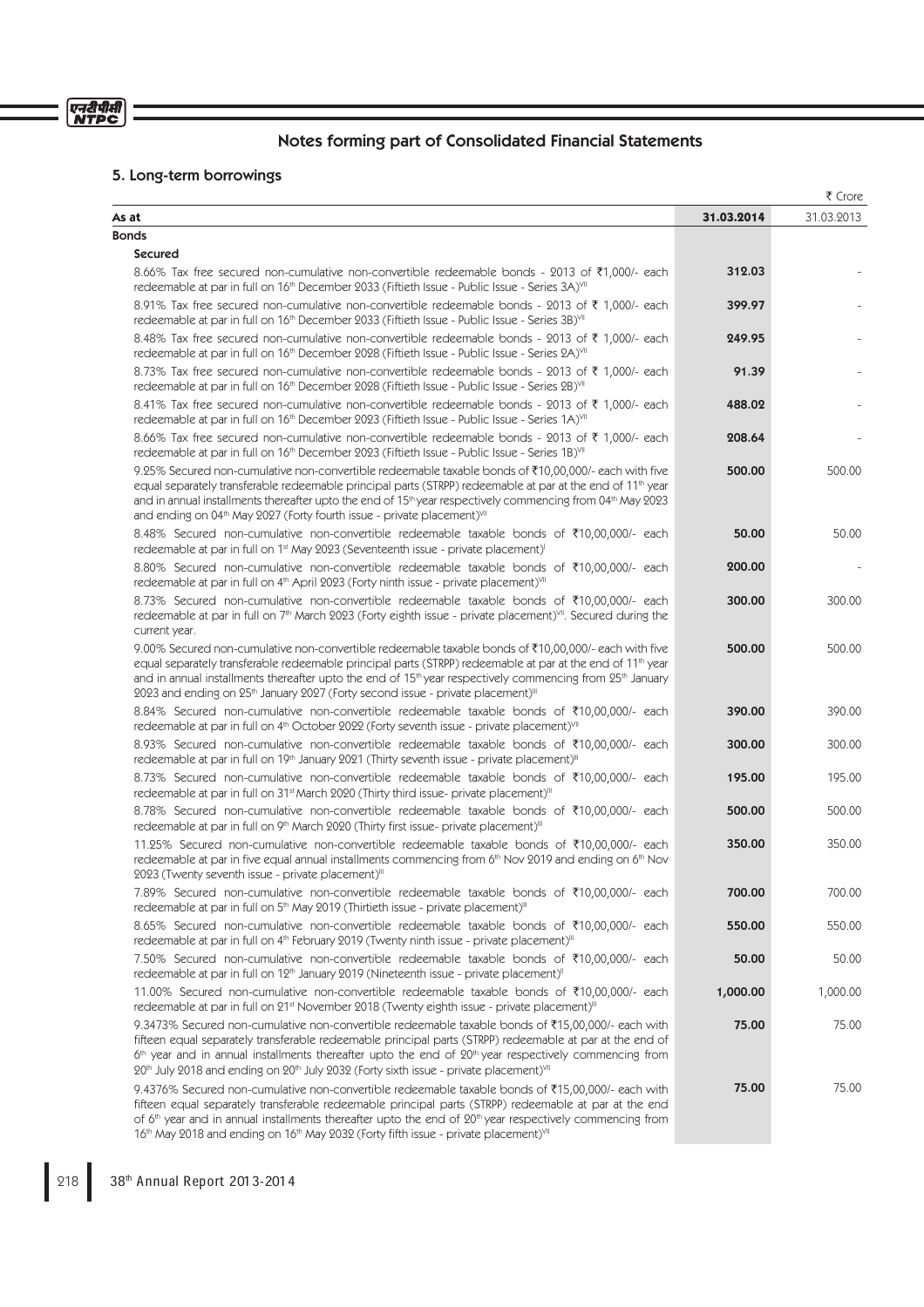# 5. Long-term borrowings

|                                                                                                                                                                                                                                                                                                                                                                                                                                                                                 |            | ₹ Crore    |
|---------------------------------------------------------------------------------------------------------------------------------------------------------------------------------------------------------------------------------------------------------------------------------------------------------------------------------------------------------------------------------------------------------------------------------------------------------------------------------|------------|------------|
| As at                                                                                                                                                                                                                                                                                                                                                                                                                                                                           | 31.03.2014 | 31.03.2013 |
| <b>Bonds</b>                                                                                                                                                                                                                                                                                                                                                                                                                                                                    |            |            |
| <b>Secured</b>                                                                                                                                                                                                                                                                                                                                                                                                                                                                  |            |            |
| 8.66% Tax free secured non-cumulative non-convertible redeemable bonds - 2013 of ₹1,000/- each<br>redeemable at par in full on 16th December 2033 (Fiftieth Issue - Public Issue - Series 3A)VII                                                                                                                                                                                                                                                                                | 312.03     |            |
| 8.91% Tax free secured non-cumulative non-convertible redeemable bonds - 2013 of ₹ 1,000/- each<br>redeemable at par in full on 16 <sup>th</sup> December 2033 (Fiftieth Issue - Public Issue - Series 3B) <sup>VII</sup>                                                                                                                                                                                                                                                       | 399.97     |            |
| 8.48% Tax free secured non-cumulative non-convertible redeemable bonds - 2013 of ₹ 1,000/- each<br>redeemable at par in full on 16 <sup>th</sup> December 2028 (Fiftieth Issue - Public Issue - Series 2A) <sup>VII</sup>                                                                                                                                                                                                                                                       | 249.95     |            |
| 8.73% Tax free secured non-cumulative non-convertible redeemable bonds - 2013 of ₹ 1,000/- each<br>redeemable at par in full on 16 <sup>th</sup> December 2028 (Fiftieth Issue - Public Issue - Series 2B) <sup>VII</sup>                                                                                                                                                                                                                                                       | 91.39      |            |
| 8.41% Tax free secured non-cumulative non-convertible redeemable bonds - 2013 of ₹ 1,000/- each<br>redeemable at par in full on 16 <sup>th</sup> December 2023 (Fiftieth Issue - Public Issue - Series 1A) <sup>VII</sup>                                                                                                                                                                                                                                                       | 488.02     |            |
| 8.66% Tax free secured non-cumulative non-convertible redeemable bonds - 2013 of ₹ 1,000/- each<br>redeemable at par in full on 16 <sup>th</sup> December 2023 (Fiftieth Issue - Public Issue - Series 1B) <sup>VII</sup>                                                                                                                                                                                                                                                       | 208.64     |            |
| 9.25% Secured non-cumulative non-convertible redeemable taxable bonds of ₹10,00,000/- each with five<br>equal separately transferable redeemable principal parts (STRPP) redeemable at par at the end of 11 <sup>th</sup> year<br>and in annual installments thereafter upto the end of 15 <sup>th</sup> year respectively commencing from 04 <sup>th</sup> May 2023<br>and ending on 04 <sup>th</sup> May 2027 (Forty fourth issue - private placement) <sup>VII</sup>         | 500.00     | 500.00     |
| 8.48% Secured non-cumulative non-convertible redeemable taxable bonds of ₹10,00,000/- each<br>redeemable at par in full on 1 <sup>st</sup> May 2023 (Seventeenth issue - private placement) <sup>1</sup>                                                                                                                                                                                                                                                                        | 50.00      | 50.00      |
| 8.80% Secured non-cumulative non-convertible redeemable taxable bonds of ₹10,00,000/- each<br>redeemable at par in full on 4 <sup>th</sup> April 2023 (Forty ninth issue - private placement) <sup>VII</sup>                                                                                                                                                                                                                                                                    | 200.00     |            |
| 8.73% Secured non-cumulative non-convertible redeemable taxable bonds of ₹10,00,000/- each<br>redeemable at par in full on 7 <sup>th</sup> March 2023 (Forty eighth issue - private placement) <sup>VII</sup> . Secured during the<br>current year.                                                                                                                                                                                                                             | 300.00     | 300.00     |
| 9.00% Secured non-cumulative non-convertible redeemable taxable bonds of ₹10,00,000/- each with five<br>equal separately transferable redeemable principal parts (STRPP) redeemable at par at the end of 11 <sup>th</sup> year<br>and in annual installments thereafter upto the end of 15 <sup>th</sup> year respectively commencing from 25 <sup>th</sup> January<br>2023 and ending on 25 <sup>th</sup> January 2027 (Forty second issue - private placement) <sup>III</sup> | 500.00     | 500.00     |
| 8.84% Secured non-cumulative non-convertible redeemable taxable bonds of ₹10,00,000/- each<br>redeemable at par in full on 4th October 2022 (Forty seventh issue - private placement) <sup>VII</sup>                                                                                                                                                                                                                                                                            | 390.00     | 390.00     |
| 8.93% Secured non-cumulative non-convertible redeemable taxable bonds of ₹10,00,000/- each<br>redeemable at par in full on 19th January 2021 (Thirty seventh issue - private placement) <sup>III</sup>                                                                                                                                                                                                                                                                          | 300.00     | 300.00     |
| 8.73% Secured non-cumulative non-convertible redeemable taxable bonds of ₹10,00,000/- each<br>redeemable at par in full on 31st March 2020 (Thirty third issue- private placement)"                                                                                                                                                                                                                                                                                             | 195.00     | 195.00     |
| 8.78% Secured non-cumulative non-convertible redeemable taxable bonds of ₹10,00,000/- each<br>redeemable at par in full on 9th March 2020 (Thirty first issue- private placement) <sup>III</sup>                                                                                                                                                                                                                                                                                | 500.00     | 500.00     |
| 11.25% Secured non-cumulative non-convertible redeemable taxable bonds of ₹10,00,000/- each<br>redeemable at par in five equal annual installments commencing from 6 <sup>th</sup> Nov 2019 and ending on 6 <sup>th</sup> Nov<br>2023 (Twenty seventh issue - private placement)"                                                                                                                                                                                               | 350.00     | 350.00     |
| 7.89% Secured non-cumulative non-convertible redeemable taxable bonds of ₹10,00,000/- each<br>redeemable at par in full on 5 <sup>th</sup> May 2019 (Thirtieth issue - private placement) <sup>III</sup>                                                                                                                                                                                                                                                                        | 700.00     | 700.00     |
| 8.65% Secured non-cumulative non-convertible redeemable taxable bonds of ₹10,00,000/- each<br>redeemable at par in full on 4 <sup>th</sup> February 2019 (Twenty ninth issue - private placement) <sup>III</sup>                                                                                                                                                                                                                                                                | 550.00     | 550.00     |
| 7.50% Secured non-cumulative non-convertible redeemable taxable bonds of ₹10,00,000/- each<br>redeemable at par in full on 12 <sup>th</sup> January 2019 (Nineteenth issue - private placement) <sup>11</sup>                                                                                                                                                                                                                                                                   | 50.00      | 50.00      |
| 11.00% Secured non-cumulative non-convertible redeemable taxable bonds of ₹10,00,000/- each<br>redeemable at par in full on 21 <sup>st</sup> November 2018 (Twenty eighth issue - private placement) <sup>III</sup>                                                                                                                                                                                                                                                             | 1,000.00   | 1,000.00   |
| 9.3473% Secured non-cumulative non-convertible redeemable taxable bonds of ₹15,00,000/- each with<br>fifteen equal separately transferable redeemable principal parts (STRPP) redeemable at par at the end of<br>$6th$ year and in annual installments thereafter upto the end of $20th$ year respectively commencing from<br>20th July 2018 and ending on 20th July 2032 (Forty sixth issue - private placement) <sup>VII</sup>                                                | 75.00      | 75.00      |
| 9.4376% Secured non-cumulative non-convertible redeemable taxable bonds of $\bar{\tau}$ 15,00,000/- each with<br>fifteen equal separately transferable redeemable principal parts (STRPP) redeemable at par at the end<br>of $6th$ year and in annual installments thereafter upto the end of $20th$ year respectively commencing from<br>16th May 2018 and ending on 16th May 2032 (Forty fifth issue - private placement) <sup>VII</sup>                                      | 75.00      | 75.00      |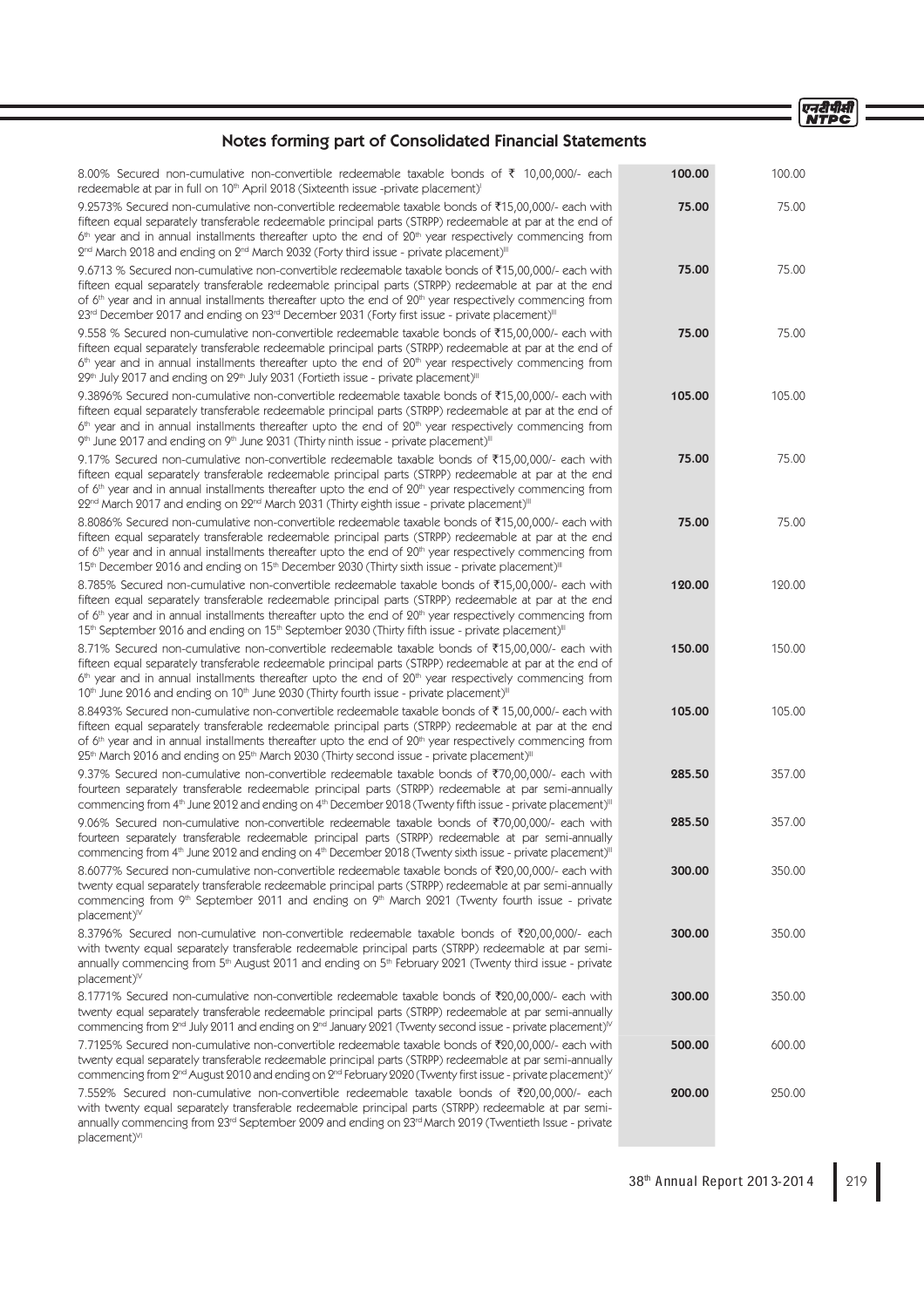एनदीपीसी<br>NTPC

# Notes forming part of Consolidated Financial Statements

| 8.00% Secured non-cumulative non-convertible redeemable taxable bonds of ₹ 10,00,000/- each<br>redeemable at par in full on 10 <sup>th</sup> April 2018 (Sixteenth issue -private placement) <sup>1</sup>                                                                                                                                                                                                                                                  | 100.00 | 100.00 |
|------------------------------------------------------------------------------------------------------------------------------------------------------------------------------------------------------------------------------------------------------------------------------------------------------------------------------------------------------------------------------------------------------------------------------------------------------------|--------|--------|
| 9.2573% Secured non-cumulative non-convertible redeemable taxable bonds of ₹15,00,000/- each with<br>fifteen equal separately transferable redeemable principal parts (STRPP) redeemable at par at the end of<br>$6th$ year and in annual installments thereafter upto the end of $20th$ year respectively commencing from<br>$2nd$ March 2018 and ending on $2nd$ March 2032 (Forty third issue - private placement) <sup>III</sup>                       | 75.00  | 75.00  |
| 9.6713 % Secured non-cumulative non-convertible redeemable taxable bonds of ₹15,00,000/- each with<br>fifteen equal separately transferable redeemable principal parts (STRPP) redeemable at par at the end<br>of $6th$ year and in annual installments thereafter upto the end of $20th$ year respectively commencing from<br>23rd December 2017 and ending on 23rd December 2031 (Forty first issue - private placement) <sup>III</sup>                  | 75.00  | 75.00  |
| 9.558 % Secured non-cumulative non-convertible redeemable taxable bonds of ₹15,00,000/- each with<br>fifteen equal separately transferable redeemable principal parts (STRPP) redeemable at par at the end of<br>$6th$ year and in annual installments thereafter upto the end of $20th$ year respectively commencing from<br>29th July 2017 and ending on 29th July 2031 (Fortieth issue - private placement) <sup>III</sup>                              | 75.00  | 75.00  |
| 9.3896% Secured non-cumulative non-convertible redeemable taxable bonds of ₹15,00,000/- each with<br>fifteen equal separately transferable redeemable principal parts (STRPP) redeemable at par at the end of<br>$6th$ year and in annual installments thereafter upto the end of $20th$ year respectively commencing from<br>9th June 2017 and ending on 9th June 2031 (Thirty ninth issue - private placement) <sup>III</sup>                            | 105.00 | 105.00 |
| 9.17% Secured non-cumulative non-convertible redeemable taxable bonds of ₹15,00,000/- each with<br>fifteen equal separately transferable redeemable principal parts (STRPP) redeemable at par at the end<br>of $6th$ year and in annual installments thereafter upto the end of $20th$ year respectively commencing from<br>22 <sup>nd</sup> March 2017 and ending on 22 <sup>nd</sup> March 2031 (Thirty eighth issue - private placement) <sup>III</sup> | 75.00  | 75.00  |
| 8.8086% Secured non-cumulative non-convertible redeemable taxable bonds of ₹15,00,000/- each with<br>fifteen equal separately transferable redeemable principal parts (STRPP) redeemable at par at the end<br>of $6th$ year and in annual installments thereafter upto the end of $20th$ year respectively commencing from<br>15th December 2016 and ending on 15th December 2030 (Thirty sixth issue - private placement) <sup>III</sup>                  | 75.00  | 75.00  |
| 8.785% Secured non-cumulative non-convertible redeemable taxable bonds of ₹15,00,000/- each with<br>fifteen equal separately transferable redeemable principal parts (STRPP) redeemable at par at the end<br>of $6th$ year and in annual installments thereafter upto the end of $20th$ year respectively commencing from<br>15th September 2016 and ending on 15th September 2030 (Thirty fifth issue - private placement) <sup>III</sup>                 | 120.00 | 120.00 |
| 8.71% Secured non-cumulative non-convertible redeemable taxable bonds of ₹15,00,000/- each with<br>fifteen equal separately transferable redeemable principal parts (STRPP) redeemable at par at the end of<br>$6th$ year and in annual installments thereafter upto the end of $20th$ year respectively commencing from<br>10 <sup>th</sup> June 2016 and ending on 10 <sup>th</sup> June 2030 (Thirty fourth issue - private placement) <sup>III</sup>   | 150.00 | 150.00 |
| 8.8493% Secured non-cumulative non-convertible redeemable taxable bonds of ₹15,00,000/- each with<br>fifteen equal separately transferable redeemable principal parts (STRPP) redeemable at par at the end<br>of $6th$ year and in annual installments thereafter upto the end of $20th$ year respectively commencing from<br>$25th$ March 2016 and ending on $25th$ March 2030 (Thirty second issue - private placement) <sup>III</sup>                   | 105.00 | 105.00 |
| 9.37% Secured non-cumulative non-convertible redeemable taxable bonds of ₹70,00,000/- each with<br>fourteen separately transferable redeemable principal parts (STRPP) redeemable at par semi-annually<br>commencing from 4 <sup>th</sup> June 2012 and ending on 4 <sup>th</sup> December 2018 (Twenty fifth issue - private placement) <sup>III</sup>                                                                                                    | 285.50 | 357.00 |
| 9.06% Secured non-cumulative non-convertible redeemable taxable bonds of ₹70,00,000/- each with<br>fourteen separately transferable redeemable principal parts (STRPP) redeemable at par semi-annually<br>commencing from 4th June 2012 and ending on 4th December 2018 (Twenty sixth issue - private placement) <sup>III</sup>                                                                                                                            | 285.50 | 357.00 |
| 8.6077% Secured non-cumulative non-convertible redeemable taxable bonds of ₹20,00,000/- each with<br>twenty equal separately transferable redeemable principal parts (STRPP) redeemable at par semi-annually<br>commencing from 9th September 2011 and ending on 9th March 2021 (Twenty fourth issue - private<br>$placement)^{N}$                                                                                                                         | 300.00 | 350.00 |
| 8.3796% Secured non-cumulative non-convertible redeemable taxable bonds of ₹20,00,000/- each<br>with twenty equal separately transferable redeemable principal parts (STRPP) redeemable at par semi-<br>annually commencing from 5 <sup>th</sup> August 2011 and ending on 5 <sup>th</sup> February 2021 (Twenty third issue - private<br>$placement)^{N}$                                                                                                 | 300.00 | 350.00 |
| 8.1771% Secured non-cumulative non-convertible redeemable taxable bonds of ₹20,00,000/- each with<br>twenty equal separately transferable redeemable principal parts (STRPP) redeemable at par semi-annually<br>commencing from 2 <sup>nd</sup> July 2011 and ending on 2 <sup>nd</sup> January 2021 (Twenty second issue - private placement) <sup>V</sup>                                                                                                | 300.00 | 350.00 |
| 7.7125% Secured non-cumulative non-convertible redeemable taxable bonds of ₹20,00,000/- each with<br>twenty equal separately transferable redeemable principal parts (STRPP) redeemable at par semi-annually<br>commencing from 2 <sup>nd</sup> August 2010 and ending on 2 <sup>nd</sup> February 2020 (Twenty first issue - private placement) <sup>V</sup>                                                                                              | 500.00 | 600.00 |
| 7.552% Secured non-cumulative non-convertible redeemable taxable bonds of ₹20,00,000/- each<br>with twenty equal separately transferable redeemable principal parts (STRPP) redeemable at par semi-<br>annually commencing from 23 <sup>rd</sup> September 2009 and ending on 23 <sup>rd</sup> March 2019 (Twentieth Issue - private<br>placement) <sup>VI</sup>                                                                                           | 200.00 | 250.00 |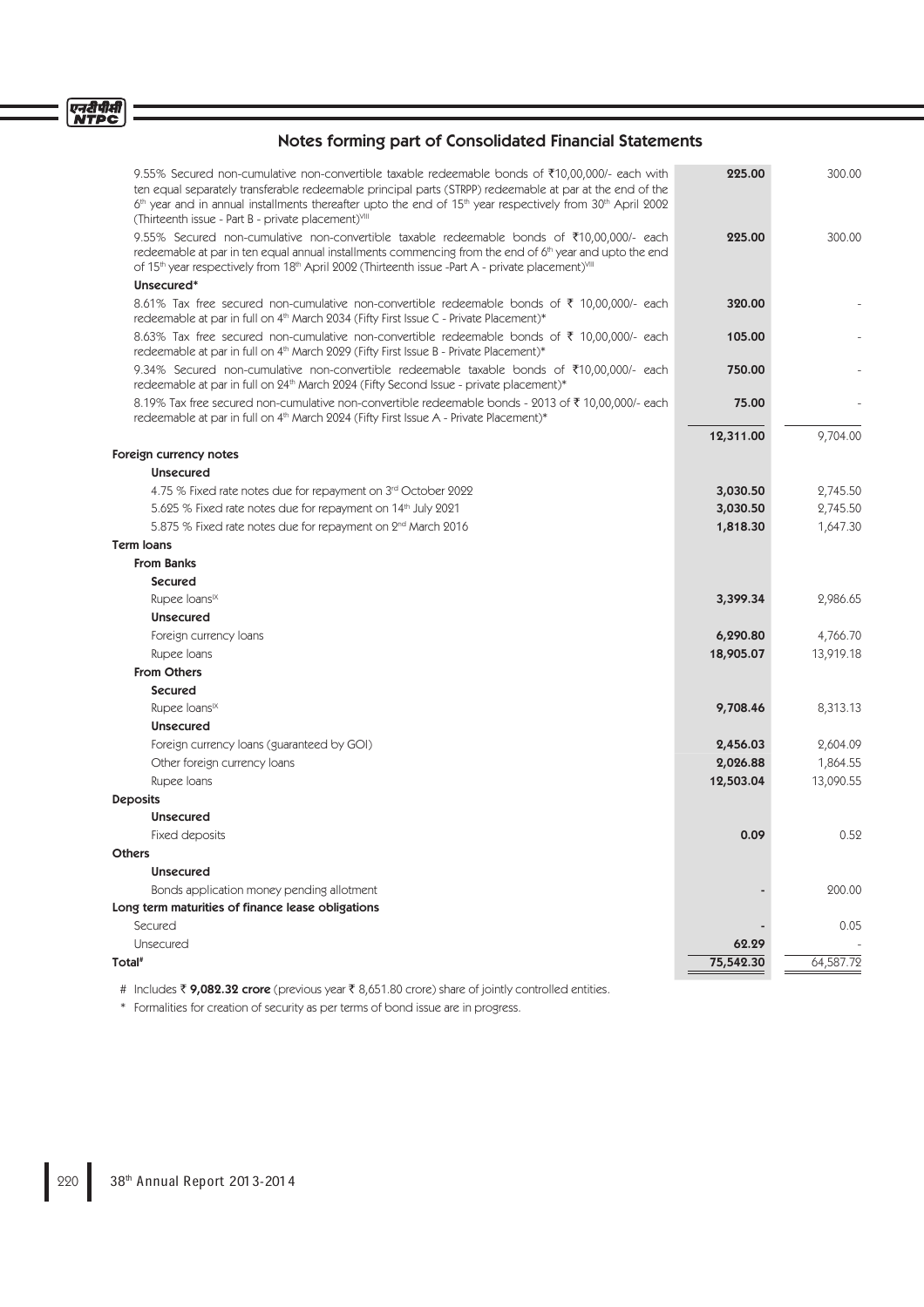| 9.55% Secured non-cumulative non-convertible taxable redeemable bonds of ₹10,00,000/- each with<br>ten equal separately transferable redeemable principal parts (STRPP) redeemable at par at the end of the<br>$6th$ year and in annual installments thereafter upto the end of 15 <sup>th</sup> year respectively from 30 <sup>th</sup> April 2002<br>(Thirteenth issue - Part B - private placement)VIII | 225.00    | 300.00    |
|------------------------------------------------------------------------------------------------------------------------------------------------------------------------------------------------------------------------------------------------------------------------------------------------------------------------------------------------------------------------------------------------------------|-----------|-----------|
| 9.55% Secured non-cumulative non-convertible taxable redeemable bonds of ₹10,00,000/- each<br>redeemable at par in ten equal annual installments commencing from the end of 6 <sup>th</sup> year and upto the end<br>of 15th year respectively from 18th April 2002 (Thirteenth issue -Part A - private placement) VIII                                                                                    | 225.00    | 300.00    |
| Unsecured*                                                                                                                                                                                                                                                                                                                                                                                                 |           |           |
| 8.61% Tax free secured non-cumulative non-convertible redeemable bonds of ₹ 10,00,000/- each<br>redeemable at par in full on 4 <sup>th</sup> March 2034 (Fifty First Issue C - Private Placement)*                                                                                                                                                                                                         | 320.00    |           |
| 8.63% Tax free secured non-cumulative non-convertible redeemable bonds of ₹ 10,00,000/- each<br>redeemable at par in full on 4 <sup>th</sup> March 2029 (Fifty First Issue B - Private Placement)*                                                                                                                                                                                                         | 105.00    |           |
| 9.34% Secured non-cumulative non-convertible redeemable taxable bonds of ₹10,00,000/- each<br>redeemable at par in full on 24 <sup>th</sup> March 2024 (Fifty Second Issue - private placement)*                                                                                                                                                                                                           | 750.00    |           |
| 8.19% Tax free secured non-cumulative non-convertible redeemable bonds - 2013 of ₹ 10,00,000/- each<br>redeemable at par in full on 4 <sup>th</sup> March 2024 (Fifty First Issue A - Private Placement)*                                                                                                                                                                                                  | 75.00     |           |
|                                                                                                                                                                                                                                                                                                                                                                                                            | 12,311.00 | 9,704.00  |
| Foreign currency notes                                                                                                                                                                                                                                                                                                                                                                                     |           |           |
| <b>Unsecured</b>                                                                                                                                                                                                                                                                                                                                                                                           |           |           |
| 4.75 % Fixed rate notes due for repayment on 3rd October 2022                                                                                                                                                                                                                                                                                                                                              | 3,030.50  | 2,745.50  |
| 5.625 % Fixed rate notes due for repayment on 14th July 2021                                                                                                                                                                                                                                                                                                                                               | 3,030.50  | 2,745.50  |
| 5.875 % Fixed rate notes due for repayment on 2nd March 2016                                                                                                                                                                                                                                                                                                                                               | 1,818.30  | 1,647.30  |
| <b>Term loans</b>                                                                                                                                                                                                                                                                                                                                                                                          |           |           |
| <b>From Banks</b>                                                                                                                                                                                                                                                                                                                                                                                          |           |           |
| <b>Secured</b>                                                                                                                                                                                                                                                                                                                                                                                             |           |           |
| Rupee loans <sup>IX</sup>                                                                                                                                                                                                                                                                                                                                                                                  | 3,399.34  | 2,986.65  |
| <b>Unsecured</b>                                                                                                                                                                                                                                                                                                                                                                                           |           |           |
| Foreign currency loans                                                                                                                                                                                                                                                                                                                                                                                     | 6,290.80  | 4,766.70  |
| Rupee Ioans                                                                                                                                                                                                                                                                                                                                                                                                | 18,905.07 | 13,919.18 |
| <b>From Others</b>                                                                                                                                                                                                                                                                                                                                                                                         |           |           |
| <b>Secured</b>                                                                                                                                                                                                                                                                                                                                                                                             |           |           |
| Rupee loans <sup>IX</sup>                                                                                                                                                                                                                                                                                                                                                                                  | 9,708.46  | 8,313.13  |
| <b>Unsecured</b>                                                                                                                                                                                                                                                                                                                                                                                           |           |           |
| Foreign currency loans (guaranteed by GOI)                                                                                                                                                                                                                                                                                                                                                                 | 2,456.03  | 2,604.09  |
| Other foreign currency loans                                                                                                                                                                                                                                                                                                                                                                               | 2,026.88  | 1,864.55  |
| Rupee Ioans                                                                                                                                                                                                                                                                                                                                                                                                | 12,503.04 | 13,090.55 |
| <b>Deposits</b>                                                                                                                                                                                                                                                                                                                                                                                            |           |           |
| <b>Unsecured</b>                                                                                                                                                                                                                                                                                                                                                                                           |           |           |
| Fixed deposits                                                                                                                                                                                                                                                                                                                                                                                             | 0.09      | 0.52      |
| <b>Others</b>                                                                                                                                                                                                                                                                                                                                                                                              |           |           |
| <b>Unsecured</b>                                                                                                                                                                                                                                                                                                                                                                                           |           |           |
| Bonds application money pending allotment                                                                                                                                                                                                                                                                                                                                                                  |           | 200.00    |
| Long term maturities of finance lease obligations                                                                                                                                                                                                                                                                                                                                                          |           |           |
| Secured                                                                                                                                                                                                                                                                                                                                                                                                    |           | 0.05      |
| Unsecured                                                                                                                                                                                                                                                                                                                                                                                                  | 62.29     |           |
| Total <sup>#</sup>                                                                                                                                                                                                                                                                                                                                                                                         | 75,542.30 | 64,587.72 |

# Includes ₹9,082.32 crore (previous year ₹8,651.80 crore) share of jointly controlled entities.

\* Formalities for creation of security as per terms of bond issue are in progress.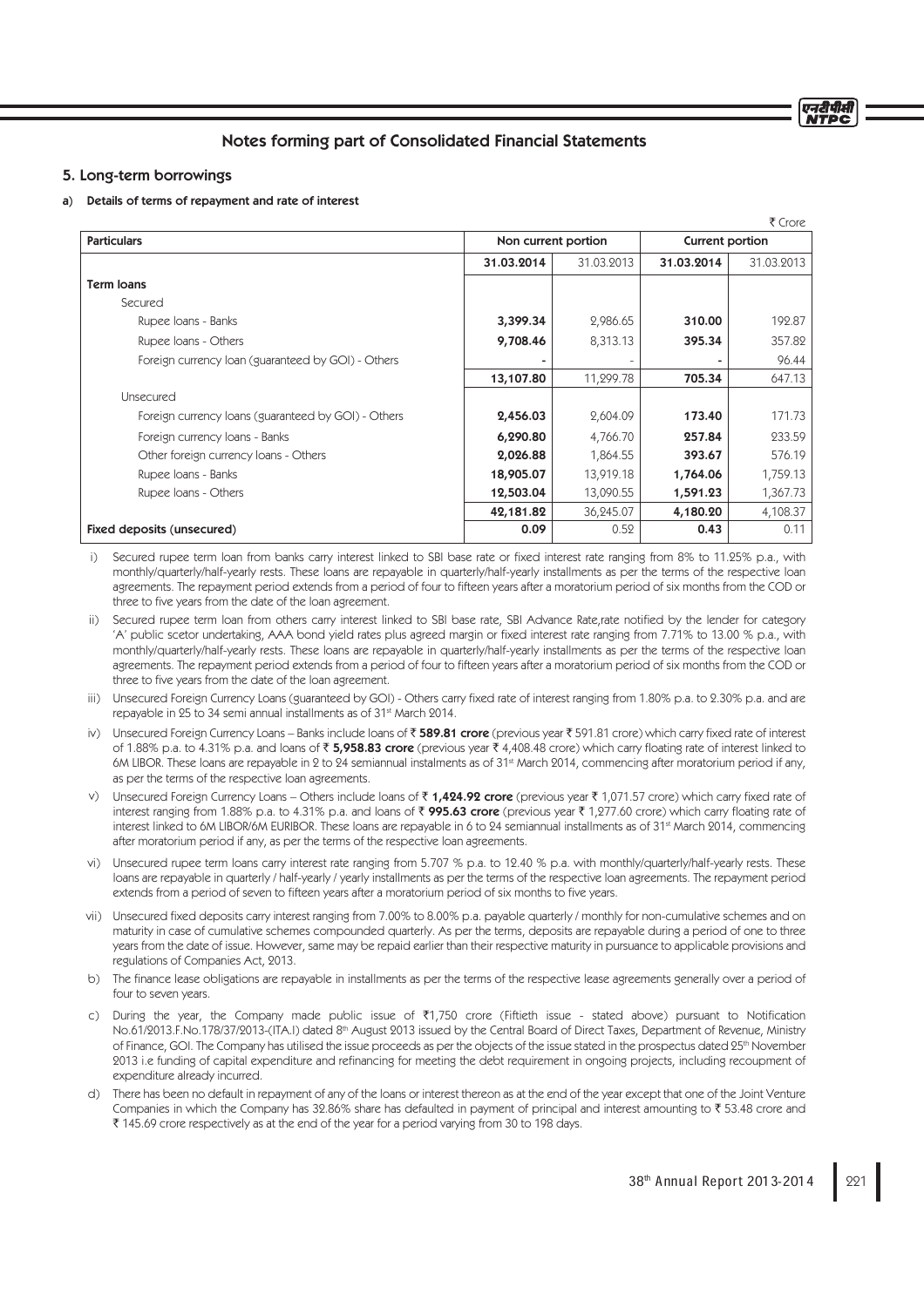# Notes forming part of Consolidated Financial Statements

## 5. Long-term borrowings

### a) Details of terms of repayment and rate of interest

|                                                     |                     |            |                 | ₹ Crore    |  |
|-----------------------------------------------------|---------------------|------------|-----------------|------------|--|
| <b>Particulars</b>                                  | Non current portion |            | Current portion |            |  |
|                                                     | 31.03.2014          | 31.03.2013 | 31.03.2014      | 31.03.2013 |  |
| <b>Term loans</b>                                   |                     |            |                 |            |  |
| Secured                                             |                     |            |                 |            |  |
| Rupee Ioans - Banks                                 | 3,399.34            | 2,986.65   | 310.00          | 192.87     |  |
| Rupee Ioans - Others                                | 9,708.46            | 8,313.13   | 395.34          | 357.82     |  |
| Foreign currency loan (guaranteed by GOI) - Others  |                     |            |                 | 96.44      |  |
|                                                     | 13,107.80           | 11,299.78  | 705.34          | 647.13     |  |
| <b>Unsecured</b>                                    |                     |            |                 |            |  |
| Foreign currency loans (guaranteed by GOI) - Others | 2,456.03            | 2,604.09   | 173.40          | 171.73     |  |
| Foreign currency loans - Banks                      | 6,290.80            | 4,766.70   | 257.84          | 233.59     |  |
| Other foreign currency loans - Others               | 2,026.88            | 1,864.55   | 393.67          | 576.19     |  |
| Rupee Ioans - Banks                                 | 18,905.07           | 13,919.18  | 1,764.06        | 1,759.13   |  |
| Rupee Ioans - Others                                | 12,503.04           | 13,090.55  | 1,591.23        | 1,367.73   |  |
|                                                     | 42,181.82           | 36,245.07  | 4,180.20        | 4,108.37   |  |
| Fixed deposits (unsecured)                          | 0.09                | 0.52       | 0.43            | 0.11       |  |

i) Secured rupee term loan from banks carry interest linked to SBI base rate or fixed interest rate ranging from 8% to 11.25% p.a., with monthly/quarterly/half-yearly rests. These loans are repayable in quarterly/half-yearly installments as per the terms of the respective loan agreements. The repayment period extends from a period of four to fifteen years after a moratorium period of six months from the COD or three to five years from the date of the loan agreement.

- ii) Secured rupee term loan from others carry interest linked to SBI base rate, SBI Advance Rate,rate notified by the lender for category 'A' public scetor undertaking, AAA bond yield rates plus agreed margin or fixed interest rate ranging from 7.71% to 13.00 % p.a., with monthly/quarterly/half-yearly rests. These loans are repayable in quarterly/half-yearly installments as per the terms of the respective loan agreements. The repayment period extends from a period of four to fifteen years after a moratorium period of six months from the COD or three to five years from the date of the loan agreement.
- iii) Unsecured Foreign Currency Loans (guaranteed by GOI) Others carry fixed rate of interest ranging from 1.80% p.a. to 2.30% p.a. and are repayable in 25 to 34 semi annual installments as of 31st March 2014.
- iv) Unsecured Foreign Currency Loans Banks include loans of  $\bar{x}$  589.81 crore (previous year  $\bar{x}$  591.81 crore) which carry fixed rate of interest of 1.88% p.a. to 4.31% p.a. and loans of  $\overline{\xi}$  5,958.83 crore (previous year  $\overline{\xi}$  4,408.48 crore) which carry floating rate of interest linked to 6M LIBOR. These loans are repayable in 2 to 24 semiannual instalments as of 31st March 2014, commencing after moratorium period if any, as per the terms of the respective loan agreements.
- v) Unsecured Foreign Currency Loans Others include loans of ₹1,424.92 crore (previous year ₹1,071.57 crore) which carry fixed rate of interest ranging from 1.88% p.a. to 4.31% p.a. and loans of  $\bar{x}$  995.63 crore (previous year  $\bar{x}$  1,277.60 crore) which carry floating rate of interest linked to 6M LIBOR/6M EURIBOR. These loans are repayable in 6 to 24 semiannual installments as of 31<sup>st</sup> March 2014, commencing after moratorium period if any, as per the terms of the respective loan agreements.
- Unsecured rupee term loans carry interest rate ranging from 5.707 % p.a. to 12.40 % p.a. with monthly/quarterly/half-yearly rests. These loans are repayable in quarterly / half-yearly / yearly installments as per the terms of the respective loan agreements. The repayment period extends from a period of seven to fifteen years after a moratorium period of six months to five years.
- vii) Unsecured fixed deposits carry interest ranging from 7.00% to 8.00% p.a. payable quarterly / monthly for non-cumulative schemes and on maturity in case of cumulative schemes compounded quarterly. As per the terms, deposits are repayable during a period of one to three years from the date of issue. However, same may be repaid earlier than their respective maturity in pursuance to applicable provisions and regulations of Companies Act, 2013.
- b) The finance lease obligations are repayable in installments as per the terms of the respective lease agreements generally over a period of four to seven years.
- c) During the year, the Company made public issue of  $\overline{21,750}$  crore (Fiftieth issue stated above) pursuant to Notification No.61/2013.F.No.178/37/2013-(ITA.I) dated 8<sup>th</sup> August 2013 issued by the Central Board of Direct Taxes, Department of Revenue, Ministry of Finance, GOI. The Company has utilised the issue proceeds as per the objects of the issue stated in the prospectus dated 25<sup>th</sup> November 2013 i.e funding of capital expenditure and refinancing for meeting the debt requirement in ongoing projects, including recoupment of expenditure already incurred.
- d) There has been no default in repayment of any of the loans or interest thereon as at the end of the year except that one of the Joint Venture Companies in which the Company has 32.86% share has defaulted in payment of principal and interest amounting to  $\bar{x}$  53.48 crore and ` 145.69 crore respectively as at the end of the year for a period varying from 30 to 198 days.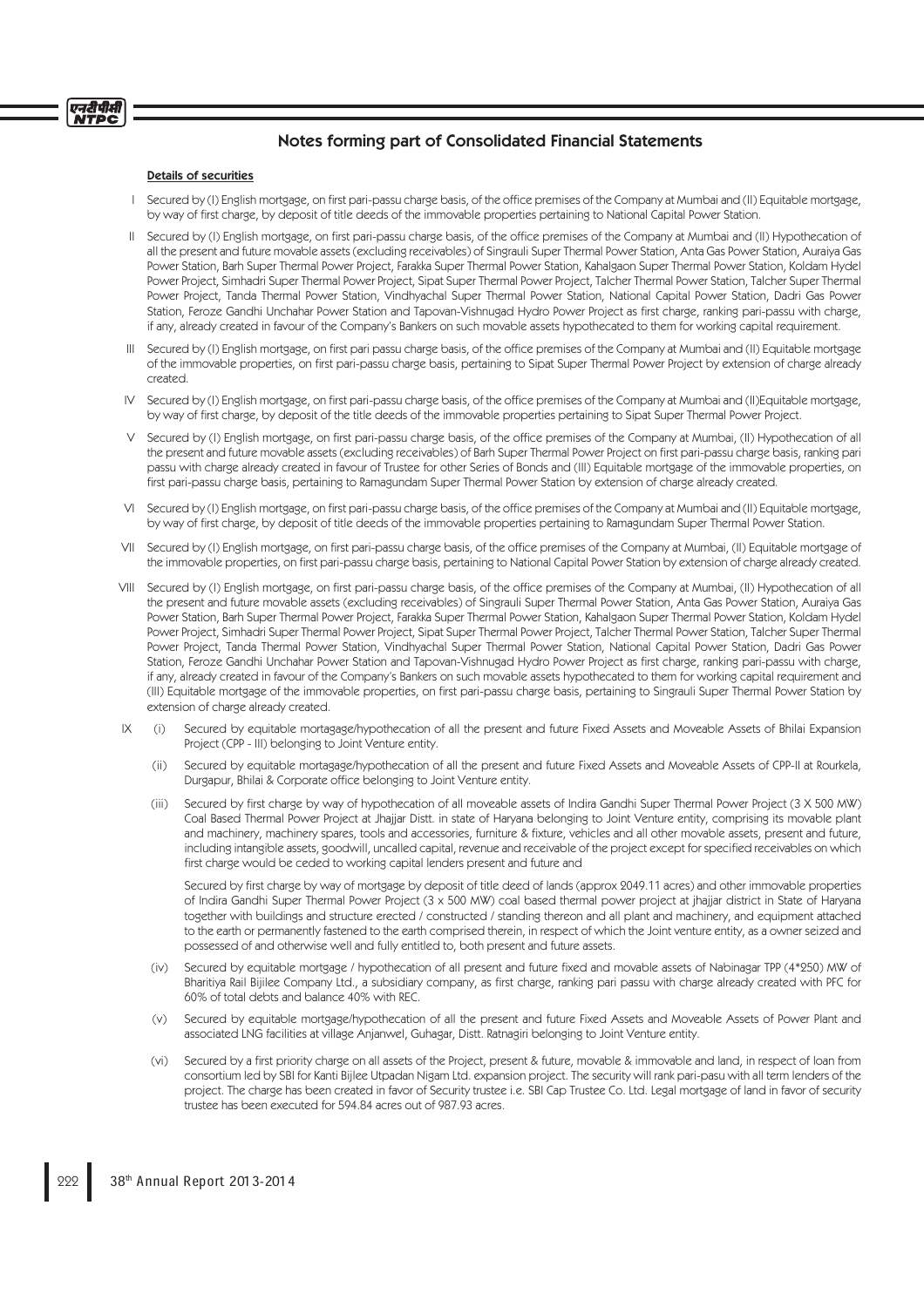#### Details of securities

एनदीपीसी **NTPC** 

- Secured by (I) English mortgage, on first pari-passu charge basis, of the office premises of the Company at Mumbai and (II) Equitable mortgage, by way of first charge, by deposit of title deeds of the immovable properties pertaining to National Capital Power Station.
- II Secured by (I) English mortgage, on first pari-passu charge basis, of the office premises of the Company at Mumbai and (II) Hypothecation of all the present and future movable assets (excluding receivables) of Singrauli Super Thermal Power Station, Anta Gas Power Station, Auraiya Gas Power Station, Barh Super Thermal Power Project, Farakka Super Thermal Power Station, Kahalgaon Super Thermal Power Station, Koldam Hydel Power Project, Simhadri Super Thermal Power Project, Sipat Super Thermal Power Project, Talcher Thermal Power Station, Talcher Super Thermal Power Project, Tanda Thermal Power Station, Vindhyachal Super Thermal Power Station, National Capital Power Station, Dadri Gas Power Station, Feroze Gandhi Unchahar Power Station and Tapovan-Vishnugad Hydro Power Project as first charge, ranking pari-passu with charge, if any, already created in favour of the Company's Bankers on such movable assets hypothecated to them for working capital requirement.
- III Secured by (I) English mortgage, on first pari passu charge basis, of the office premises of the Company at Mumbai and (II) Equitable mortgage of the immovable properties, on first pari-passu charge basis, pertaining to Sipat Super Thermal Power Project by extension of charge already created.
- Secured by (I) English mortgage, on first pari-passu charge basis, of the office premises of the Company at Mumbai and (II)Equitable mortgage, by way of first charge, by deposit of the title deeds of the immovable properties pertaining to Sipat Super Thermal Power Project.
- V Secured by (I) English mortgage, on first pari-passu charge basis, of the office premises of the Company at Mumbai, (II) Hypothecation of all the present and future movable assets (excluding receivables) of Barh Super Thermal Power Project on first pari-passu charge basis, ranking pari passu with charge already created in favour of Trustee for other Series of Bonds and (III) Equitable mortgage of the immovable properties, on first pari-passu charge basis, pertaining to Ramagundam Super Thermal Power Station by extension of charge already created.
- VI Secured by (I) English mortgage, on first pari-passu charge basis, of the office premises of the Company at Mumbai and (II) Equitable mortgage, by way of fi rst charge, by deposit of title deeds of the immovable properties pertaining to Ramagundam Super Thermal Power Station.
- VII Secured by (I) English mortgage, on first pari-passu charge basis, of the office premises of the Company at Mumbai, (II) Equitable mortgage of the immovable properties, on first pari-passu charge basis, pertaining to National Capital Power Station by extension of charge already created.
- VIII Secured by (I) English mortgage, on first pari-passu charge basis, of the office premises of the Company at Mumbai, (II) Hypothecation of all the present and future movable assets (excluding receivables) of Singrauli Super Thermal Power Station, Anta Gas Power Station, Auraiya Gas Power Station, Barh Super Thermal Power Project, Farakka Super Thermal Power Station, Kahalgaon Super Thermal Power Station, Koldam Hydel Power Project, Simhadri Super Thermal Power Project, Sipat Super Thermal Power Project, Talcher Thermal Power Station, Talcher Super Thermal Power Project, Tanda Thermal Power Station, Vindhyachal Super Thermal Power Station, National Capital Power Station, Dadri Gas Power Station, Feroze Gandhi Unchahar Power Station and Tapovan-Vishnugad Hydro Power Project as first charge, ranking pari-passu with charge, if any, already created in favour of the Company's Bankers on such movable assets hypothecated to them for working capital requirement and (III) Equitable mortgage of the immovable properties, on first pari-passu charge basis, pertaining to Singrauli Super Thermal Power Station by extension of charge already created.
- IX (i) Secured by equitable mortagage/hypothecation of all the present and future Fixed Assets and Moveable Assets of Bhilai Expansion Project (CPP - III) belonging to Joint Venture entity.
	- (ii) Secured by equitable mortagage/hypothecation of all the present and future Fixed Assets and Moveable Assets of CPP-II at Rourkela, Durgapur, Bhilai & Corporate office belonging to Joint Venture entity.
	- (iii) Secured by first charge by way of hypothecation of all moveable assets of Indira Gandhi Super Thermal Power Project (3 X 500 MW) Coal Based Thermal Power Project at Jhajjar Distt. in state of Haryana belonging to Joint Venture entity, comprising its movable plant and machinery, machinery spares, tools and accessories, furniture & fixture, vehicles and all other movable assets, present and future, including intangible assets, goodwill, uncalled capital, revenue and receivable of the project except for specified receivables on which first charge would be ceded to working capital lenders present and future and

Secured by first charge by way of mortgage by deposit of title deed of lands (approx 2049.11 acres) and other immovable properties of Indira Gandhi Super Thermal Power Project (3 x 500 MW) coal based thermal power project at jhajjar district in State of Haryana together with buildings and structure erected / constructed / standing thereon and all plant and machinery, and equipment attached to the earth or permanently fastened to the earth comprised therein, in respect of which the Joint venture entity, as a owner seized and possessed of and otherwise well and fully entitled to, both present and future assets.

- (iv) Secured by equitable mortgage / hypothecation of all present and future fixed and movable assets of Nabinagar TPP (4\*250) MW of Bharitiya Rail Bijilee Company Ltd., a subsidiary company, as first charge, ranking pari passu with charge already created with PFC for 60% of total debts and balance 40% with REC.
- Secured by equitable mortgage/hypothecation of all the present and future Fixed Assets and Moveable Assets of Power Plant and associated LNG facilities at village Anjanwel, Guhagar, Distt. Ratnagiri belonging to Joint Venture entity.
- (vi) Secured by a first priority charge on all assets of the Project, present & future, movable & immovable and land, in respect of loan from consortium led by SBI for Kanti Bijlee Utpadan Nigam Ltd. expansion project. The security will rank pari-pasu with all term lenders of the project. The charge has been created in favor of Security trustee i.e. SBI Cap Trustee Co. Ltd. Legal mortgage of land in favor of security trustee has been executed for 594.84 acres out of 987.93 acres.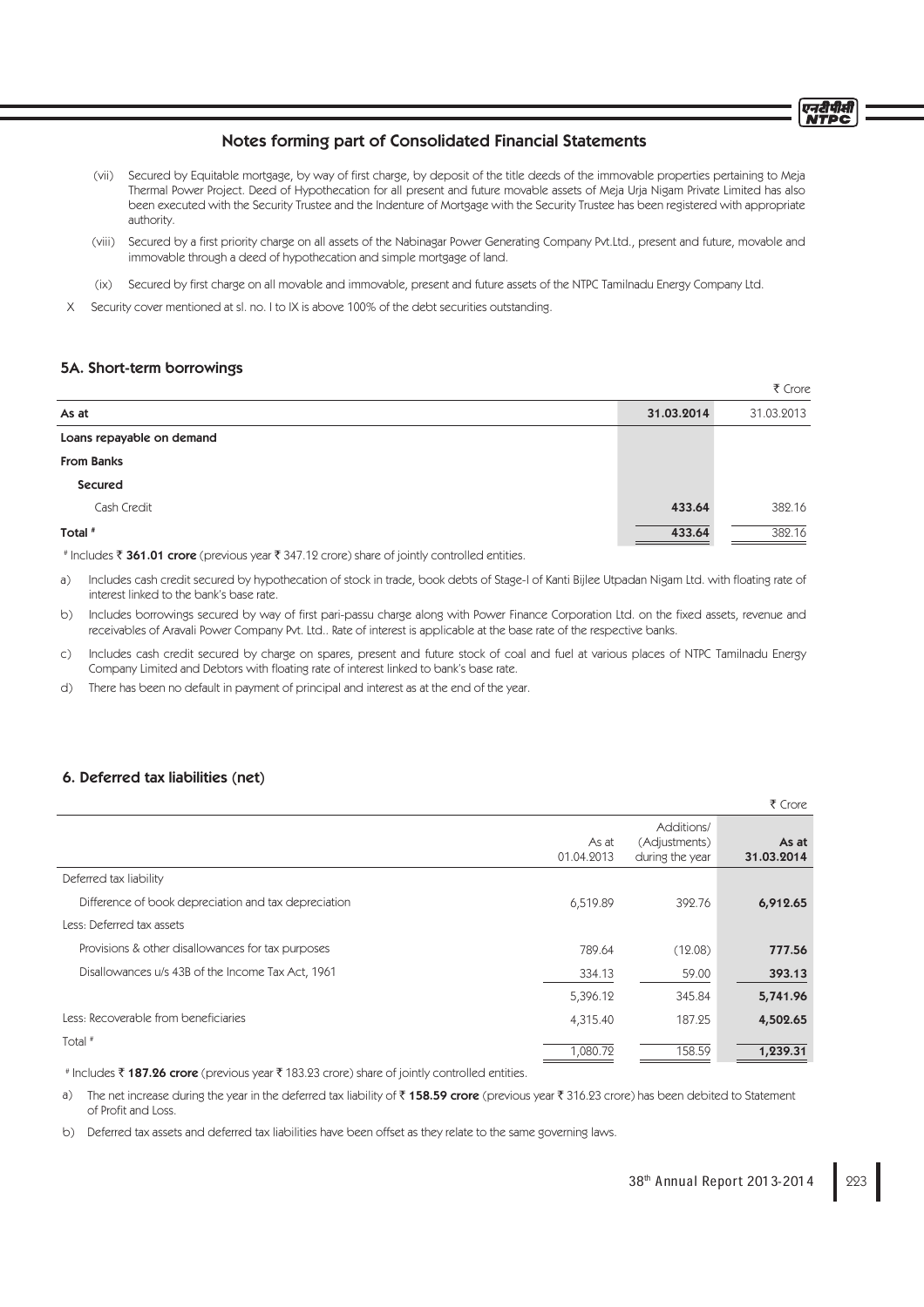एनटीपीर्स **NTDC** 

# Notes forming part of Consolidated Financial Statements

- (vii) Secured by Equitable mortgage, by way of first charge, by deposit of the title deeds of the immovable properties pertaining to Meja Thermal Power Project. Deed of Hypothecation for all present and future movable assets of Meja Urja Nigam Private Limited has also been executed with the Security Trustee and the Indenture of Mortgage with the Security Trustee has been registered with appropriate authority.
- (viii) Secured by a first priority charge on all assets of the Nabinagar Power Generating Company Pvt.Ltd., present and future, movable and immovable through a deed of hypothecation and simple mortgage of land.
- (ix) Secured by first charge on all movable and immovable, present and future assets of the NTPC Tamilnadu Energy Company Ltd.
- X Security cover mentioned at sl. no. I to IX is above 100% of the debt securities outstanding.

## 5A. Short-term borrowings

|                           |            | ₹ Crore    |
|---------------------------|------------|------------|
| As at                     | 31.03.2014 | 31.03.2013 |
| Loans repayable on demand |            |            |
| <b>From Banks</b>         |            |            |
| Secured                   |            |            |
| Cash Credit               | 433.64     | 382.16     |
| Total #                   | 433.64     | 382.16     |

# Includes ₹ 361.01 crore (previous year ₹ 347.12 crore) share of jointly controlled entities.

- a) Includes cash credit secured by hypothecation of stock in trade, book debts of Stage-I of Kanti Bijlee Utpadan Nigam Ltd. with floating rate of interest linked to the bank's base rate.
- b) Includes borrowings secured by way of first pari-passu charge along with Power Finance Corporation Ltd. on the fixed assets, revenue and receivables of Aravali Power Company Pvt. Ltd.. Rate of interest is applicable at the base rate of the respective banks.
- c) Includes cash credit secured by charge on spares, present and future stock of coal and fuel at various places of NTPC Tamilnadu Energy Company Limited and Debtors with floating rate of interest linked to bank's base rate.
- d) There has been no default in payment of principal and interest as at the end of the year.

## 6. Deferred tax liabilities (net)

|                                                      |                     |                                                | ₹ Crore             |
|------------------------------------------------------|---------------------|------------------------------------------------|---------------------|
|                                                      | As at<br>01.04.2013 | Additions/<br>(Adjustments)<br>during the year | As at<br>31.03.2014 |
| Deferred tax liability                               |                     |                                                |                     |
| Difference of book depreciation and tax depreciation | 6,519.89            | 392.76                                         | 6,912.65            |
| Less: Deferred tax assets                            |                     |                                                |                     |
| Provisions & other disallowances for tax purposes    | 789.64              | (12.08)                                        | 777.56              |
| Disallowances u/s 43B of the Income Tax Act, 1961    | 334.13              | 59.00                                          | 393.13              |
|                                                      | 5,396.12            | 345.84                                         | 5,741.96            |
| Less: Recoverable from beneficiaries                 | 4,315.40            | 187.25                                         | 4,502.65            |
| Total $#$                                            | 1,080.72            | 158.59                                         | 1,239.31            |

# Includes ₹ 187.26 crore (previous year ₹ 183.23 crore) share of jointly controlled entities.

a) The net increase during the year in the deferred tax liability of  $\bar{f}$  158.59 crore (previous year  $\bar{f}$  316.23 crore) has been debited to Statement of Profit and Loss.

b) Deferred tax assets and deferred tax liabilities have been offset as they relate to the same governing laws.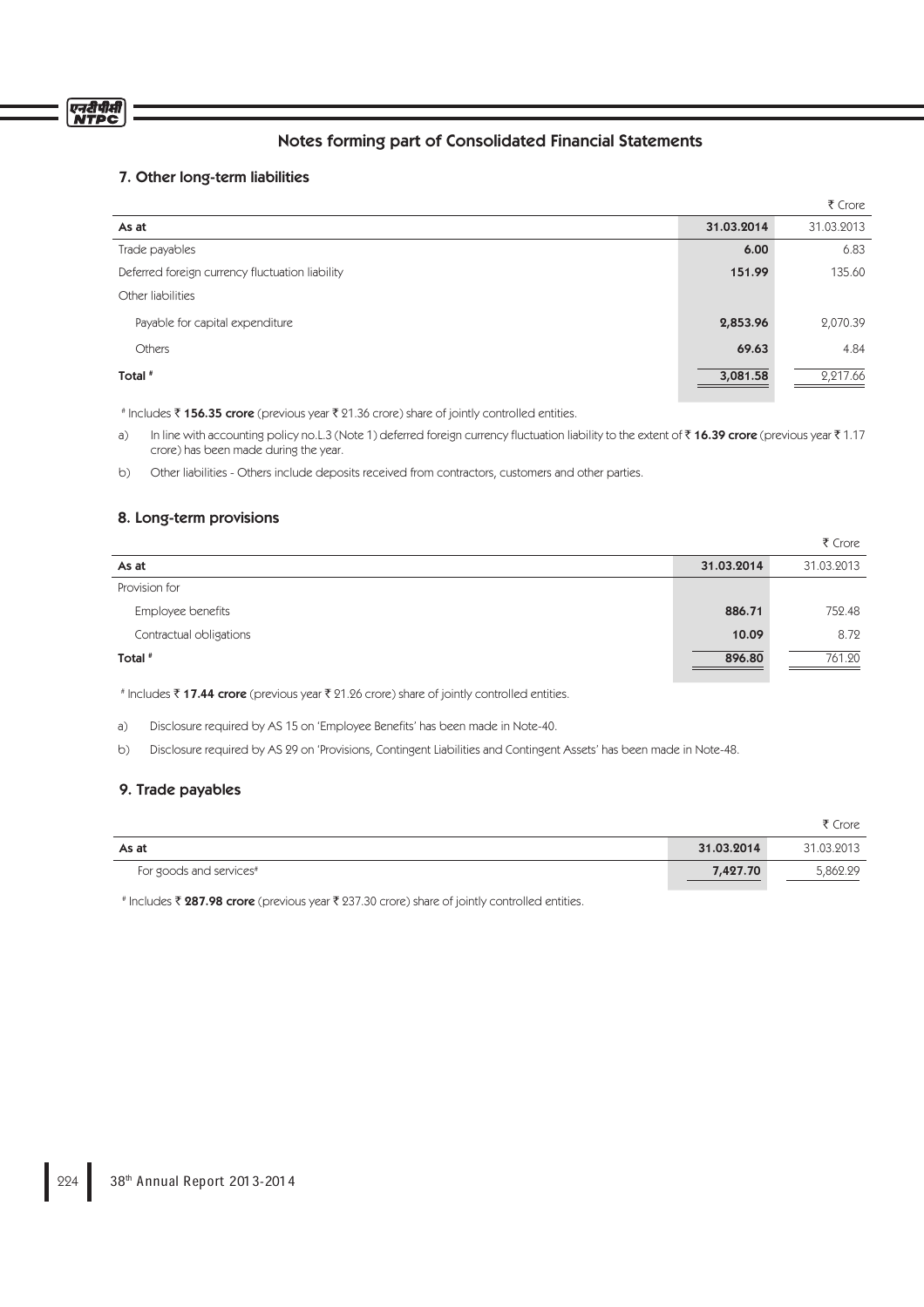# Notes forming part of Consolidated Financial Statements

# 7. Other long-term liabilities

|                                                 |            | ₹ Crore    |
|-------------------------------------------------|------------|------------|
| As at                                           | 31.03.2014 | 31.03.2013 |
| Trade payables                                  | 6.00       | 6.83       |
| Deferred foreign currency fluctuation liability | 151.99     | 135.60     |
| Other liabilities                               |            |            |
| Payable for capital expenditure                 | 2,853.96   | 2,070.39   |
| <b>Others</b>                                   | 69.63      | 4.84       |
| Total #                                         | 3,081.58   | 2,217.66   |

# Includes ₹156.35 crore (previous year ₹21.36 crore) share of jointly controlled entities.

a) In line with accounting policy no.L.3 (Note 1) deferred foreign currency fluctuation liability to the extent of  $\bar{\tau}$  16.39 crore (previous year  $\bar{\tau}$  1.17 crore) has been made during the year.

b) Other liabilities - Others include deposits received from contractors, customers and other parties.

# 8. Long-term provisions

|                         |            | ₹ Crore    |
|-------------------------|------------|------------|
| As at                   | 31.03.2014 | 31.03.2013 |
| Provision for           |            |            |
| Employee benefits       | 886.71     | 752.48     |
| Contractual obligations | 10.09      | 8.72       |
| Total <sup>#</sup>      | 896.80     | 761.20     |

# Includes ₹17.44 crore (previous year ₹21.26 crore) share of jointly controlled entities.

a) Disclosure required by AS 15 on 'Employee Benefits' has been made in Note-40.

b) Disclosure required by AS 29 on 'Provisions, Contingent Liabilities and Contingent Assets' has been made in Note-48.

# 9. Trade payables

|                         |            | ₹ Crore    |
|-------------------------|------------|------------|
| As at                   | 31.03.2014 | 31.03.2013 |
| For goods and services# | 7,427.70   | 5.862.29   |

# Includes ₹ 287.98 crore (previous year ₹ 237.30 crore) share of jointly controlled entities.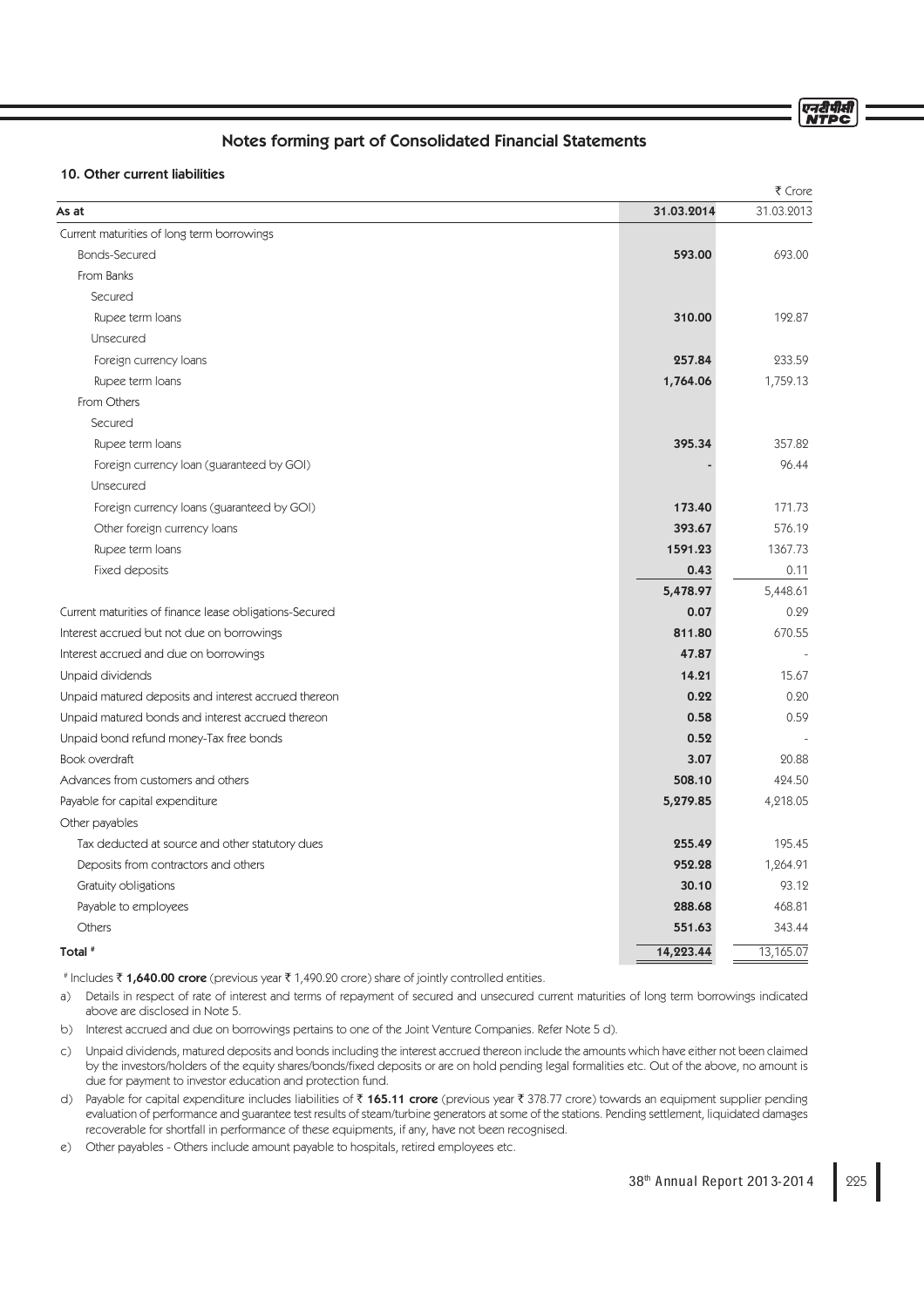# Notes forming part of Consolidated Financial Statements

## 10. Other current liabilities

|                                                         |            | ₹ Crore    |
|---------------------------------------------------------|------------|------------|
| As at                                                   | 31.03.2014 | 31.03.2013 |
| Current maturities of long term borrowings              |            |            |
| <b>Bonds-Secured</b>                                    | 593.00     | 693.00     |
| From Banks                                              |            |            |
| Secured                                                 |            |            |
| Rupee term loans                                        | 310.00     | 192.87     |
| Unsecured                                               |            |            |
| Foreign currency loans                                  | 257.84     | 233.59     |
| Rupee term loans                                        | 1,764.06   | 1,759.13   |
| From Others                                             |            |            |
| Secured                                                 |            |            |
| Rupee term loans                                        | 395.34     | 357.82     |
| Foreign currency loan (guaranteed by GOI)               |            | 96.44      |
| Unsecured                                               |            |            |
| Foreign currency loans (guaranteed by GOI)              | 173.40     | 171.73     |
| Other foreign currency loans                            | 393.67     | 576.19     |
| Rupee term loans                                        | 1591.23    | 1367.73    |
| Fixed deposits                                          | 0.43       | 0.11       |
|                                                         | 5,478.97   | 5,448.61   |
| Current maturities of finance lease obligations-Secured | 0.07       | 0.29       |
| Interest accrued but not due on borrowings              | 811.80     | 670.55     |
| Interest accrued and due on borrowings                  | 47.87      |            |
| Unpaid dividends                                        | 14.21      | 15.67      |
| Unpaid matured deposits and interest accrued thereon    | 0.22       | 0.20       |
| Unpaid matured bonds and interest accrued thereon       | 0.58       | 0.59       |
| Unpaid bond refund money-Tax free bonds                 | 0.52       |            |
| Book overdraft                                          | 3.07       | 20.88      |
| Advances from customers and others                      | 508.10     | 424.50     |
| Payable for capital expenditure                         | 5,279.85   | 4,218.05   |
| Other payables                                          |            |            |
| Tax deducted at source and other statutory dues         | 255.49     | 195.45     |
| Deposits from contractors and others                    | 952.28     | 1,264.91   |
| Gratuity obligations                                    | 30.10      | 93.12      |
| Payable to employees                                    | 288.68     | 468.81     |
| Others                                                  | 551.63     | 343.44     |
| Total #                                                 | 14,223.44  | 13,165.07  |
|                                                         |            |            |

# Includes **₹ 1,640.00 crore** (previous year ₹ 1,490.20 crore) share of jointly controlled entities.

a) Details in respect of rate of interest and terms of repayment of secured and unsecured current maturities of long term borrowings indicated above are disclosed in Note 5.

b) Interest accrued and due on borrowings pertains to one of the Joint Venture Companies. Refer Note 5 d).

c) Unpaid dividends, matured deposits and bonds including the interest accrued thereon include the amounts which have either not been claimed by the investors/holders of the equity shares/bonds/fixed deposits or are on hold pending legal formalities etc. Out of the above, no amount is due for payment to investor education and protection fund.

d) Payable for capital expenditure includes liabilities of ₹ 165.11 crore (previous year ₹ 378.77 crore) towards an equipment supplier pending evaluation of performance and guarantee test results of steam/turbine generators at some of the stations. Pending settlement, liquidated damages recoverable for shortfall in performance of these equipments, if any, have not been recognised.

e) Other payables - Others include amount payable to hospitals, retired employees etc.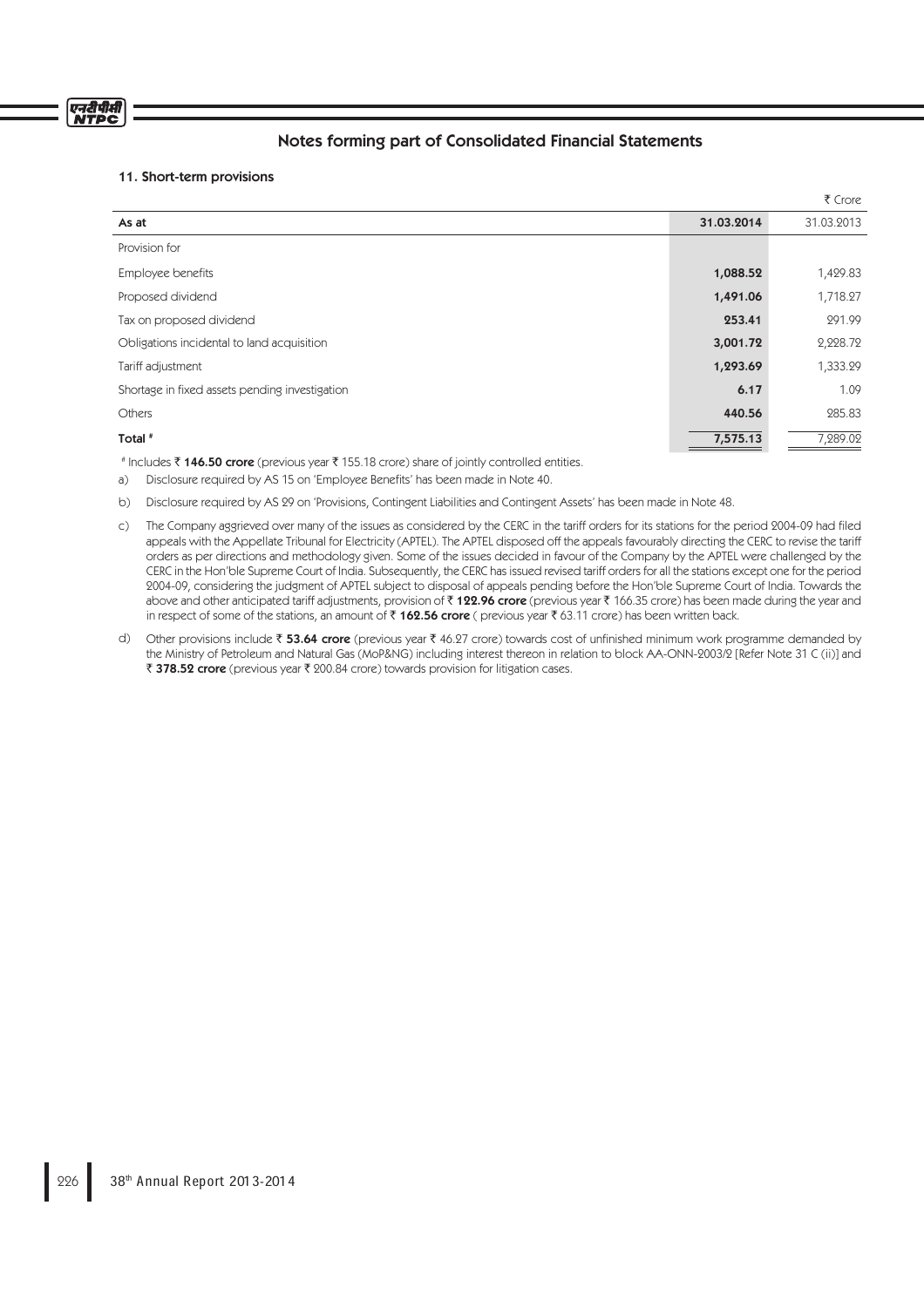# एनरीपीर्स

# Notes forming part of Consolidated Financial Statements

# 11. Short-term provisions

|                                                |            | ₹ Crore    |
|------------------------------------------------|------------|------------|
| As at                                          | 31.03.2014 | 31.03.2013 |
| Provision for                                  |            |            |
| Employee benefits                              | 1,088.52   | 1,429.83   |
| Proposed dividend                              | 1,491.06   | 1,718.27   |
| Tax on proposed dividend                       | 253.41     | 291.99     |
| Obligations incidental to land acquisition     | 3,001.72   | 2,228.72   |
| Tariff adjustment                              | 1,293.69   | 1,333.29   |
| Shortage in fixed assets pending investigation | 6.17       | 1.09       |
| Others                                         | 440.56     | 285.83     |
| Total #<br>- マネロロッター マーク・ストリー マーク・コール アンバイン    | 7,575.13   | 7,289.02   |

# Includes ₹ **146.50 crore** (previous year ₹ 155.18 crore) share of jointly controlled entities.

a) Disclosure required by AS 15 on 'Employee Benefits' has been made in Note 40.

b) Disclosure required by AS 29 on 'Provisions, Contingent Liabilities and Contingent Assets' has been made in Note 48.

- c) The Company aggrieved over many of the issues as considered by the CERC in the tariff orders for its stations for the period 2004-09 had filed appeals with the Appellate Tribunal for Electricity (APTEL). The APTEL disposed off the appeals favourably directing the CERC to revise the tariff orders as per directions and methodology given. Some of the issues decided in favour of the Company by the APTEL were challenged by the CERC in the Hon'ble Supreme Court of India. Subsequently, the CERC has issued revised tariff orders for all the stations except one for the period 2004-09, considering the judgment of APTEL subject to disposal of appeals pending before the Hon'ble Supreme Court of India. Towards the above and other anticipated tariff adjustments, provision of ₹122.96 crore (previous year ₹166.35 crore) has been made during the year and in respect of some of the stations, an amount of  $\bar{x}$  162.56 crore ( previous year  $\bar{x}$  63.11 crore) has been written back.
- d) Other provisions include ₹ 53.64 crore (previous year ₹ 46.27 crore) towards cost of unfinished minimum work programme demanded by the Ministry of Petroleum and Natural Gas (MoP&NG) including interest thereon in relation to block AA-ONN-2003/2 [Refer Note 31 C (ii)] and ₹ 378.52 crore (previous year ₹ 200.84 crore) towards provision for litigation cases.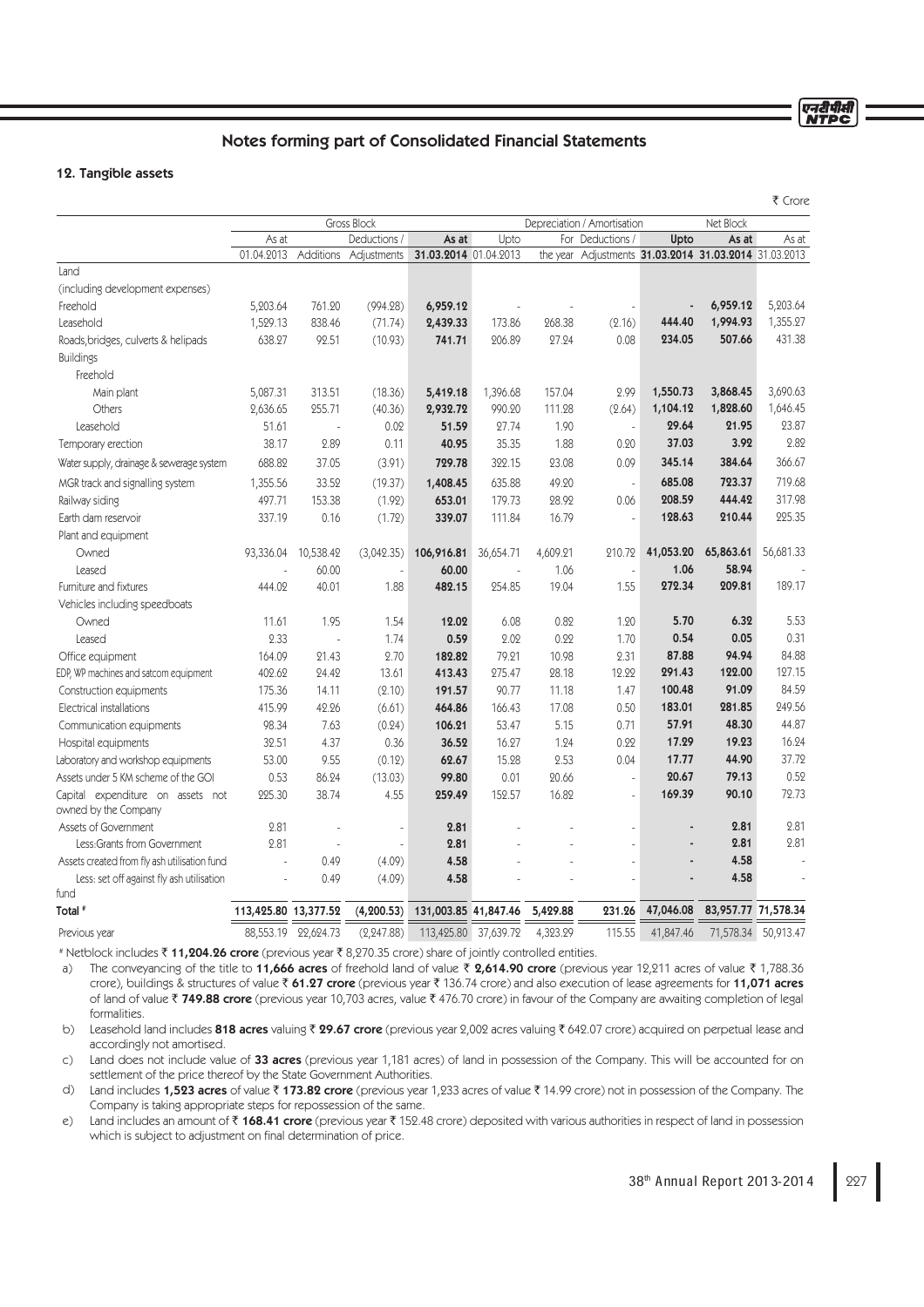एनरीपीसी<br>NTPC

# Notes forming part of Consolidated Financial Statements

## 12. Tangible assets

|                                                           |                                            |                     |              |                       |           |          |                                                       |           |                     | ₹ Crore   |
|-----------------------------------------------------------|--------------------------------------------|---------------------|--------------|-----------------------|-----------|----------|-------------------------------------------------------|-----------|---------------------|-----------|
|                                                           | Gross Block<br>Depreciation / Amortisation |                     |              |                       |           |          | Net Block                                             |           |                     |           |
|                                                           | As at                                      |                     | Deductions / | As at                 | Upto      |          | For Deductions /                                      | Upto      | As at               | As at     |
|                                                           | 01.04.2013                                 | Additions           | Adjustments  | 31.03.2014 01.04.2013 |           |          | the year Adjustments 31.03.2014 31.03.2014 31.03.2013 |           |                     |           |
| Land                                                      |                                            |                     |              |                       |           |          |                                                       |           |                     |           |
| (including development expenses)                          |                                            |                     |              |                       |           |          |                                                       |           |                     |           |
| Freehold                                                  | 5,203.64                                   | 761.20              | (994.28)     | 6,959.12              |           |          |                                                       |           | 6,959.12            | 5,203.64  |
| Leasehold                                                 | 1,529.13                                   | 838.46              | (71.74)      | 2,439.33              | 173.86    | 268.38   | (2.16)                                                | 444.40    | 1,994.93            | 1,355.27  |
| Roads, bridges, culverts & helipads                       | 638.27                                     | 92.51               | (10.93)      | 741.71                | 206.89    | 27.24    | 0.08                                                  | 234.05    | 507.66              | 431.38    |
| <b>Buildings</b>                                          |                                            |                     |              |                       |           |          |                                                       |           |                     |           |
| Freehold                                                  |                                            |                     |              |                       |           |          |                                                       |           |                     |           |
| Main plant                                                | 5,087.31                                   | 313.51              | (18.36)      | 5,419.18              | 1,396.68  | 157.04   | 2.99                                                  | 1,550.73  | 3,868.45            | 3,690.63  |
| Others                                                    | 2,636.65                                   | 255.71              | (40.36)      | 2,932.72              | 990.20    | 111.28   | (2.64)                                                | 1,104.12  | 1,828.60            | 1,646.45  |
| Leasehold                                                 | 51.61                                      |                     | 0.02         | 51.59                 | 27.74     | 1.90     | $\Box$                                                | 29.64     | 21.95               | 23.87     |
| Temporary erection                                        | 38.17                                      | 2.89                | 0.11         | 40.95                 | 35.35     | 1.88     | 0.20                                                  | 37.03     | 3.92                | 2.82      |
| Water supply, drainage & sewerage system                  | 688.82                                     | 37.05               | (3.91)       | 729.78                | 322.15    | 23.08    | 0.09                                                  | 345.14    | 384.64              | 366.67    |
| MGR track and signalling system                           | 1,355.56                                   | 33.52               | (19.37)      | 1,408.45              | 635.88    | 49.20    | $\bar{z}$                                             | 685.08    | 723.37              | 719.68    |
| Railway siding                                            | 497.71                                     | 153.38              | (1.92)       | 653.01                | 179.73    | 28.92    | 0.06                                                  | 208.59    | 444.42              | 317.98    |
| Earth dam reservoir                                       | 337.19                                     | 0.16                | (1.72)       | 339.07                | 111.84    | 16.79    | $\overline{a}$                                        | 128.63    | 210.44              | 225.35    |
| Plant and equipment                                       |                                            |                     |              |                       |           |          |                                                       |           |                     |           |
| Owned                                                     | 93,336.04                                  | 10,538.42           | (3,042.35)   | 106,916.81            | 36,654.71 | 4,609.21 | 210.72                                                | 41,053.20 | 65,863.61           | 56,681.33 |
| Leased                                                    |                                            | 60.00               |              | 60.00                 |           | 1.06     |                                                       | 1.06      | 58.94               |           |
| Furniture and fixtures                                    | 444.02                                     | 40.01               | 1.88         | 482.15                | 254.85    | 19.04    | 1.55                                                  | 272.34    | 209.81              | 189.17    |
| Vehicles including speedboats                             |                                            |                     |              |                       |           |          |                                                       |           |                     |           |
| Owned                                                     | 11.61                                      | 1.95                | 1.54         | 12.02                 | 6.08      | 0.82     | 1.20                                                  | 5.70      | 6.32                | 5.53      |
| Leased                                                    | 2.33                                       | $\overline{a}$      | 1.74         | 0.59                  | 2.02      | 0.22     | 1.70                                                  | 0.54      | 0.05                | 0.31      |
| Office equipment                                          | 164.09                                     | 21.43               | 2.70         | 182.82                | 79.21     | 10.98    | 2.31                                                  | 87.88     | 94.94               | 84.88     |
| EDP, WP machines and satcom equipment                     | 402.62                                     | 24.42               | 13.61        | 413.43                | 275.47    | 28.18    | 12.22                                                 | 291.43    | 122.00              | 127.15    |
| Construction equipments                                   | 175.36                                     | 14.11               | (2.10)       | 191.57                | 90.77     | 11.18    | 1.47                                                  | 100.48    | 91.09               | 84.59     |
| Electrical installations                                  | 415.99                                     | 42.26               | (6.61)       | 464.86                | 166.43    | 17.08    | 0.50                                                  | 183.01    | 281.85              | 249.56    |
| Communication equipments                                  | 98.34                                      | 7.63                | (0.24)       | 106.21                | 53.47     | 5.15     | 0.71                                                  | 57.91     | 48.30               | 44.87     |
| Hospital equipments                                       | 32.51                                      | 4.37                | 0.36         | 36.52                 | 16.27     | 1.24     | 0.22                                                  | 17.29     | 19.23               | 16.24     |
| Laboratory and workshop equipments                        | 53.00                                      | 9.55                | (0.12)       | 62.67                 | 15.28     | 2.53     | 0.04                                                  | 17.77     | 44.90               | 37.72     |
| Assets under 5 KM scheme of the GOI                       | 0.53                                       | 86.24               | (13.03)      | 99.80                 | 0.01      | 20.66    | ÷,                                                    | 20.67     | 79.13               | 0.52      |
| Capital expenditure on assets not<br>owned by the Company | 225.30                                     | 38.74               | 4.55         | 259.49                | 152.57    | 16.82    |                                                       | 169.39    | 90.10               | 72.73     |
| Assets of Government                                      | 2.81                                       |                     |              | 2.81                  |           |          |                                                       |           | 2.81                | 2.81      |
| Less:Grants from Government                               | 2.81                                       |                     |              | 2.81                  |           |          |                                                       |           | 2.81                | 2.81      |
| Assets created from fly ash utilisation fund              | $\mathcal{L}$                              | 0.49                | (4.09)       | 4.58                  |           |          |                                                       |           | 4.58                |           |
| Less: set off against fly ash utilisation<br>fund         | $\sim$                                     | 0.49                | (4.09)       | 4.58                  |           |          |                                                       |           | 4.58                |           |
| Total <sup>#</sup>                                        | 113,425.80 13,377.52                       |                     | (4, 200.53)  | 131,003.85 41,847.46  |           | 5,429.88 | 231.26                                                | 47,046.08 | 83,957.77 71,578.34 |           |
| Previous year                                             |                                            | 88,553.19 22,624.73 | (2, 247.88)  | 113,425.80 37,639.72  |           | 4,323.29 | 115.55                                                | 41,847.46 | 71,578.34           | 50,913.47 |

# Netblock includes **₹ 11,204.26 crore** (previous year ₹ 8,270.35 crore) share of jointly controlled entities.

a) The conveyancing of the title to 11,666 acres of freehold land of value  $\bar{\tau}$  2,614.90 crore (previous year 12,211 acres of value  $\bar{\tau}$  1,788.36 crore), buildings & structures of value ₹61.27 crore (previous year ₹136.74 crore) and also execution of lease agreements for 11,071 acres of land of value ₹ 749.88 crore (previous year 10,703 acres, value ₹ 476.70 crore) in favour of the Company are awaiting completion of legal formalities.

b) Leasehold land includes 818 acres valuing ₹ 29.67 crore (previous year 2,002 acres valuing ₹ 642.07 crore) acquired on perpetual lease and accordingly not amortised.

c) Land does not include value of 33 acres (previous year 1,181 acres) of land in possession of the Company. This will be accounted for on settlement of the price thereof by the State Government Authorities.

d) Land includes 1,523 acres of value  $\bar{x}$  173.82 crore (previous year 1,233 acres of value  $\bar{x}$  14.99 crore) not in possession of the Company. The Company is taking appropriate steps for repossession of the same.

e) Land includes an amount of  $\bar{\tau}$  168.41 crore (previous year  $\bar{\tau}$  152.48 crore) deposited with various authorities in respect of land in possession which is subject to adjustment on final determination of price.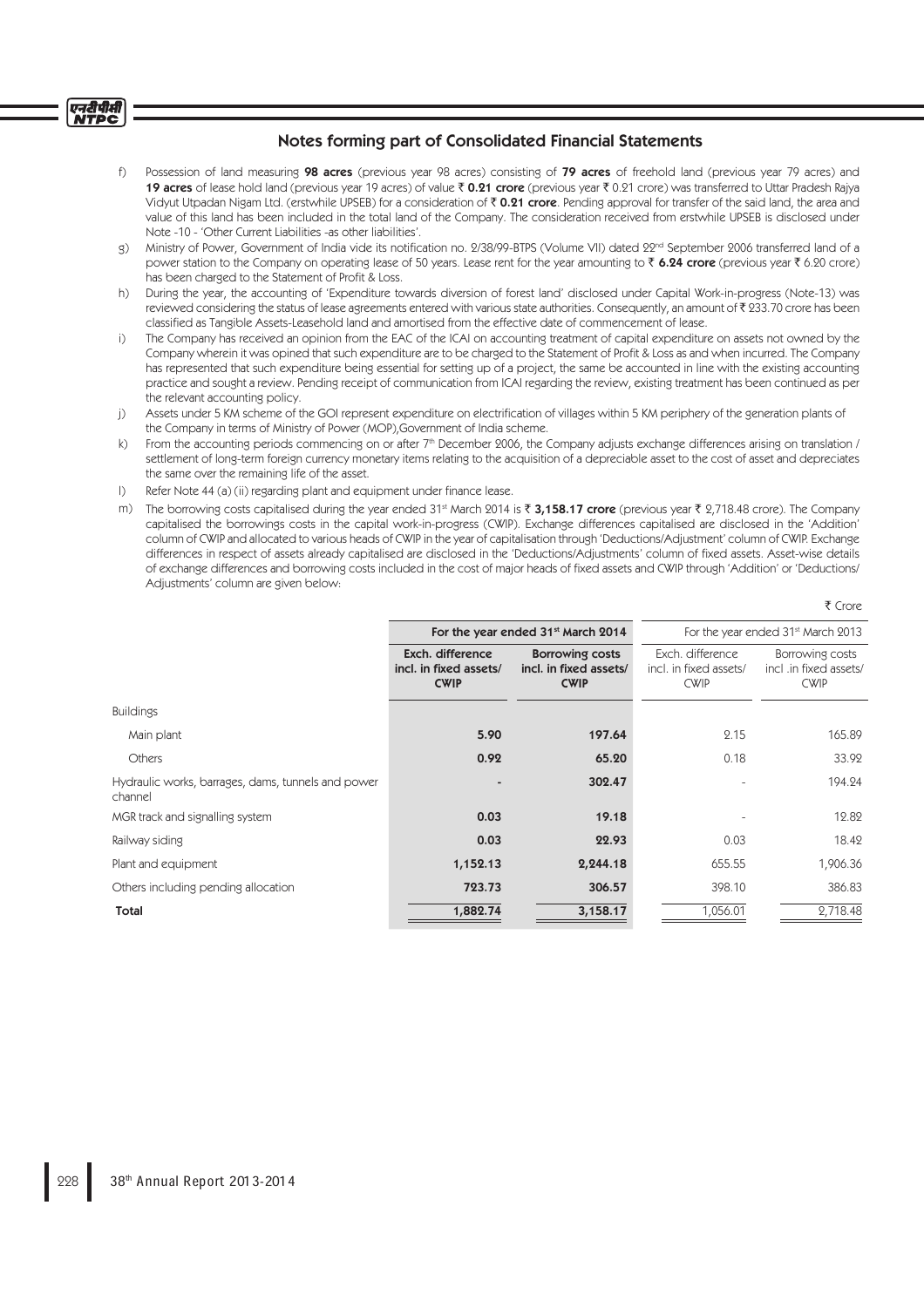#### एनदीपीसी **NTPC**

# Notes forming part of Consolidated Financial Statements

- f) Possession of land measuring 98 acres (previous year 98 acres) consisting of 79 acres of freehold land (previous year 79 acres) and **19 acres** of lease hold land (previous year 19 acres) of value ₹ 0.21 crore (previous year ₹ 0.21 crore) was transferred to Uttar Pradesh Rajya Vidyut Utpadan Nigam Ltd. (erstwhile UPSEB) for a consideration of  $\bar{\tau}$  0.21 crore. Pending approval for transfer of the said land, the area and value of this land has been included in the total land of the Company. The consideration received from erstwhile UPSEB is disclosed under Note -10 - 'Other Current Liabilities -as other liabilities'.
- g) Ministry of Power, Government of India vide its notification no. 2/38/99-BTPS (Volume VII) dated 22<sup>nd</sup> September 2006 transferred land of a power station to the Company on operating lease of 50 years. Lease rent for the year amounting to  $\bar{\tau}$  6.24 crore (previous year  $\bar{\tau}$  6.20 crore) has been charged to the Statement of Profit & Loss.
- h) During the year, the accounting of 'Expenditure towards diversion of forest land' disclosed under Capital Work-in-progress (Note-13) was reviewed considering the status of lease agreements entered with various state authorities. Consequently, an amount of ₹ 233.70 crore has been classified as Tangible Assets-Leasehold land and amortised from the effective date of commencement of lease.
- i) The Company has received an opinion from the EAC of the ICAI on accounting treatment of capital expenditure on assets not owned by the Company wherein it was opined that such expenditure are to be charged to the Statement of Profit & Loss as and when incurred. The Company has represented that such expenditure being essential for setting up of a project, the same be accounted in line with the existing accounting practice and sought a review. Pending receipt of communication from ICAI regarding the review, existing treatment has been continued as per the relevant accounting policy.
- j) Assets under 5 KM scheme of the GOI represent expenditure on electrification of villages within 5 KM periphery of the generation plants of the Company in terms of Ministry of Power (MOP),Government of India scheme.
- From the accounting periods commencing on or after 7th December 2006, the Company adjusts exchange differences arising on translation / settlement of long-term foreign currency monetary items relating to the acquisition of a depreciable asset to the cost of asset and depreciates the same over the remaining life of the asset.
- l) Refer Note 44 (a) (ii) regarding plant and equipment under finance lease.
- m) The borrowing costs capitalised during the year ended 31<sup>st</sup> March 2014 is  $\bar{x}$  3,158.17 crore (previous year  $\bar{x}$  2,718.48 crore). The Company capitalised the borrowings costs in the capital work-in-progress (CWIP). Exchange differences capitalised are disclosed in the 'Addition' column of CWIP and allocated to various heads of CWIP in the year of capitalisation through 'Deductions/Adjustment' column of CWIP. Exchange differences in respect of assets already capitalised are disclosed in the 'Deductions/Adjustments' column of fixed assets. Asset-wise details of exchange differences and borrowing costs included in the cost of major heads of fixed assets and CWIP through 'Addition' or 'Deductions/ Adjustments' column are given below:

|                                                           |                                                                 | For the year ended 31 <sup>st</sup> March 2013            |                                                          |  |  |
|-----------------------------------------------------------|-----------------------------------------------------------------|-----------------------------------------------------------|----------------------------------------------------------|--|--|
| Exch. difference<br>incl. in fixed assets/<br><b>CWIP</b> | <b>Borrowing costs</b><br>incl. in fixed assets/<br><b>CWIP</b> | Exch. difference<br>incl. in fixed assets/<br><b>CWIP</b> | Borrowing costs<br>incl .in fixed assets/<br><b>CWIP</b> |  |  |
|                                                           |                                                                 |                                                           |                                                          |  |  |
| 5.90                                                      | 197.64                                                          | 2.15                                                      | 165.89                                                   |  |  |
| 0.92                                                      | 65.20                                                           | 0.18                                                      | 33.92                                                    |  |  |
|                                                           | 302.47                                                          |                                                           | 194.24                                                   |  |  |
| 0.03                                                      | 19.18                                                           |                                                           | 12.82                                                    |  |  |
| 0.03                                                      | 22.93                                                           | 0.03                                                      | 18.42                                                    |  |  |
| 1,152.13                                                  | 2,244.18                                                        | 655.55                                                    | 1,906.36                                                 |  |  |
| 723.73                                                    | 306.57                                                          | 398.10                                                    | 386.83                                                   |  |  |
| 1,882.74                                                  | 3,158.17                                                        | 1,056.01                                                  | 2,718.48                                                 |  |  |
|                                                           |                                                                 | For the year ended 31 <sup>st</sup> March 2014            |                                                          |  |  |

₹ Crore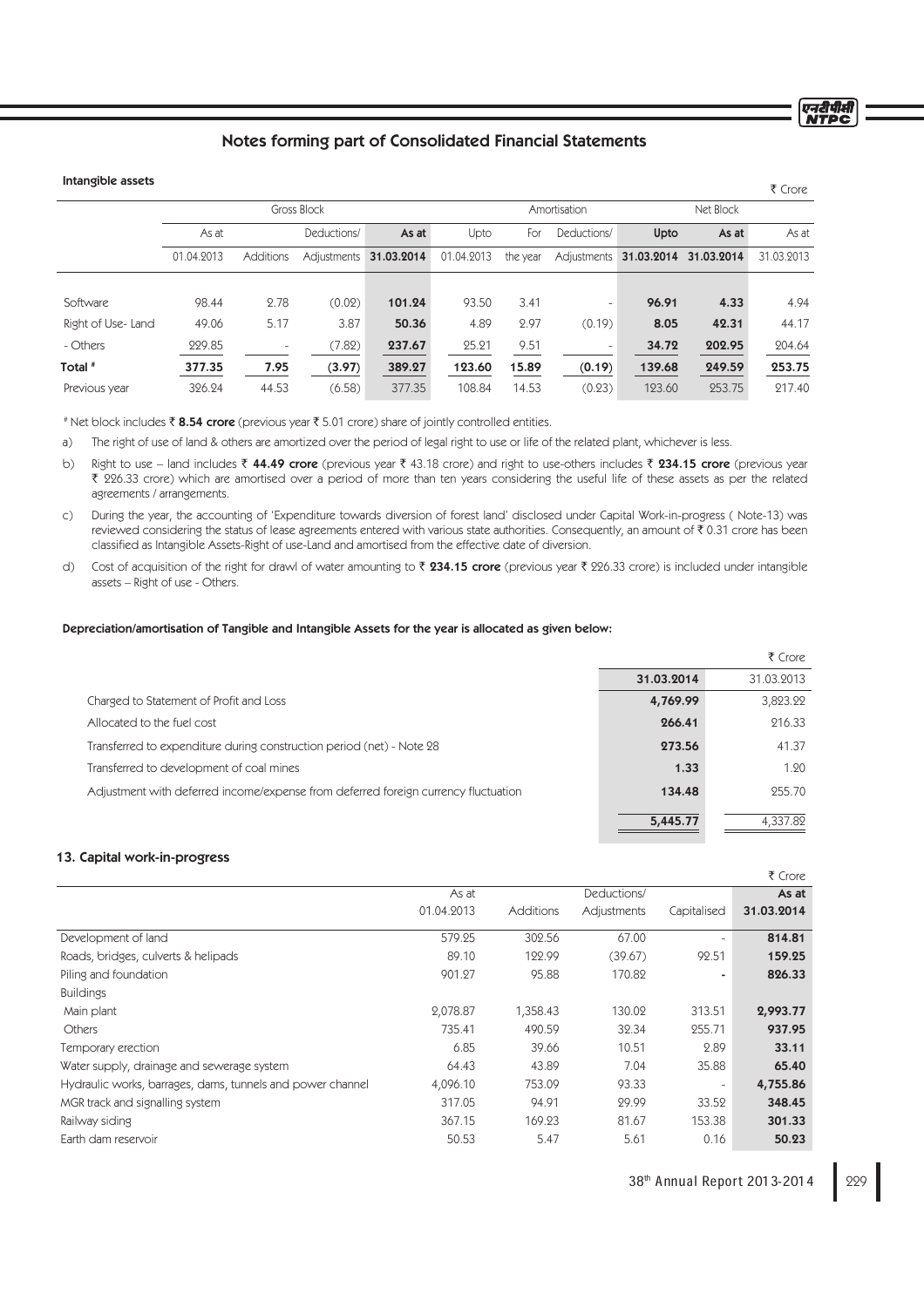# Notes forming part of Consolidated Financial Statements

# Intangible assets

|            |                          |             |             |            |              |                          |        |        | ₹ Crore                            |
|------------|--------------------------|-------------|-------------|------------|--------------|--------------------------|--------|--------|------------------------------------|
|            |                          |             |             |            | Amortisation |                          |        |        |                                    |
| As at      |                          | Deductions/ | As at       | Upto       | For          | Deductions/              | Upto   | As at  | As at                              |
| 01.04.2013 | <b>Additions</b>         | Adjustments | 31.03.2014  | 01.04.2013 | the year     | Adiustments              |        |        | 31.03.2013                         |
|            |                          |             |             |            |              |                          |        |        |                                    |
| 98.44      | 2.78                     | (0.02)      | 101.24      | 93.50      | 3.41         | $\overline{\phantom{a}}$ | 96.91  | 4.33   | 4.94                               |
| 49.06      | 5.17                     | 3.87        | 50.36       | 4.89       | 2.97         | (0.19)                   | 8.05   | 42.31  | 44.17                              |
| 229.85     | $\overline{\phantom{a}}$ | (7.82)      | 237.67      | 25.21      | 9.51         | $\overline{\phantom{a}}$ | 34.72  | 202.95 | 204.64                             |
| 377.35     | 7.95                     | (3.97)      | 389.27      | 123.60     | 15.89        | (0.19)                   | 139.68 | 249.59 | 253.75                             |
| 326.24     | 44.53                    | (6.58)      | 377.35      | 108.84     | 14.53        | (0.23)                   | 123.60 | 253.75 | 217.40                             |
|            |                          |             | Gross Block |            |              |                          |        |        | Net Block<br>31.03.2014 31.03.2014 |

# Net block includes ₹ 8.54 crore (previous year ₹ 5.01 crore) share of jointly controlled entities.

a) The right of use of land & others are amortized over the period of legal right to use or life of the related plant, whichever is less.

b) Right to use – land includes  $\bar{\tau}$  44.49 crore (previous year  $\bar{\tau}$  43.18 crore) and right to use-others includes  $\bar{\tau}$  234.15 crore (previous year ` 226.33 crore) which are amortised over a period of more than ten years considering the useful life of these assets as per the related agreements / arrangements.

c) During the year, the accounting of 'Expenditure towards diversion of forest land' disclosed under Capital Work-in-progress ( Note-13) was reviewed considering the status of lease agreements entered with various state authorities. Consequently, an amount of ₹ 0.31 crore has been classified as Intangible Assets-Right of use-Land and amortised from the effective date of diversion.

d) Cost of acquisition of the right for drawl of water amounting to  $\bar{x}$  234.15 crore (previous year  $\bar{x}$  226.33 crore) is included under intangible assets – Right of use - Others.

#### Depreciation/amortisation of Tangible and Intangible Assets for the year is allocated as given below:

|                                                                                    |            | ₹ Crore    |
|------------------------------------------------------------------------------------|------------|------------|
|                                                                                    | 31.03.2014 | 31.03.2013 |
| Charged to Statement of Profit and Loss                                            | 4,769.99   | 3,823.22   |
| Allocated to the fuel cost                                                         | 266.41     | 216.33     |
| Transferred to expenditure during construction period (net) - Note 28              | 273.56     | 41.37      |
| Transferred to development of coal mines                                           | 1.33       | 1.20       |
| Adjustment with deferred income/expense from deferred foreign currency fluctuation | 134.48     | 255.70     |
|                                                                                    | 5,445.77   | 4,337.82   |

## 13. Capital work-in-progress

|                                                            |            |                  |             |                          | ₹ Crore    |
|------------------------------------------------------------|------------|------------------|-------------|--------------------------|------------|
|                                                            | As at      |                  | Deductions/ |                          | As at      |
|                                                            | 01.04.2013 | <b>Additions</b> | Adjustments | Capitalised              | 31.03.2014 |
| Development of land                                        | 579.95     | 302.56           | 67.00       | $\overline{\phantom{a}}$ | 814.81     |
| Roads, bridges, culverts & helipads                        | 89.10      | 122.99           | (39.67)     | 92.51                    | 159.25     |
| Piling and foundation                                      | 901.27     | 95.88            | 170.82      | ٠                        | 826.33     |
| <b>Buildings</b>                                           |            |                  |             |                          |            |
| Main plant                                                 | 2,078.87   | 1,358.43         | 130.02      | 313.51                   | 2,993.77   |
| Others                                                     | 735.41     | 490.59           | 32.34       | 255.71                   | 937.95     |
| Temporary erection                                         | 6.85       | 39.66            | 10.51       | 2.89                     | 33.11      |
| Water supply, drainage and sewerage system                 | 64.43      | 43.89            | 7.04        | 35.88                    | 65.40      |
| Hydraulic works, barrages, dams, tunnels and power channel | 4,096.10   | 753.09           | 93.33       | $\overline{\phantom{a}}$ | 4,755.86   |
| MGR track and signalling system                            | 317.05     | 94.91            | 29.99       | 33.52                    | 348.45     |
| Railway siding                                             | 367.15     | 169.23           | 81.67       | 153.38                   | 301.33     |
| Earth dam reservoir                                        | 50.53      | 5.47             | 5.61        | 0.16                     | 50.23      |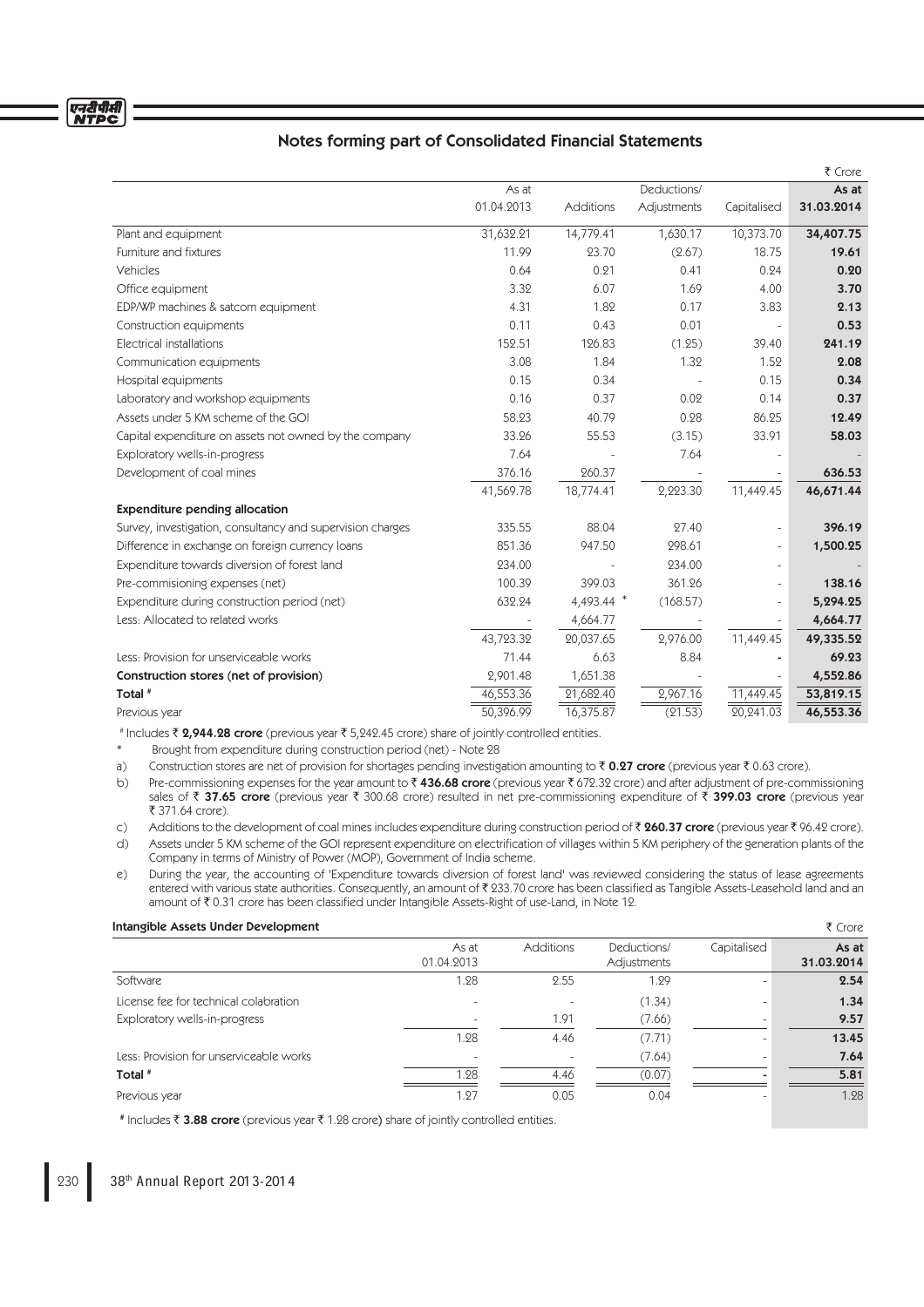|                                                            |            |            |             |                          | ₹ Crore    |
|------------------------------------------------------------|------------|------------|-------------|--------------------------|------------|
|                                                            | As at      |            | Deductions/ |                          | As at      |
|                                                            | 01.04.2013 | Additions  | Adjustments | Capitalised              | 31.03.2014 |
| Plant and equipment                                        | 31,632.21  | 14,779.41  | 1,630.17    | 10,373.70                | 34,407.75  |
| Furniture and fixtures                                     | 11.99      | 23.70      | (2.67)      | 18.75                    | 19.61      |
| Vehicles                                                   | 0.64       | 0.21       | 0.41        | 0.24                     | 0.20       |
| Office equipment                                           | 3.32       | 6.07       | 1.69        | 4.00                     | 3.70       |
| EDP/WP machines & satcom equipment                         | 4.31       | 1.82       | 0.17        | 3.83                     | 2.13       |
| Construction equipments                                    | 0.11       | 0.43       | 0.01        |                          | 0.53       |
| Electrical installations                                   | 152.51     | 126.83     | (1.25)      | 39.40                    | 241.19     |
| Communication equipments                                   | 3.08       | 1.84       | 1.32        | 1.52                     | 2.08       |
| Hospital equipments                                        | 0.15       | 0.34       |             | 0.15                     | 0.34       |
| Laboratory and workshop equipments                         | 0.16       | 0.37       | 0.02        | 0.14                     | 0.37       |
| Assets under 5 KM scheme of the GOI                        | 58.23      | 40.79      | 0.28        | 86.25                    | 12.49      |
| Capital expenditure on assets not owned by the company     | 33.26      | 55.53      | (3.15)      | 33.91                    | 58.03      |
| Exploratory wells-in-progress                              | 7.64       |            | 7.64        |                          |            |
| Development of coal mines                                  | 376.16     | 260.37     |             |                          | 636.53     |
|                                                            | 41,569.78  | 18,774.41  | 2,223.30    | 11,449.45                | 46,671.44  |
| <b>Expenditure pending allocation</b>                      |            |            |             |                          |            |
| Survey, investigation, consultancy and supervision charges | 335.55     | 88.04      | 27.40       | $\overline{\phantom{0}}$ | 396.19     |
| Difference in exchange on foreign currency loans           | 851.36     | 947.50     | 298.61      | $\overline{\phantom{0}}$ | 1,500.25   |
| Expenditure towards diversion of forest land               | 234.00     |            | 234.00      | $\overline{\phantom{0}}$ |            |
| Pre-commisioning expenses (net)                            | 100.39     | 399.03     | 361.26      | $\equiv$                 | 138.16     |
| Expenditure during construction period (net)               | 632.24     | 4,493.44 * | (168.57)    | $\equiv$                 | 5,294.25   |
| Less: Allocated to related works                           |            | 4,664.77   |             |                          | 4,664.77   |
|                                                            | 43,723.32  | 20,037.65  | 2,976.00    | 11,449.45                | 49,335.52  |
| Less: Provision for unserviceable works                    | 71.44      | 6.63       | 8.84        |                          | 69.23      |
| Construction stores (net of provision)                     | 2,901.48   | 1,651.38   |             |                          | 4,552.86   |
| Total <sup>#</sup>                                         | 46,553.36  | 21,682.40  | 2,967.16    | 11,449.45                | 53,819.15  |
| Previous year                                              | 50,396.99  | 16,375.87  | (21.53)     | 20.241.03                | 46,553.36  |

# Includes ₹ 2,944.28 crore (previous year ₹ 5,242.45 crore) share of jointly controlled entities.

Brought from expenditure during construction period (net) - Note 28

a) Construction stores are net of provision for shortages pending investigation amounting to  $\bar{\tau}$  0.27 crore (previous year  $\bar{\tau}$  0.63 crore).

b) Pre-commissioning expenses for the year amount to ₹436.68 crore (previous year ₹672.32 crore) and after adjustment of pre-commissioning sales of ₹ 37.65 crore (previous year ₹ 300.68 crore) resulted in net pre-commissioning expenditure of ₹ 399.03 crore (previous year ₹ 371.64 crore).

c) Additions to the development of coal mines includes expenditure during construction period of  $\bar{\tau}$  260.37 crore (previous year  $\bar{\tau}$  96.42 crore).

d) Assets under 5 KM scheme of the GOI represent expenditure on electrification of villages within 5 KM periphery of the generation plants of the Company in terms of Ministry of Power (MOP), Government of India scheme.

e) During the year, the accounting of 'Expenditure towards diversion of forest land' was reviewed considering the status of lease agreements entered with various state authorities. Consequently, an amount of ₹ 233.70 crore has been classified as Tangible Assets-Leasehold land and an amount of ₹0.31 crore has been classified under Intangible Assets-Right of use-Land, in Note 12.

## Intangible Assets Under Development ` Crore

|                                         | As at<br>01.04.2013 | <b>Additions</b>         | Deductions/<br>Adjustments | Capitalised              | As at<br>31.03.2014 |
|-----------------------------------------|---------------------|--------------------------|----------------------------|--------------------------|---------------------|
| Software                                | 1.28                | 2.55                     | 1.29                       | $\overline{\phantom{a}}$ | 2.54                |
| License fee for technical colabration   |                     |                          | (1.34)                     |                          | 1.34                |
| Exploratory wells-in-progress           |                     | 1.91                     | (7.66)                     | $\overline{\phantom{a}}$ | 9.57                |
|                                         | 1.28                | 4.46                     | (7.71)                     |                          | 13.45               |
| Less: Provision for unserviceable works | ۰                   | $\overline{\phantom{m}}$ | (7.64)                     | $\overline{\phantom{a}}$ | 7.64                |
| Total #                                 | 1.28                | 4.46                     | (0.07)                     |                          | 5.81                |
| Previous year                           | 1.27                | 0.05                     | 0.04                       |                          | 1.28                |

# Includes ₹ 3.88 crore (previous year ₹ 1.28 crore) share of jointly controlled entities.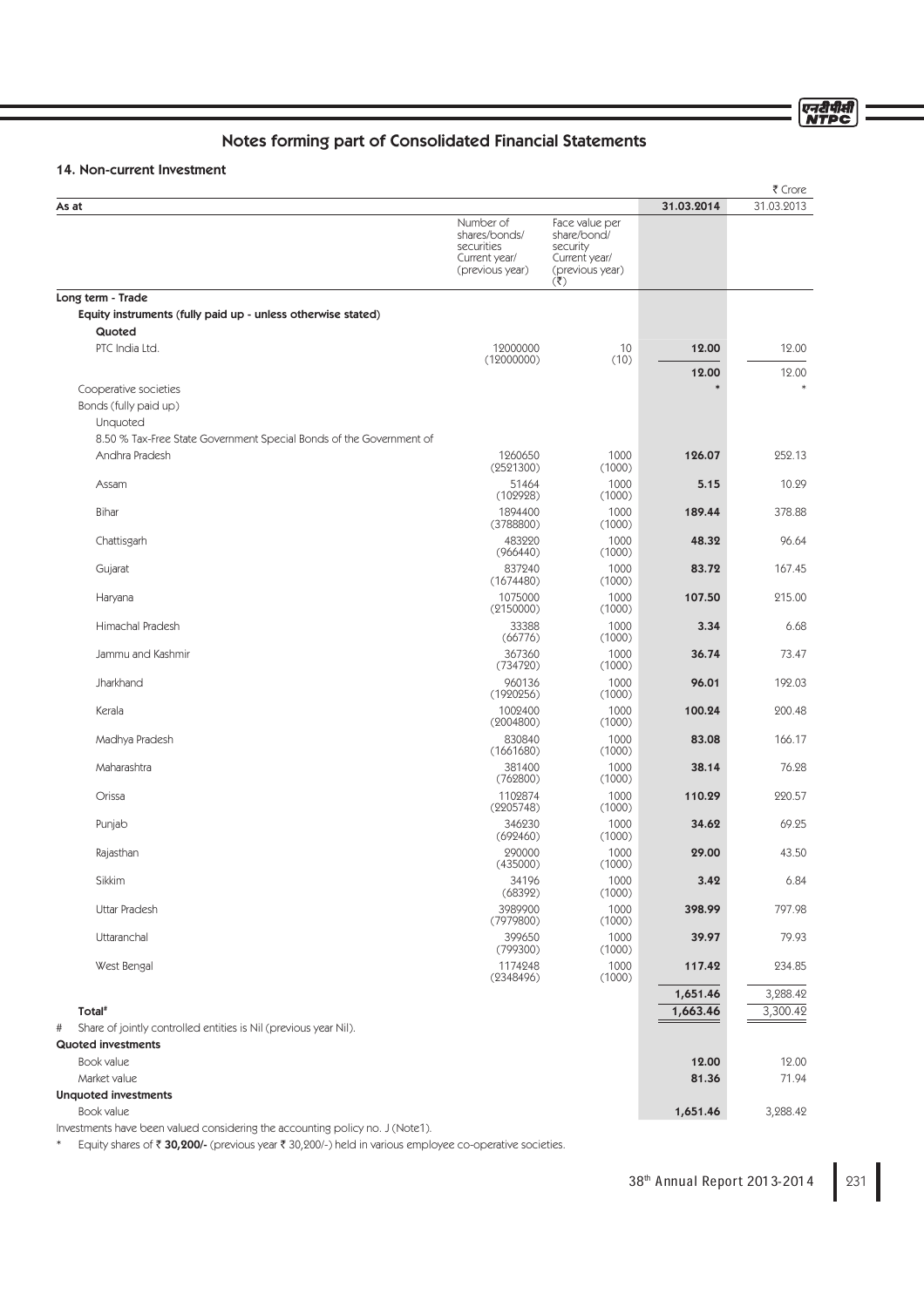एनदीपीसी<br>NTPC

# Notes forming part of Consolidated Financial Statements

# 14. Non-current Investment

|                                                                       |                                                                              |                                                                                      |                | ₹ Crore        |
|-----------------------------------------------------------------------|------------------------------------------------------------------------------|--------------------------------------------------------------------------------------|----------------|----------------|
| As at                                                                 |                                                                              |                                                                                      | 31.03.2014     | 31.03.2013     |
|                                                                       | Number of<br>shares/bonds/<br>securities<br>Current year/<br>(previous year) | Face value per<br>share/bond/<br>security<br>Current year/<br>(previous year)<br>(₹) |                |                |
| Long term - Trade                                                     |                                                                              |                                                                                      |                |                |
| Equity instruments (fully paid up - unless otherwise stated)          |                                                                              |                                                                                      |                |                |
| Quoted<br>PTC India Ltd.                                              | 12000000                                                                     | 10                                                                                   | 12.00          | 12.00          |
|                                                                       | (12000000)                                                                   | (10)                                                                                 |                |                |
|                                                                       |                                                                              |                                                                                      | 12.00          | 12.00          |
| Cooperative societies<br>Bonds (fully paid up)<br>Unquoted            |                                                                              |                                                                                      |                |                |
| 8.50 % Tax-Free State Government Special Bonds of the Government of   |                                                                              |                                                                                      |                |                |
| Andhra Pradesh                                                        | 1260650<br>(2521300)                                                         | 1000<br>(1000)                                                                       | 126.07         | 252.13         |
| Assam                                                                 | 51464                                                                        | 1000                                                                                 | 5.15           | 10.29          |
| Bihar                                                                 | (102928)<br>1894400                                                          | (1000)<br>1000                                                                       | 189.44         | 378.88         |
|                                                                       | (3788800)                                                                    | (1000)                                                                               |                |                |
| Chattisgarh                                                           | 483220<br>(966440)                                                           | 1000<br>(1000)                                                                       | 48.32          | 96.64          |
| Gujarat                                                               | 837240<br>(1674480)                                                          | 1000<br>(1000)                                                                       | 83.72          | 167.45         |
| Haryana                                                               | 1075000<br>(2150000)                                                         | 1000<br>(1000)                                                                       | 107.50         | 215.00         |
| Himachal Pradesh                                                      | 33388<br>(66776)                                                             | 1000<br>(1000)                                                                       | 3.34           | 6.68           |
| Jammu and Kashmir                                                     | 367360<br>(734720)                                                           | 1000<br>(1000)                                                                       | 36.74          | 73.47          |
| Jharkhand                                                             | 960136<br>(1920256)                                                          | 1000<br>(1000)                                                                       | 96.01          | 192.03         |
| Kerala                                                                | 1002400<br>(2004800)                                                         | 1000<br>(1000)                                                                       | 100.24         | 200.48         |
| Madhya Pradesh                                                        | 830840<br>(1661680)                                                          | 1000<br>(1000)                                                                       | 83.08          | 166.17         |
| Maharashtra                                                           | 381400                                                                       | 1000                                                                                 | 38.14          | 76.28          |
| Orissa                                                                | (762800)<br>1102874                                                          | (1000)<br>1000                                                                       | 110.29         | 220.57         |
| Punjab                                                                | (2205748)<br>346230                                                          | (1000)<br>1000                                                                       | 34.62          | 69.25          |
| Rajasthan                                                             | (692460)<br>290000                                                           | (1000)<br>1000                                                                       | 29.00          | 43.50          |
| Sikkim                                                                | (435000)<br>34196                                                            | (1000)<br>1000                                                                       | 3.42           | 6.84           |
| <b>Uttar Pradesh</b>                                                  | (68392)<br>3989900                                                           | (1000)<br>1000                                                                       | 398.99         | 797.98         |
| Uttaranchal                                                           | (7979800)<br>399650                                                          | (1000)<br>1000                                                                       | 39.97          | 79.93          |
| West Bengal                                                           | (799300)<br>1174248                                                          | (1000)<br>1000                                                                       | 117.42         | 234.85         |
|                                                                       | (2348496)                                                                    | (1000)                                                                               | 1,651.46       | 3,288.42       |
| Total <sup>#</sup>                                                    |                                                                              |                                                                                      | 1,663.46       | 3,300.42       |
| Share of jointly controlled entities is Nil (previous year Nil).<br># |                                                                              |                                                                                      |                |                |
| <b>Quoted investments</b>                                             |                                                                              |                                                                                      |                |                |
| Book value<br>Market value                                            |                                                                              |                                                                                      | 12.00<br>81.36 | 12.00<br>71.94 |
| <b>Unquoted investments</b>                                           |                                                                              |                                                                                      |                |                |
| Book value                                                            |                                                                              |                                                                                      | 1,651.46       | 3,288.42       |

Investments have been valued considering the accounting policy no. J (Note1).

\* Equity shares of  $\bar{z}$  30,200/- (previous year  $\bar{z}$  30,200/-) held in various employee co-operative societies.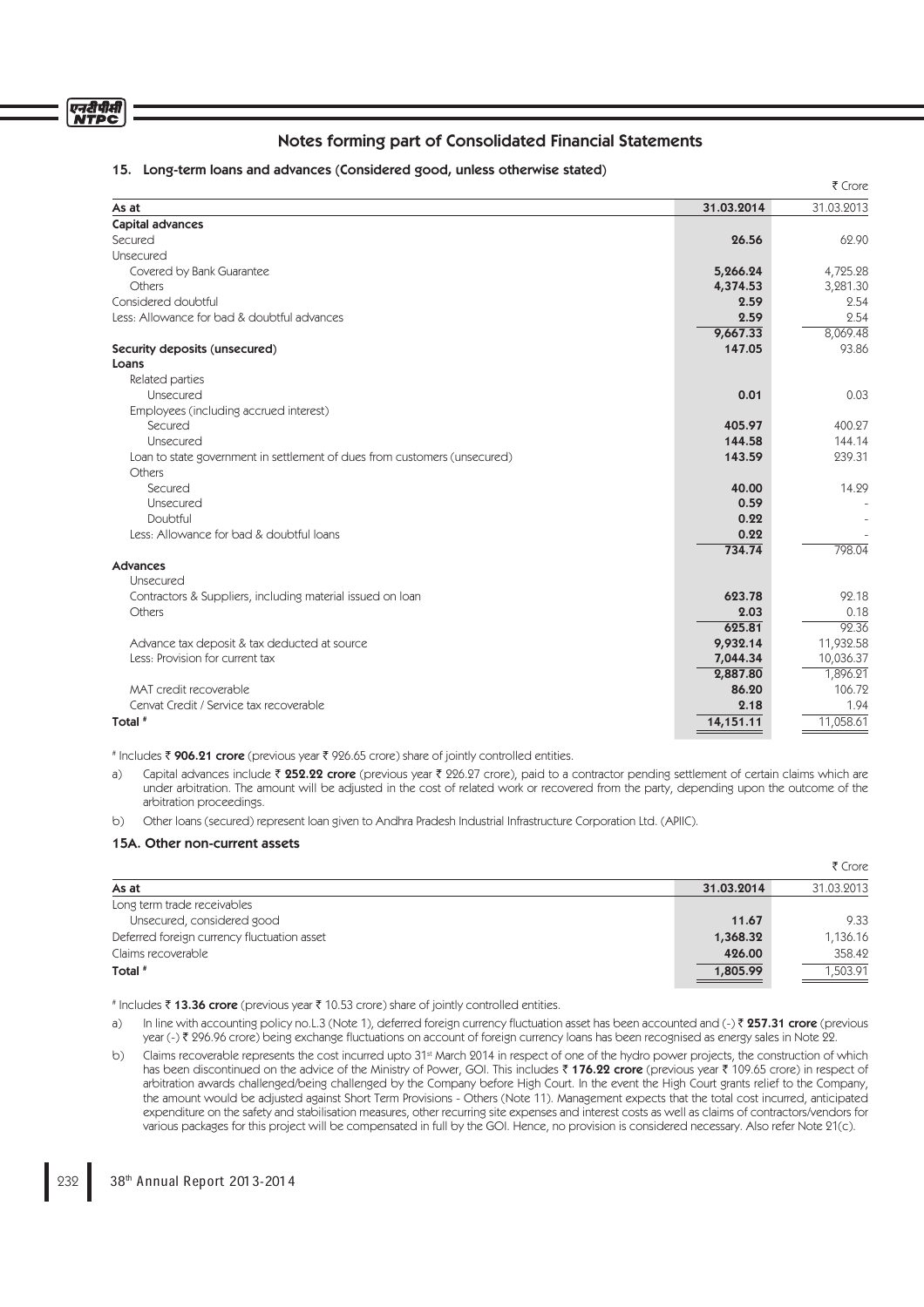#### एनदीपीसी **NTPC**

# Notes forming part of Consolidated Financial Statements

## 15. Long-term loans and advances (Considered good, unless otherwise stated)

|                                                                           |            | ₹ Crore    |
|---------------------------------------------------------------------------|------------|------------|
| As at                                                                     | 31.03.2014 | 31.03.2013 |
| Capital advances                                                          |            |            |
| Secured                                                                   | 26.56      | 62.90      |
| Unsecured                                                                 |            |            |
| Covered by Bank Guarantee                                                 | 5,266.24   | 4,725.28   |
| Others                                                                    | 4,374.53   | 3,281.30   |
| Considered doubtful                                                       | 2.59       | 2.54       |
| Less: Allowance for bad & doubtful advances                               | 2.59       | 2.54       |
|                                                                           | 9,667.33   | 8,069.48   |
| Security deposits (unsecured)                                             | 147.05     | 93.86      |
| Loans                                                                     |            |            |
| Related parties                                                           |            |            |
| Unsecured                                                                 | 0.01       | 0.03       |
| Employees (including accrued interest)                                    |            |            |
| Secured                                                                   | 405.97     | 400.27     |
| Unsecured                                                                 | 144.58     | 144.14     |
| Loan to state government in settlement of dues from customers (unsecured) | 143.59     | 239.31     |
| Others                                                                    |            |            |
| Secured                                                                   | 40.00      | 14.29      |
| Unsecured                                                                 | 0.59       |            |
| Doubtful                                                                  | 0.22       |            |
| Less: Allowance for bad & doubtful loans                                  | 0.22       |            |
|                                                                           | 734.74     | 798.04     |
| Advances                                                                  |            |            |
| <b>Unsecured</b>                                                          |            |            |
| Contractors & Suppliers, including material issued on loan                | 623.78     | 92.18      |
| Others                                                                    | 2.03       | 0.18       |
|                                                                           | 625.81     | 92.36      |
| Advance tax deposit & tax deducted at source                              | 9,932.14   | 11,932.58  |
| Less: Provision for current tax                                           | 7,044.34   | 10,036.37  |
|                                                                           | 2,887.80   | 1,896.21   |
| MAT credit recoverable                                                    | 86.20      | 106.72     |
| Cenvat Credit / Service tax recoverable                                   | 2.18       | 1.94       |
| Total #                                                                   | 14,151.11  | 11,058.61  |
|                                                                           |            |            |

# Includes ₹ 906.21 crore (previous year ₹ 926.65 crore) share of jointly controlled entities.

a) Capital advances include  $\bar{\tau}$  252.22 crore (previous year  $\bar{\tau}$  226.27 crore), paid to a contractor pending settlement of certain claims which are under arbitration. The amount will be adjusted in the cost of related work or recovered from the party, depending upon the outcome of the arbitration proceedings.

b) Other loans (secured) represent loan given to Andhra Pradesh Industrial Infrastructure Corporation Ltd. (APIIC).

## 15A. Other non-current assets

|                                             |            | ₹ Crore    |
|---------------------------------------------|------------|------------|
| As at                                       | 31.03.2014 | 31.03.2013 |
| Long term trade receivables                 |            |            |
| Unsecured, considered good                  | 11.67      | 9.33       |
| Deferred foreign currency fluctuation asset | 1,368.32   | 1,136.16   |
| Claims recoverable                          | 426.00     | 358.42     |
| Total #                                     | 1,805.99   | 1,503.91   |

# Includes ₹ 13.36 crore (previous year ₹ 10.53 crore) share of jointly controlled entities.

- a) In line with accounting policy no.L.3 (Note 1), deferred foreign currency fluctuation asset has been accounted and (-)  $\bar{\ell}$  257.31 crore (previous year (-) ₹ 296.96 crore) being exchange fluctuations on account of foreign currency loans has been recognised as energy sales in Note 22.
- b) Claims recoverable represents the cost incurred upto 31<sup>st</sup> March 2014 in respect of one of the hydro power projects, the construction of which has been discontinued on the advice of the Ministry of Power, GOI. This includes  $\bar{\tau}$  176.22 crore (previous year  $\bar{\tau}$  109.65 crore) in respect of arbitration awards challenged/being challenged by the Company before High Court. In the event the High Court grants relief to the Company, the amount would be adjusted against Short Term Provisions - Others (Note 11). Management expects that the total cost incurred, anticipated expenditure on the safety and stabilisation measures, other recurring site expenses and interest costs as well as claims of contractors/vendors for various packages for this project will be compensated in full by the GOI. Hence, no provision is considered necessary. Also refer Note 21(c).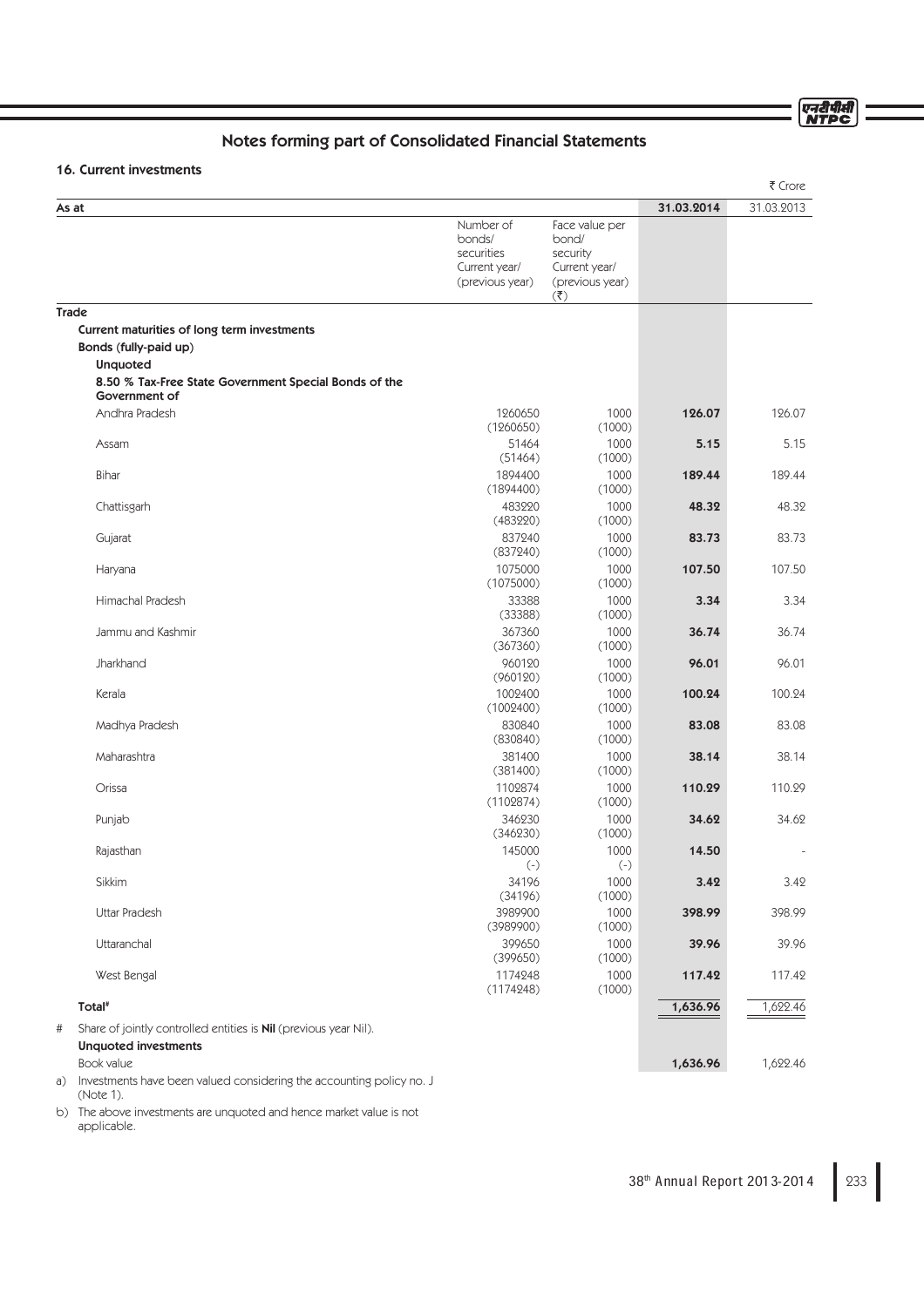ण्नदीपीसी<br>NTPC

# Notes forming part of Consolidated Financial Statements

# 16. Current investments

|                                                                                                             |                                                                       |                                                                                                        |                | ₹ Crore         |
|-------------------------------------------------------------------------------------------------------------|-----------------------------------------------------------------------|--------------------------------------------------------------------------------------------------------|----------------|-----------------|
| As at                                                                                                       |                                                                       |                                                                                                        | 31.03.2014     | 31.03.2013      |
|                                                                                                             | Number of<br>bonds/<br>securities<br>Current year/<br>(previous year) | Face value per<br>bond/<br>security<br>Current year/<br>(previous year)<br>$(\overline{\mathfrak{F}})$ |                |                 |
| <b>Trade</b>                                                                                                |                                                                       |                                                                                                        |                |                 |
| Current maturities of long term investments<br>Bonds (fully-paid up)<br><b>Unquoted</b>                     |                                                                       |                                                                                                        |                |                 |
| 8.50 % Tax-Free State Government Special Bonds of the<br>Government of                                      |                                                                       |                                                                                                        |                |                 |
| Andhra Pradesh                                                                                              | 1260650<br>(1260650)                                                  | 1000<br>(1000)                                                                                         | 126.07         | 126.07          |
| Assam                                                                                                       | 51464<br>(51464)                                                      | 1000<br>(1000)                                                                                         | 5.15           | 5.15            |
| Bihar                                                                                                       | 1894400<br>(1894400)                                                  | 1000<br>(1000)                                                                                         | 189.44         | 189.44          |
| Chattisgarh                                                                                                 | 483220<br>(483220)                                                    | 1000<br>(1000)                                                                                         | 48.32          | 48.32           |
| Gujarat                                                                                                     | 837240<br>(837240)<br>1075000                                         | 1000<br>(1000)<br>1000                                                                                 | 83.73          | 83.73<br>107.50 |
| Haryana<br>Himachal Pradesh                                                                                 | (1075000)<br>33388                                                    | (1000)<br>1000                                                                                         | 107.50<br>3.34 | 3.34            |
|                                                                                                             | (33388)                                                               | (1000)                                                                                                 |                |                 |
| Jammu and Kashmir                                                                                           | 367360<br>(367360)                                                    | 1000<br>(1000)                                                                                         | 36.74          | 36.74           |
| Jharkhand                                                                                                   | 960120<br>(960120)                                                    | 1000<br>(1000)                                                                                         | 96.01          | 96.01           |
| Kerala                                                                                                      | 1002400<br>(1002400)                                                  | 1000<br>(1000)                                                                                         | 100.24         | 100.24          |
| Madhya Pradesh                                                                                              | 830840<br>(830840)                                                    | 1000<br>(1000)                                                                                         | 83.08          | 83.08           |
| Maharashtra                                                                                                 | 381400<br>(381400)                                                    | 1000<br>(1000)                                                                                         | 38.14          | 38.14           |
| Orissa                                                                                                      | 1102874<br>(1102874)                                                  | 1000<br>(1000)                                                                                         | 110.29         | 110.29          |
| Punjab                                                                                                      | 346230<br>(346230)                                                    | 1000<br>(1000)                                                                                         | 34.62          | 34.62           |
| Rajasthan                                                                                                   | 145000<br>$(\text{-})$                                                | 1000<br>$(-)$                                                                                          | 14.50          |                 |
| Sikkim                                                                                                      | 34196<br>(34196)                                                      | 1000<br>(1000)                                                                                         | 3.42           | 3.42            |
| Uttar Pradesh                                                                                               | 3989900<br>(3989900)                                                  | 1000<br>(1000)                                                                                         | 398.99         | 398.99          |
| Uttaranchal                                                                                                 | 399650<br>(399650)                                                    | 1000<br>(1000)                                                                                         | 39.96          | 39.96           |
| West Bengal                                                                                                 | 1174248<br>(1174248)                                                  | 1000<br>(1000)                                                                                         | 117.42         | 117.42          |
| Total <sup>#</sup>                                                                                          |                                                                       |                                                                                                        | 1,636.96       | 1,622.46        |
| Share of jointly controlled entities is <b>Nil</b> (previous year Nil).<br>#<br><b>Unquoted investments</b> |                                                                       |                                                                                                        |                |                 |
| Book value                                                                                                  |                                                                       |                                                                                                        | 1,636.96       | 1,622.46        |

a) Investments have been valued considering the accounting policy no. J (Note 1).

b) The above investments are unquoted and hence market value is not applicable.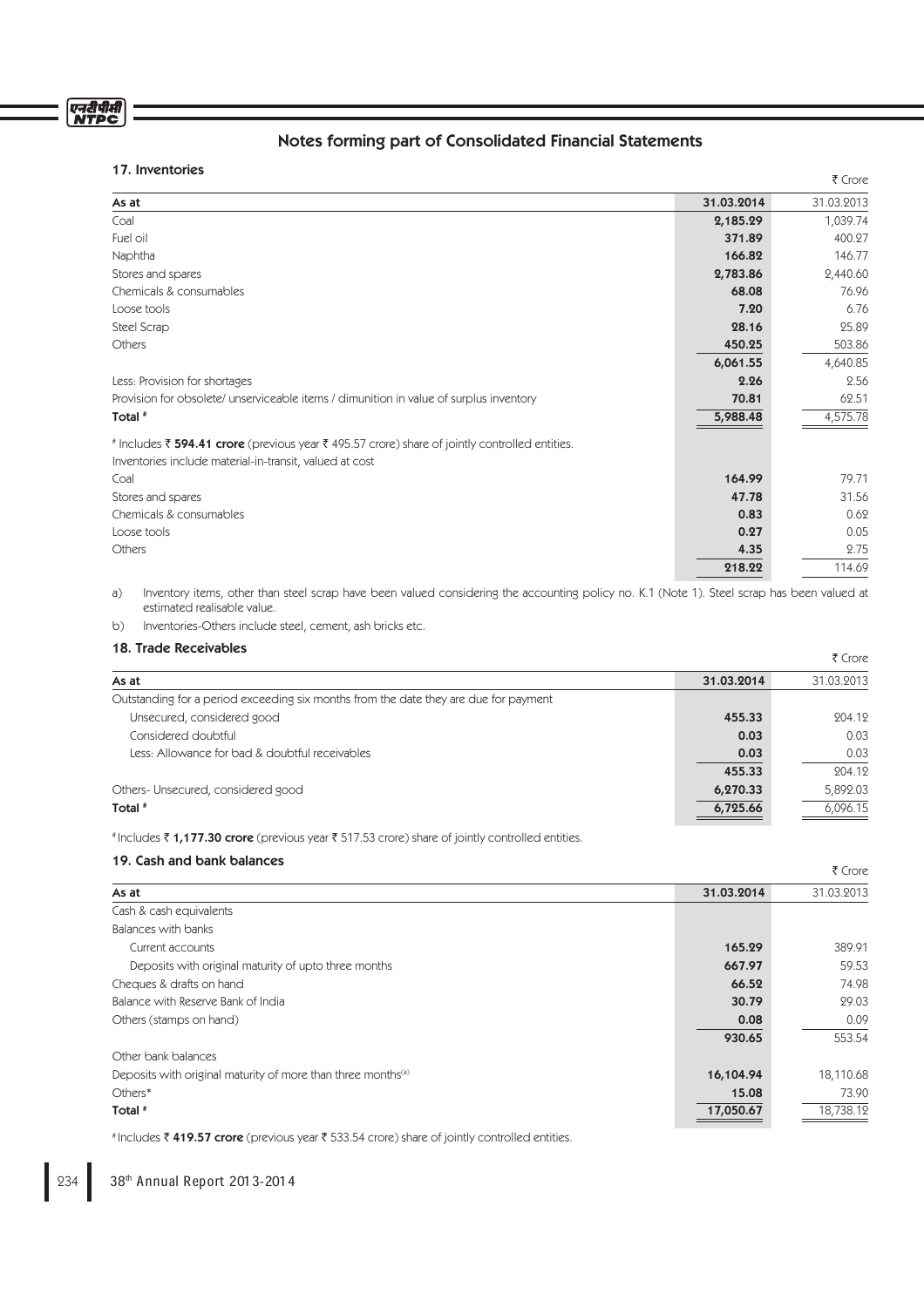# एनदीपीसी

# Notes forming part of Consolidated Financial Statements

 $\overline{z}$  Cross-

 $\bar{\tau}$  Crore

# 17. Inventories

|                                                                                                                                                           |            | 1017       |
|-----------------------------------------------------------------------------------------------------------------------------------------------------------|------------|------------|
| As at                                                                                                                                                     | 31.03.2014 | 31.03.2013 |
| Coal                                                                                                                                                      | 2,185.29   | 1,039.74   |
| Fuel oil                                                                                                                                                  | 371.89     | 400.27     |
| Naphtha                                                                                                                                                   | 166.82     | 146.77     |
| Stores and spares                                                                                                                                         | 2,783.86   | 2,440.60   |
| Chemicals & consumables                                                                                                                                   | 68.08      | 76.96      |
| Loose tools                                                                                                                                               | 7.20       | 6.76       |
| Steel Scrap                                                                                                                                               | 28.16      | 25.89      |
| Others                                                                                                                                                    | 450.25     | 503.86     |
|                                                                                                                                                           | 6,061.55   | 4,640.85   |
| Less: Provision for shortages                                                                                                                             | 2.26       | 2.56       |
| Provision for obsolete/ unserviceable items / dimunition in value of surplus inventory                                                                    | 70.81      | 62.51      |
| Total <sup>#</sup>                                                                                                                                        | 5,988.48   | 4,575.78   |
| # Includes ₹ 594.41 crore (previous year ₹ 495.57 crore) share of jointly controlled entities.<br>Inventories include material-in-transit, valued at cost |            |            |
| Coal                                                                                                                                                      | 164.99     | 79.71      |
| Stores and spares                                                                                                                                         | 47.78      | 31.56      |
| Chemicals & consumables                                                                                                                                   | 0.83       | 0.62       |
| Loose tools                                                                                                                                               | 0.27       | 0.05       |
| Others                                                                                                                                                    | 4.35       | 2.75       |
|                                                                                                                                                           | 218.22     | 114.69     |
|                                                                                                                                                           |            |            |

a) Inventory items, other than steel scrap have been valued considering the accounting policy no. K.1 (Note 1). Steel scrap has been valued at estimated realisable value.

b) Inventories-Others include steel, cement, ash bricks etc.

# 18. Trade Receivables

| וס, וומעכ ו <i>וככפ</i> וימטוכא                                                      |            | ₹ Crore    |
|--------------------------------------------------------------------------------------|------------|------------|
| As at                                                                                | 31.03.2014 | 31.03.2013 |
| Outstanding for a period exceeding six months from the date they are due for payment |            |            |
| Unsecured, considered good                                                           | 455.33     | 204.12     |
| Considered doubtful                                                                  | 0.03       | 0.03       |
| Less: Allowance for bad & doubtful receivables                                       | 0.03       | 0.03       |
|                                                                                      | 455.33     | 204.12     |
| Others-Unsecured, considered good                                                    | 6,270.33   | 5,892.03   |
| Total #                                                                              | 6,725.66   | 6,096.15   |

# Includes ₹1,177.30 crore (previous year ₹517.53 crore) share of jointly controlled entities.

# 19. Cash and bank balances

|                                                                          |            | 1 J J J    |
|--------------------------------------------------------------------------|------------|------------|
| As at                                                                    | 31.03.2014 | 31.03.2013 |
| Cash & cash equivalents                                                  |            |            |
| Balances with banks                                                      |            |            |
| Current accounts                                                         | 165.29     | 389.91     |
| Deposits with original maturity of upto three months                     | 667.97     | 59.53      |
| Cheques & drafts on hand                                                 | 66.52      | 74.98      |
| Balance with Reserve Bank of India                                       | 30.79      | 29.03      |
| Others (stamps on hand)                                                  | 0.08       | 0.09       |
|                                                                          | 930.65     | 553.54     |
| Other bank balances                                                      |            |            |
| Deposits with original maturity of more than three months <sup>(a)</sup> | 16,104.94  | 18,110.68  |
| Others*                                                                  | 15.08      | 73.90      |
| Total <sup>#</sup>                                                       | 17,050.67  | 18,738.12  |
|                                                                          |            |            |

# Includes ₹419.57 crore (previous year ₹533.54 crore) share of jointly controlled entities.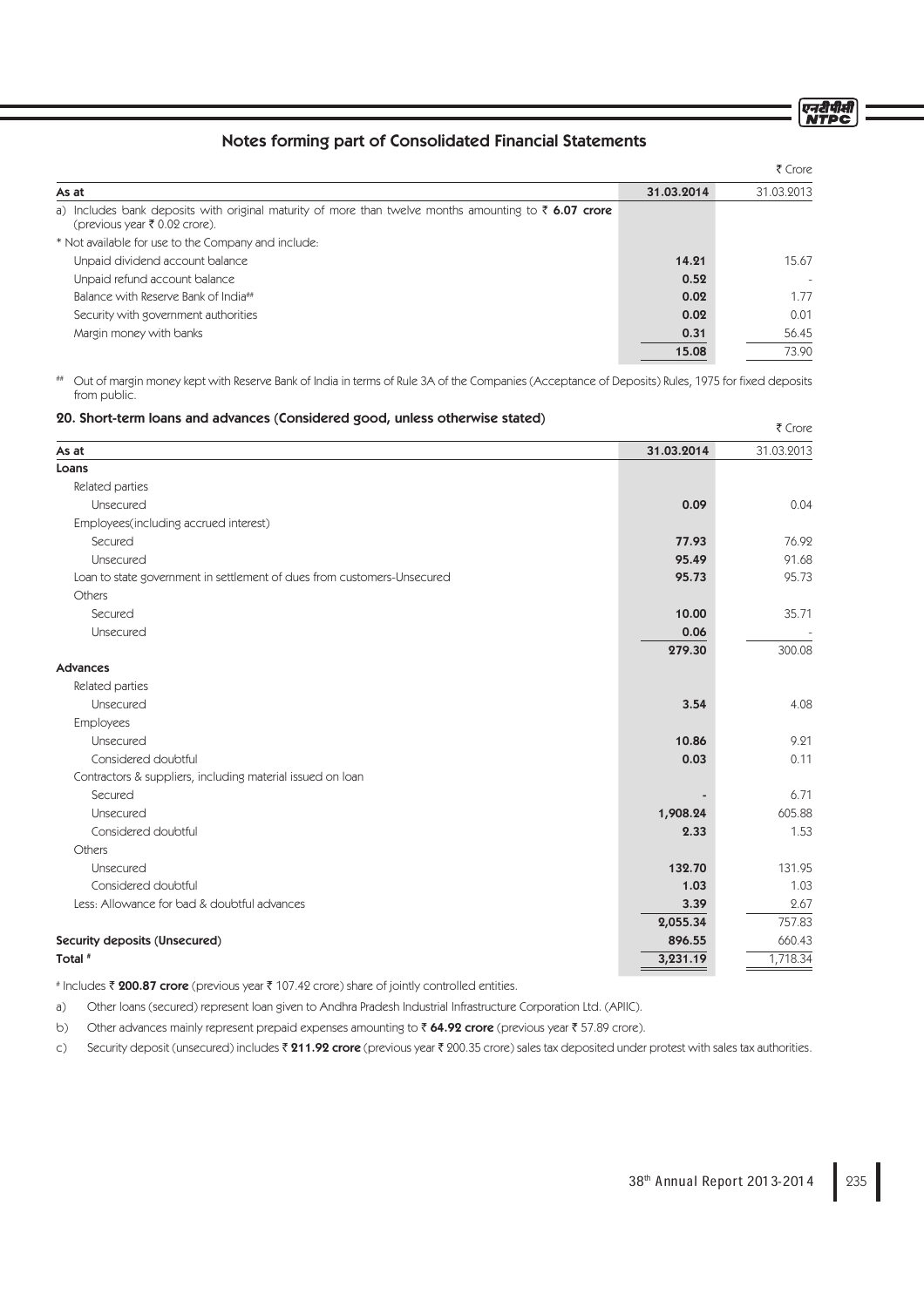एनरीपीसी<br>NTPC

 $F$  Crore

# Notes forming part of Consolidated Financial Statements

|                                                                                                                                                   |            | ₹ Crore    |
|---------------------------------------------------------------------------------------------------------------------------------------------------|------------|------------|
| As at                                                                                                                                             | 31.03.2014 | 31.03.2013 |
| a) Includes bank deposits with original maturity of more than twelve months amounting to $\bar{\tau}$ 6.07 crore<br>(previous year ₹ 0.02 crore). |            |            |
| * Not available for use to the Company and include:                                                                                               |            |            |
| Unpaid dividend account balance                                                                                                                   | 14.21      | 15.67      |
| Unpaid refund account balance                                                                                                                     | 0.52       |            |
| Balance with Reserve Bank of India##                                                                                                              | 0.02       | 1.77       |
| Security with government authorities                                                                                                              | 0.02       | 0.01       |
| Margin money with banks                                                                                                                           | 0.31       | 56.45      |
|                                                                                                                                                   | 15.08      | 73.90      |

# Out of margin money kept with Reserve Bank of India in terms of Rule 3A of the Companies (Acceptance of Deposits) Rules, 1975 for fixed deposits from public.

## 20. Short-term loans and advances (Considered good, unless otherwise stated)

|                                                                         |            | 1 CIVIE    |
|-------------------------------------------------------------------------|------------|------------|
| As at                                                                   | 31.03.2014 | 31.03.2013 |
| Loans                                                                   |            |            |
| Related parties                                                         |            |            |
| Unsecured                                                               | 0.09       | 0.04       |
| Employees(including accrued interest)                                   |            |            |
| Secured                                                                 | 77.93      | 76.92      |
| Unsecured                                                               | 95.49      | 91.68      |
| Loan to state government in settlement of dues from customers-Unsecured | 95.73      | 95.73      |
| Others                                                                  |            |            |
| Secured                                                                 | 10.00      | 35.71      |
| Unsecured                                                               | 0.06       |            |
|                                                                         | 279.30     | 300.08     |
| <b>Advances</b>                                                         |            |            |
| Related parties                                                         |            |            |
| Unsecured                                                               | 3.54       | 4.08       |
| <b>Employees</b>                                                        |            |            |
| Unsecured                                                               | 10.86      | 9.21       |
| Considered doubtful                                                     | 0.03       | 0.11       |
| Contractors & suppliers, including material issued on loan              |            |            |
| Secured                                                                 |            | 6.71       |
| Unsecured                                                               | 1,908.24   | 605.88     |
| Considered doubtful                                                     | 2.33       | 1.53       |
| Others                                                                  |            |            |
| Unsecured                                                               | 132.70     | 131.95     |
| Considered doubtful                                                     | 1.03       | 1.03       |
| Less: Allowance for bad & doubtful advances                             | 3.39       | 2.67       |
|                                                                         | 2,055.34   | 757.83     |
| Security deposits (Unsecured)                                           | 896.55     | 660.43     |
| Total #                                                                 | 3,231.19   | 1,718.34   |

# Includes ₹ 200.87 crore (previous year ₹ 107.42 crore) share of jointly controlled entities.

a) Other loans (secured) represent loan given to Andhra Pradesh Industrial Infrastructure Corporation Ltd. (APIIC).

b) Other advances mainly represent prepaid expenses amounting to  $\bar{\tau}$  64.92 crore (previous year  $\bar{\tau}$  57.89 crore).

c) Security deposit (unsecured) includes  $\bar{z}$  211.92 crore (previous year  $\bar{z}$  200.35 crore) sales tax deposited under protest with sales tax authorities.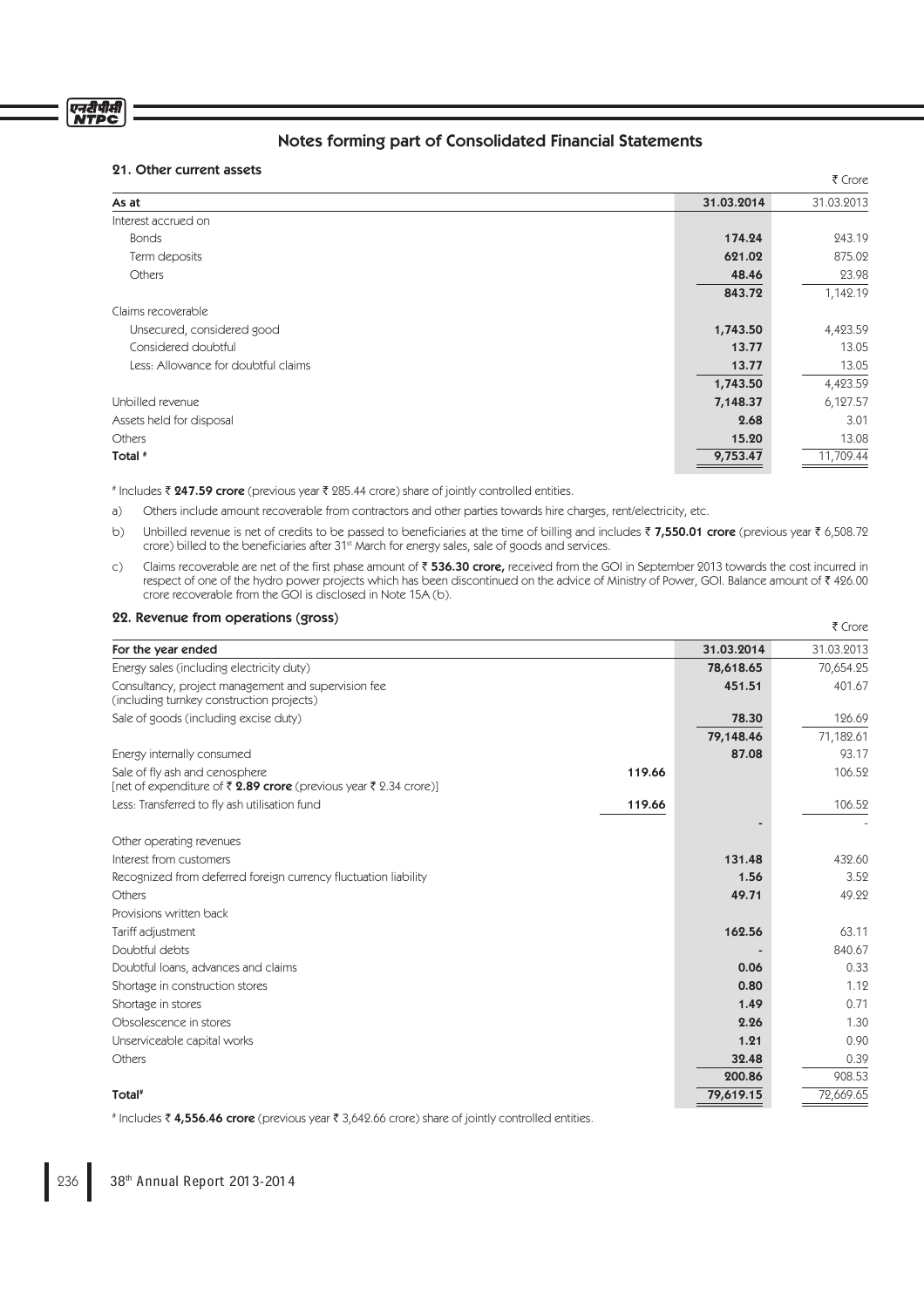# एनरीपीर्स<br>NTPC

# Notes forming part of Consolidated Financial Statements

# 21. Other current assets

| $\epsilon$ . Ourer current assets   |            | ₹ Crore    |
|-------------------------------------|------------|------------|
| As at                               | 31.03.2014 | 31.03.2013 |
| Interest accrued on                 |            |            |
| <b>Bonds</b>                        | 174.24     | 243.19     |
| Term deposits                       | 621.02     | 875.02     |
| <b>Others</b>                       | 48.46      | 23.98      |
|                                     | 843.72     | 1,142.19   |
| Claims recoverable                  |            |            |
| Unsecured, considered good          | 1,743.50   | 4,423.59   |
| Considered doubtful                 | 13.77      | 13.05      |
| Less: Allowance for doubtful claims | 13.77      | 13.05      |
|                                     | 1,743.50   | 4,423.59   |
| Unbilled revenue                    | 7,148.37   | 6,127.57   |
| Assets held for disposal            | 2.68       | 3.01       |
| Others                              | 15.20      | 13.08      |
| Total #                             | 9,753.47   | 11,709.44  |
|                                     |            |            |

# Includes ₹ 247.59 crore (previous year ₹ 285.44 crore) share of jointly controlled entities.

a) Others include amount recoverable from contractors and other parties towards hire charges, rent/electricity, etc.

- b) Unbilled revenue is net of credits to be passed to beneficiaries at the time of billing and includes ₹ 7,550.01 crore (previous year ₹ 6,508.72 crore) billed to the beneficiaries after 31<sup>st</sup> March for energy sales, sale of goods and services.
- c) Claims recoverable are net of the first phase amount of  $\bar{z}$  536.30 crore, received from the GOI in September 2013 towards the cost incurred in respect of one of the hydro power projects which has been discontinued on the advice of Ministry of Power, GOI. Balance amount of ₹426.00 crore recoverable from the GOI is disclosed in Note 15A (b).

 $F$  Crore

## 22. Revenue from operations (gross)

|                                                                                                               |            | こしいし       |
|---------------------------------------------------------------------------------------------------------------|------------|------------|
| For the year ended                                                                                            | 31.03.2014 | 31.03.2013 |
| Energy sales (including electricity duty)                                                                     | 78,618.65  | 70,654.25  |
| Consultancy, project management and supervision fee<br>(including turnkey construction projects)              | 451.51     | 401.67     |
| Sale of goods (including excise duty)                                                                         | 78.30      | 126.69     |
|                                                                                                               | 79,148.46  | 71,182.61  |
| Energy internally consumed                                                                                    | 87.08      | 93.17      |
| Sale of fly ash and cenosphere<br>119.66<br>[net of expenditure of ₹ 2.89 crore (previous year ₹ 2.34 crore)] |            | 106.52     |
| Less: Transferred to fly ash utilisation fund<br>119.66                                                       |            | 106.52     |
|                                                                                                               |            |            |
| Other operating revenues                                                                                      |            |            |
| Interest from customers                                                                                       | 131.48     | 432.60     |
| Recognized from deferred foreign currency fluctuation liability                                               | 1.56       | 3.52       |
| Others                                                                                                        | 49.71      | 49.22      |
| Provisions written back                                                                                       |            |            |
| Tariff adjustment                                                                                             | 162.56     | 63.11      |
| Doubtful debts                                                                                                |            | 840.67     |
| Doubtful loans, advances and claims                                                                           | 0.06       | 0.33       |
| Shortage in construction stores                                                                               | 0.80       | 1.12       |
| Shortage in stores                                                                                            | 1.49       | 0.71       |
| Obsolescence in stores                                                                                        | 2.26       | 1.30       |
| Unserviceable capital works                                                                                   | 1.21       | 0.90       |
| Others                                                                                                        | 32.48      | 0.39       |
|                                                                                                               | 200.86     | 908.53     |
| Total <sup>#</sup>                                                                                            | 79,619.15  | 72,669.65  |

# Includes ₹4,556.46 crore (previous year ₹3,642.66 crore) share of jointly controlled entities.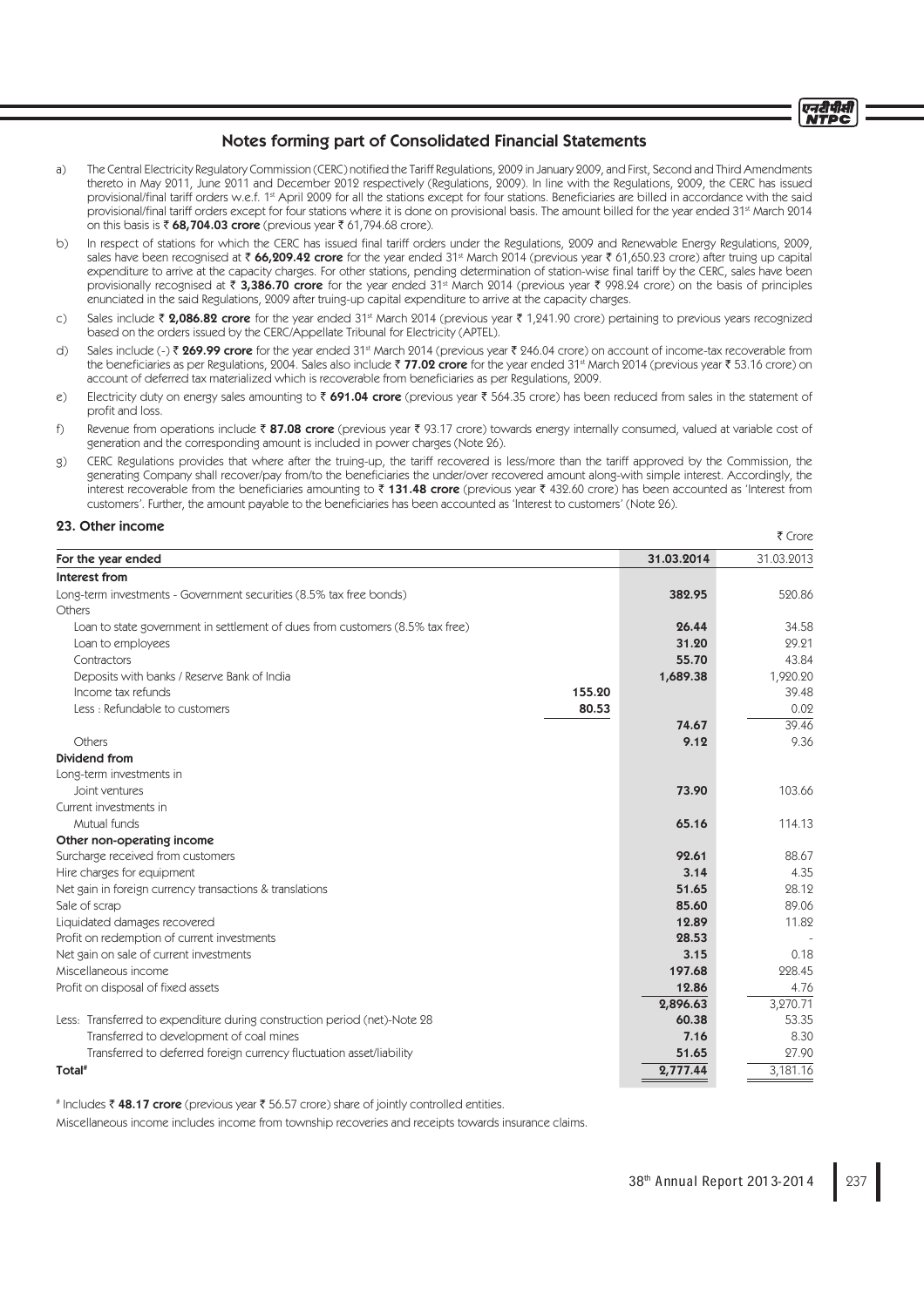

- a) The Central Electricity Regulatory Commission (CERC) notified the Tariff Regulations, 2009 in January 2009, and First, Second and Third Amendments thereto in May 2011, June 2011 and December 2012 respectively (Regulations, 2009). In line with the Regulations, 2009, the CERC has issued provisional/final tariff orders w.e.f. 1<sup>st</sup> April 2009 for all the stations except for four stations. Beneficiaries are billed in accordance with the said provisional/final tariff orders except for four stations where it is done on provisional basis. The amount billed for the year ended 31<sup>st</sup> March 2014 on this basis is  $\bar{\tau}$  68,704.03 crore (previous year  $\bar{\tau}$  61,794.68 crore).
- b) In respect of stations for which the CERC has issued final tariff orders under the Regulations, 2009 and Renewable Energy Regulations, 2009, sales have been recognised at  $\bar{\tau}$  66,209.42 crore for the year ended 31<sup>st</sup> March 2014 (previous year  $\bar{\tau}$  61,650.23 crore) after truing up capital expenditure to arrive at the capacity charges. For other stations, pending determination of station-wise final tariff by the CERC, sales have been provisionally recognised at  $\bar{\tau}$  3,386.70 crore for the year ended 31<sup>st</sup> March 2014 (previous year  $\bar{\tau}$  998.24 crore) on the basis of principles enunciated in the said Regulations, 2009 after truing-up capital expenditure to arrive at the capacity charges.
- c) Sales include  $\bar{\zeta}$  2,086.82 crore for the year ended 31<sup>st</sup> March 2014 (previous year  $\bar{\zeta}$  1,241.90 crore) pertaining to previous years recognized based on the orders issued by the CERC/Appellate Tribunal for Electricity (APTEL).
- d) Sales include (-) ₹ 269.99 crore for the year ended 31<sup>st</sup> March 2014 (previous year ₹ 246.04 crore) on account of income-tax recoverable from the beneficiaries as per Regulations, 2004. Sales also include  $\bar{z}$  77.02 crore for the year ended 31<sup>st</sup> March 2014 (previous year  $\bar{z}$  53.16 crore) on account of deferred tax materialized which is recoverable from beneficiaries as per Regulations, 2009.
- e) Electricity duty on energy sales amounting to  $\bar{\tau}$  691.04 crore (previous year  $\bar{\tau}$  564.35 crore) has been reduced from sales in the statement of profit and loss.
- f) Revenue from operations include  $\bar{\epsilon}$  87.08 crore (previous year  $\bar{\epsilon}$  93.17 crore) towards energy internally consumed, valued at variable cost of generation and the corresponding amount is included in power charges (Note 26).
- g) CERC Regulations provides that where after the truing-up, the tariff recovered is less/more than the tariff approved by the Commission, the generating Company shall recover/pay from/to the beneficiaries the under/over recovered amount along-with simple interest. Accordingly, the interest recoverable from the beneficiaries amounting to  $\bar{\tau}$  131.48 crore (previous year  $\bar{\tau}$  432.60 crore) has been accounted as 'Interest from customers'. Further, the amount payable to the beneficiaries has been accounted as 'Interest to customers' (Note 26).

## 23. Other income

|                                                                               |        |            | ₹ Crore    |
|-------------------------------------------------------------------------------|--------|------------|------------|
| For the year ended                                                            |        | 31.03.2014 | 31.03.2013 |
| Interest from                                                                 |        |            |            |
| Long-term investments - Government securities (8.5% tax free bonds)           |        | 382.95     | 520.86     |
| Others                                                                        |        |            |            |
| Loan to state government in settlement of dues from customers (8.5% tax free) |        | 26.44      | 34.58      |
| Loan to employees                                                             |        | 31.20      | 29.21      |
| Contractors                                                                   |        | 55.70      | 43.84      |
| Deposits with banks / Reserve Bank of India                                   |        | 1,689.38   | 1,920.20   |
| Income tax refunds                                                            | 155.20 |            | 39.48      |
| Less: Refundable to customers                                                 | 80.53  |            | 0.02       |
|                                                                               |        | 74.67      | 39.46      |
| Others                                                                        |        | 9.12       | 9.36       |
| Dividend from                                                                 |        |            |            |
| Long-term investments in                                                      |        |            |            |
| Joint ventures                                                                |        | 73.90      | 103.66     |
| Current investments in                                                        |        |            |            |
| Mutual funds                                                                  |        | 65.16      | 114.13     |
| Other non-operating income                                                    |        |            |            |
| Surcharge received from customers                                             |        | 92.61      | 88.67      |
| Hire charges for equipment                                                    |        | 3.14       | 4.35       |
| Net gain in foreign currency transactions & translations                      |        | 51.65      | 28.12      |
| Sale of scrap                                                                 |        | 85.60      | 89.06      |
| Liquidated damages recovered                                                  |        | 12.89      | 11.82      |
| Profit on redemption of current investments                                   |        | 28.53      |            |
| Net gain on sale of current investments                                       |        | 3.15       | 0.18       |
| Miscellaneous income                                                          |        | 197.68     | 228.45     |
| Profit on disposal of fixed assets                                            |        | 12.86      | 4.76       |
|                                                                               |        | 2,896.63   | 3,270.71   |
| Less: Transferred to expenditure during construction period (net)-Note 28     |        | 60.38      | 53.35      |
| Transferred to development of coal mines                                      |        | 7.16       | 8.30       |
| Transferred to deferred foreign currency fluctuation asset/liability          |        | 51.65      | 27.90      |
| Total <sup>#</sup>                                                            |        | 2,777.44   | 3.181.16   |

# Includes ₹48.17 crore (previous year ₹56.57 crore) share of jointly controlled entities.

Miscellaneous income includes income from township recoveries and receipts towards insurance claims.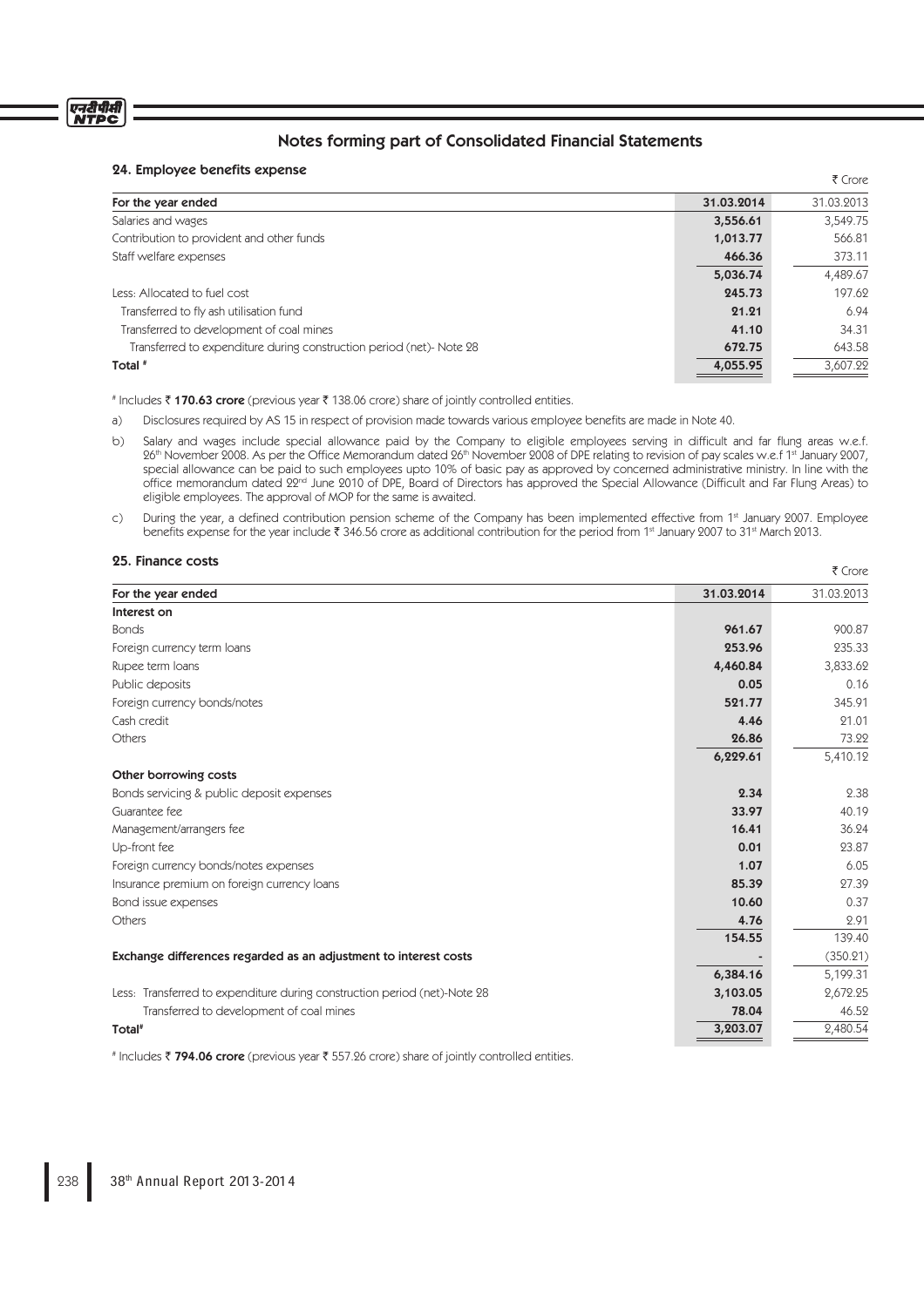# एनरीपीसी<br>NTPC

# Notes forming part of Consolidated Financial Statements

# 24. Employee benefits expense

| 24. LIIIDIOYEE OEIIEIILS EXPEIISE                                    |            | ₹ Crore    |
|----------------------------------------------------------------------|------------|------------|
| For the year ended                                                   | 31.03.2014 | 31.03.2013 |
| Salaries and wages                                                   | 3,556.61   | 3,549.75   |
| Contribution to provident and other funds                            | 1,013.77   | 566.81     |
| Staff welfare expenses                                               | 466.36     | 373.11     |
|                                                                      | 5,036.74   | 4,489.67   |
| Less: Allocated to fuel cost                                         | 245.73     | 197.62     |
| Transferred to fly ash utilisation fund                              | 21.21      | 6.94       |
| Transferred to development of coal mines                             | 41.10      | 34.31      |
| Transferred to expenditure during construction period (net)- Note 28 | 672.75     | 643.58     |
| Total #                                                              | 4,055.95   | 3,607.22   |

# Includes ₹170.63 crore (previous year ₹138.06 crore) share of jointly controlled entities.

a) Disclosures required by AS 15 in respect of provision made towards various employee benefits are made in Note 40.

- b) Salary and wages include special allowance paid by the Company to eligible employees serving in difficult and far flung areas w.e.f. 26th November 2008. As per the Office Memorandum dated 26th November 2008 of DPE relating to revision of pay scales w.e.f 1st January 2007, special allowance can be paid to such employees upto 10% of basic pay as approved by concerned administrative ministry. In line with the office memorandum dated 22<sup>nd</sup> June 2010 of DPE, Board of Directors has approved the Special Allowance (Difficult and Far Flung Areas) to eligible employees. The approval of MOP for the same is awaited.
- c) During the year, a defined contribution pension scheme of the Company has been implemented effective from 1st January 2007. Employee benefits expense for the year include  $\bar{t}$  346.56 crore as additional contribution for the period from 1<sup>st</sup> January 2007 to 31<sup>st</sup> March 2013.

#### 25. Finance costs

| <b>20. רווומווכיב כ</b> סאס                                               |            | ₹ Crore    |
|---------------------------------------------------------------------------|------------|------------|
| For the year ended                                                        | 31.03.2014 | 31.03.2013 |
| Interest on                                                               |            |            |
| <b>Bonds</b>                                                              | 961.67     | 900.87     |
| Foreign currency term loans                                               | 253.96     | 235.33     |
| Rupee term loans                                                          | 4,460.84   | 3,833.62   |
| Public deposits                                                           | 0.05       | 0.16       |
| Foreign currency bonds/notes                                              | 521.77     | 345.91     |
| Cash credit                                                               | 4.46       | 21.01      |
| Others                                                                    | 26.86      | 73.22      |
|                                                                           | 6,229.61   | 5,410.12   |
| Other borrowing costs                                                     |            |            |
| Bonds servicing & public deposit expenses                                 | 2.34       | 2.38       |
| Guarantee fee                                                             | 33.97      | 40.19      |
| Management/arrangers fee                                                  | 16.41      | 36.24      |
| Up-front fee                                                              | 0.01       | 23.87      |
| Foreign currency bonds/notes expenses                                     | 1.07       | 6.05       |
| Insurance premium on foreign currency loans                               | 85.39      | 27.39      |
| Bond issue expenses                                                       | 10.60      | 0.37       |
| Others                                                                    | 4.76       | 2.91       |
|                                                                           | 154.55     | 139.40     |
| Exchange differences regarded as an adjustment to interest costs          |            | (350.21)   |
|                                                                           | 6,384.16   | 5,199.31   |
| Less: Transferred to expenditure during construction period (net)-Note 28 | 3,103.05   | 2,672.25   |
| Transferred to development of coal mines                                  | 78.04      | 46.52      |
| Total <sup>#</sup>                                                        | 3,203.07   | 2,480.54   |

# Includes ₹ 794.06 crore (previous year ₹ 557.26 crore) share of jointly controlled entities.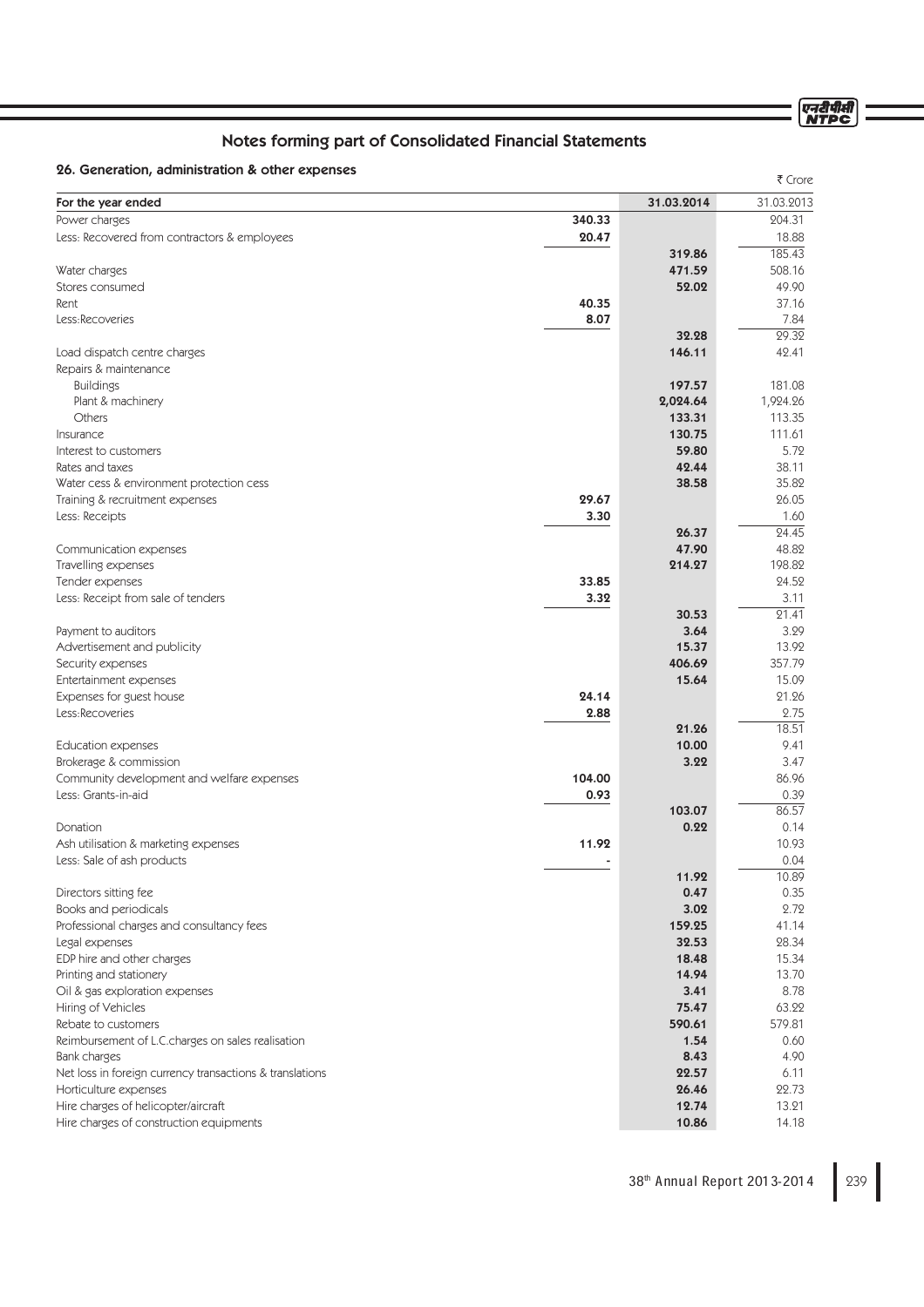ण्नदीपीसी<br>NTPC

# Notes forming part of Consolidated Financial Statements

# 26. Generation, administration & other expenses

| zu. Ochciaduli, auniniisuaduli a Odici cxp                        |                |                 | ₹ Crore            |
|-------------------------------------------------------------------|----------------|-----------------|--------------------|
| For the year ended                                                |                | 31.03.2014      | 31.03.2013         |
| Power charges                                                     | 340.33         |                 | 204.31             |
| Less: Recovered from contractors & employees                      | 20.47          |                 | 18.88              |
|                                                                   |                | 319.86          | 185.43             |
| Water charges                                                     |                | 471.59          | 508.16             |
| Stores consumed                                                   |                | 52.02           | 49.90              |
| Rent                                                              | 40.35          |                 | 37.16              |
| Less:Recoveries                                                   | 8.07           |                 | 7.84               |
|                                                                   |                | 32.28           | $\overline{29.32}$ |
| Load dispatch centre charges                                      |                | 146.11          | 42.41              |
| Repairs & maintenance                                             |                |                 |                    |
| <b>Buildings</b>                                                  |                | 197.57          | 181.08             |
| Plant & machinery                                                 |                | 2,024.64        | 1,924.26           |
| Others                                                            |                | 133.31          | 113.35             |
| Insurance                                                         |                | 130.75<br>59.80 | 111.61<br>5.72     |
| Interest to customers<br>Rates and taxes                          |                | 42.44           | 38.11              |
| Water cess & environment protection cess                          |                | 38.58           | 35.82              |
| Training & recruitment expenses                                   | 29.67          |                 | 26.05              |
| Less: Receipts                                                    | 3.30           |                 | 1.60               |
|                                                                   |                | 26.37           | 24.45              |
| Communication expenses                                            |                | 47.90           | 48.82              |
| Travelling expenses                                               |                | 214.27          | 198.82             |
| Tender expenses                                                   | 33.85          |                 | 24.52              |
| Less: Receipt from sale of tenders                                | 3.32           |                 | 3.11               |
|                                                                   |                | 30.53           | 21.41              |
| Payment to auditors                                               |                | 3.64            | 3.29               |
| Advertisement and publicity                                       |                | 15.37           | 13.92              |
| Security expenses                                                 |                | 406.69          | 357.79             |
| Entertainment expenses                                            |                | 15.64           | 15.09              |
| Expenses for guest house                                          | 24.14          |                 | 21.26              |
| Less:Recoveries                                                   | 2.88           |                 | 2.75               |
|                                                                   |                | 21.26           | 18.51              |
| <b>Education expenses</b>                                         |                | 10.00           | 9.41               |
| Brokerage & commission                                            |                | 3.22            | 3.47               |
| Community development and welfare expenses<br>Less: Grants-in-aid | 104.00<br>0.93 |                 | 86.96<br>0.39      |
|                                                                   |                | 103.07          | 86.57              |
| Donation                                                          |                | 0.22            | 0.14               |
| Ash utilisation & marketing expenses                              | 11.92          |                 | 10.93              |
| Less: Sale of ash products                                        |                |                 | 0.04               |
|                                                                   |                | 11.92           | 10.89              |
| Directors sitting fee                                             |                | 0.47            | 0.35               |
| Books and periodicals                                             |                | 3.02            | 2.72               |
| Professional charges and consultancy fees                         |                | 159.25          | 41.14              |
| Legal expenses                                                    |                | 32.53           | 28.34              |
| EDP hire and other charges                                        |                | 18.48           | 15.34              |
| Printing and stationery                                           |                | 14.94           | 13.70              |
| Oil & gas exploration expenses                                    |                | 3.41            | 8.78               |
| Hiring of Vehicles                                                |                | 75.47           | 63.22              |
| Rebate to customers                                               |                | 590.61          | 579.81             |
| Reimbursement of L.C.charges on sales realisation                 |                | 1.54            | 0.60               |
| Bank charges                                                      |                | 8.43            | 4.90               |
| Net loss in foreign currency transactions & translations          |                | 22.57           | 6.11               |
| Horticulture expenses                                             |                | 26.46           | 22.73              |
| Hire charges of helicopter/aircraft                               |                | 12.74           | 13.21              |
| Hire charges of construction equipments                           |                | 10.86           | 14.18              |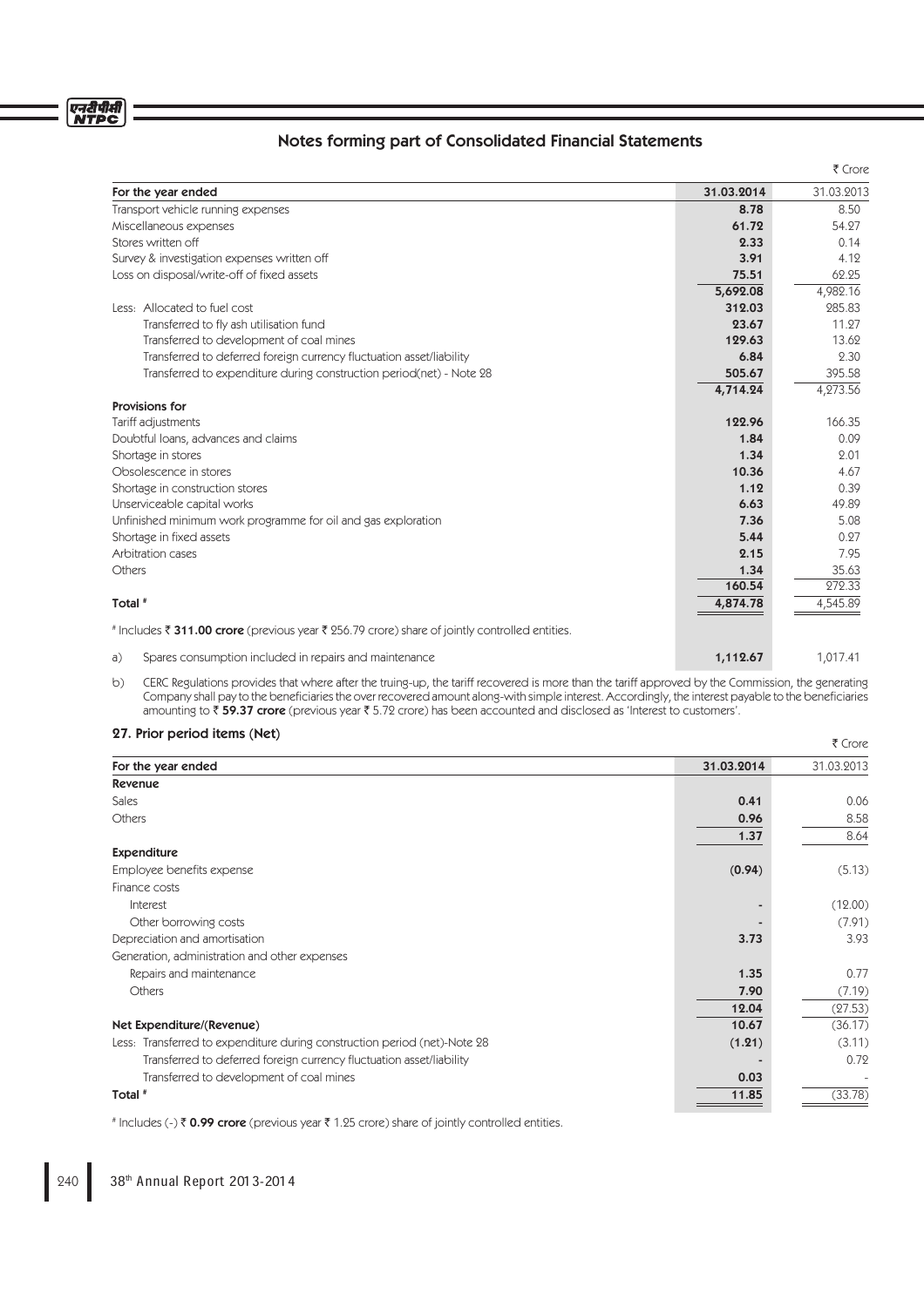# एनरीपीसी<br>NTPC

# Notes forming part of Consolidated Financial Statements

|                                                                                                |            | ₹ Crore    |
|------------------------------------------------------------------------------------------------|------------|------------|
| For the year ended                                                                             | 31.03.2014 | 31.03.2013 |
| Transport vehicle running expenses                                                             | 8.78       | 8.50       |
| Miscellaneous expenses                                                                         | 61.72      | 54.27      |
| Stores written off                                                                             |            | 0.14       |
| Survey & investigation expenses written off                                                    | 3.91       | 4.12       |
| Loss on disposal/write-off of fixed assets                                                     | 75.51      | 62.25      |
|                                                                                                | 5,692.08   | 4,982.16   |
| Less: Allocated to fuel cost                                                                   | 312.03     | 285.83     |
| Transferred to fly ash utilisation fund                                                        | 23.67      | 11.27      |
| Transferred to development of coal mines                                                       | 129.63     | 13.62      |
| Transferred to deferred foreign currency fluctuation asset/liability                           | 6.84       | 2.30       |
| Transferred to expenditure during construction period(net) - Note 28                           | 505.67     | 395.58     |
|                                                                                                | 4,714.24   | 4,273.56   |
| <b>Provisions for</b>                                                                          |            |            |
| Tariff adjustments                                                                             | 122.96     | 166.35     |
| Doubtful loans, advances and claims                                                            |            | 0.09       |
| Shortage in stores                                                                             |            | 2.01       |
| Obsolescence in stores                                                                         | 10.36      | 4.67       |
| Shortage in construction stores                                                                | 1.12       | 0.39       |
| Unserviceable capital works                                                                    | 6.63       | 49.89      |
| Unfinished minimum work programme for oil and gas exploration                                  | 7.36       | 5.08       |
| Shortage in fixed assets                                                                       | 5.44       | 0.27       |
| Arbitration cases                                                                              | 2.15       | 7.95       |
| Others                                                                                         | 1.34       | 35.63      |
|                                                                                                | 160.54     | 272.33     |
| Total #                                                                                        | 4,874.78   | 4,545.89   |
| # Includes ₹ 311.00 crore (previous year ₹ 256.79 crore) share of jointly controlled entities. |            |            |
| Spares consumption included in repairs and maintenance<br>a)                                   | 1,112.67   | 1,017.41   |

b) CERC Regulations provides that where after the truing-up, the tariff recovered is more than the tariff approved by the Commission, the generating Company shall pay to the beneficiaries the over recovered amount along-with simple interest. Accordingly, the interest payable to the beneficiaries<br>amounting to ₹ **59.37 crore** (previous year ₹ 5.72 crore) has been accoun

## 27. Prior period items (Net)

| <b>ZI. PIIOI DEIIOU ILEIIIS (NEL)</b>                                     |            | ₹ Crore    |
|---------------------------------------------------------------------------|------------|------------|
| For the year ended                                                        | 31.03.2014 | 31.03.2013 |
| <b>Revenue</b>                                                            |            |            |
| Sales                                                                     | 0.41       | 0.06       |
| Others                                                                    | 0.96       | 8.58       |
|                                                                           | 1.37       | 8.64       |
| <b>Expenditure</b>                                                        |            |            |
| Employee benefits expense                                                 | (0.94)     | (5.13)     |
| Finance costs                                                             |            |            |
| Interest                                                                  |            | (12.00)    |
| Other borrowing costs                                                     |            | (7.91)     |
| Depreciation and amortisation                                             | 3.73       | 3.93       |
| Generation, administration and other expenses                             |            |            |
| Repairs and maintenance                                                   | 1.35       | 0.77       |
| Others                                                                    | 7.90       | (7.19)     |
|                                                                           | 12.04      | (27.53)    |
| Net Expenditure/(Revenue)                                                 | 10.67      | (36.17)    |
| Less: Transferred to expenditure during construction period (net)-Note 28 | (1.21)     | (3.11)     |
| Transferred to deferred foreign currency fluctuation asset/liability      |            | 0.72       |
| Transferred to development of coal mines                                  | 0.03       |            |
| Total #                                                                   | 11.85      | (33.78)    |
|                                                                           |            |            |

# Includes (-) ₹ 0.99 crore (previous year ₹ 1.25 crore) share of jointly controlled entities.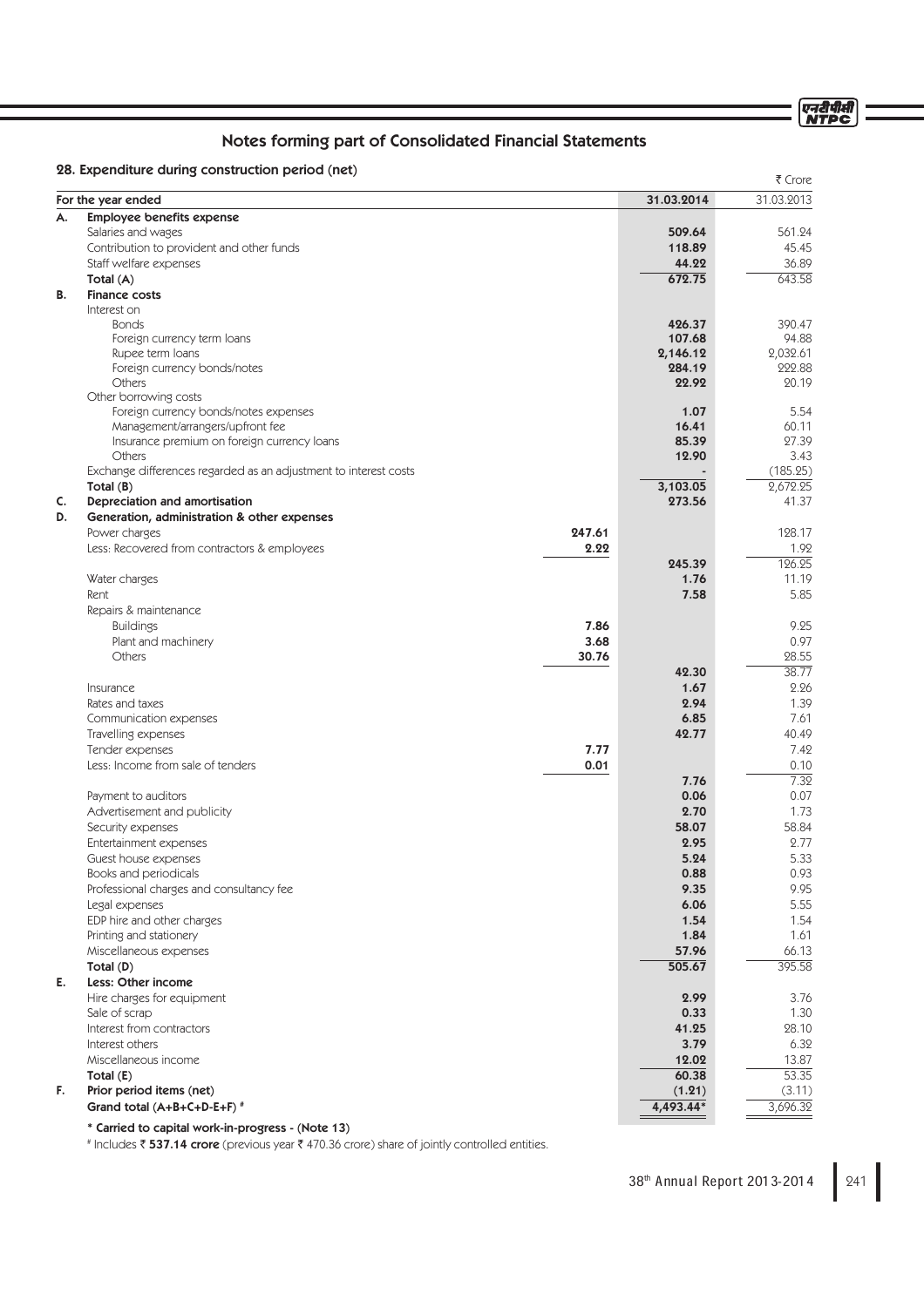एनटीपीसी<br>NTPC

# Notes forming part of Consolidated Financial Statements

# 28. Expenditure during construction period (net)

|    | 20. EXPERIGNME GUITIN CONSUMERON DENOU (NET)                     |        |                    | ₹ Crore            |
|----|------------------------------------------------------------------|--------|--------------------|--------------------|
|    | For the year ended                                               |        | 31.03.2014         | 31.03.2013         |
| А. | <b>Employee benefits expense</b>                                 |        |                    |                    |
|    | Salaries and wages                                               |        | 509.64             | 561.24             |
|    | Contribution to provident and other funds                        |        | 118.89             | 45.45              |
|    | Staff welfare expenses                                           |        | 44.22              | 36.89              |
|    | Total (A)                                                        |        | 672.75             | 643.58             |
| В. | <b>Finance costs</b>                                             |        |                    |                    |
|    | Interest on                                                      |        |                    |                    |
|    | <b>Bonds</b>                                                     |        | 426.37             | 390.47             |
|    | Foreign currency term loans                                      |        | 107.68             | 94.88              |
|    | Rupee term loans                                                 |        | 2,146.12<br>284.19 | 2,032.61<br>222.88 |
|    | Foreign currency bonds/notes<br>Others                           |        | 22.92              | 20.19              |
|    | Other borrowing costs                                            |        |                    |                    |
|    | Foreign currency bonds/notes expenses                            |        | 1.07               | 5.54               |
|    | Management/arrangers/upfront fee                                 |        | 16.41              | 60.11              |
|    | Insurance premium on foreign currency loans                      |        | 85.39              | 27.39              |
|    | Others                                                           |        | 12.90              | 3.43               |
|    | Exchange differences regarded as an adjustment to interest costs |        |                    | (185.25)           |
|    | Total $(B)$                                                      |        | 3,103.05           | 2,672.25           |
| C. | Depreciation and amortisation                                    |        | 273.56             | 41.37              |
| D. | Generation, administration & other expenses                      |        |                    |                    |
|    | Power charges                                                    | 247.61 |                    | 128.17             |
|    | Less: Recovered from contractors & employees                     | 2.22   |                    | 1.92               |
|    |                                                                  |        | 245.39             | 126.25             |
|    | Water charges                                                    |        | 1.76               | 11.19              |
|    | Rent<br>Repairs & maintenance                                    |        | 7.58               | 5.85               |
|    |                                                                  | 7.86   |                    | 9.25               |
|    | <b>Buildings</b><br>Plant and machinery                          | 3.68   |                    | 0.97               |
|    | Others                                                           | 30.76  |                    | 28.55              |
|    |                                                                  |        | 42.30              | 38.77              |
|    | Insurance                                                        |        | 1.67               | 2.26               |
|    | Rates and taxes                                                  |        | 2.94               | 1.39               |
|    | Communication expenses                                           |        | 6.85               | 7.61               |
|    | Travelling expenses                                              |        | 42.77              | 40.49              |
|    | Tender expenses                                                  | 7.77   |                    | 7.42               |
|    | Less: Income from sale of tenders                                | 0.01   |                    | 0.10               |
|    |                                                                  |        | 7.76               | 7.32               |
|    | Payment to auditors                                              |        | 0.06               | 0.07               |
|    | Advertisement and publicity                                      |        | 2.70               | 1.73               |
|    | Security expenses                                                |        | 58.07              | 58.84              |
|    | Entertainment expenses                                           |        | 2.95               | 2.77               |
|    | Guest house expenses                                             |        | 5.24               | 5.33               |
|    | Books and periodicals                                            |        | 0.88               | 0.93               |
|    | Professional charges and consultancy fee                         |        | 9.35               | 9.95               |
|    | Legal expenses                                                   |        | 6.06               | 5.55               |
|    | EDP hire and other charges                                       |        | 1.54               | 1.54               |
|    | Printing and stationery                                          |        | 1.84               | 1.61               |
|    | Miscellaneous expenses                                           |        | 57.96              | 66.13              |
|    | Total (D)                                                        |        | 505.67             | 395.58             |
| Е. | Less: Other income                                               |        | 2.99               | 3.76               |
|    | Hire charges for equipment                                       |        |                    |                    |
|    | Sale of scrap<br>Interest from contractors                       |        | 0.33<br>41.25      | 1.30<br>28.10      |
|    | Interest others                                                  |        | 3.79               | 6.32               |
|    | Miscellaneous income                                             |        | 12.02              | 13.87              |
|    | Total (E)                                                        |        | 60.38              | 53.35              |
| F. | Prior period items (net)                                         |        | (1.21)             | (3.11)             |
|    | Grand total (A+B+C+D-E+F) <sup>#</sup>                           |        | $4,493.44*$        | 3,696.32           |
|    |                                                                  |        |                    |                    |

\* Carried to capital work-in-progress - (Note 13)

# Includes  $\bar{\tau}$  537.14 crore (previous year  $\bar{\tau}$  470.36 crore) share of jointly controlled entities.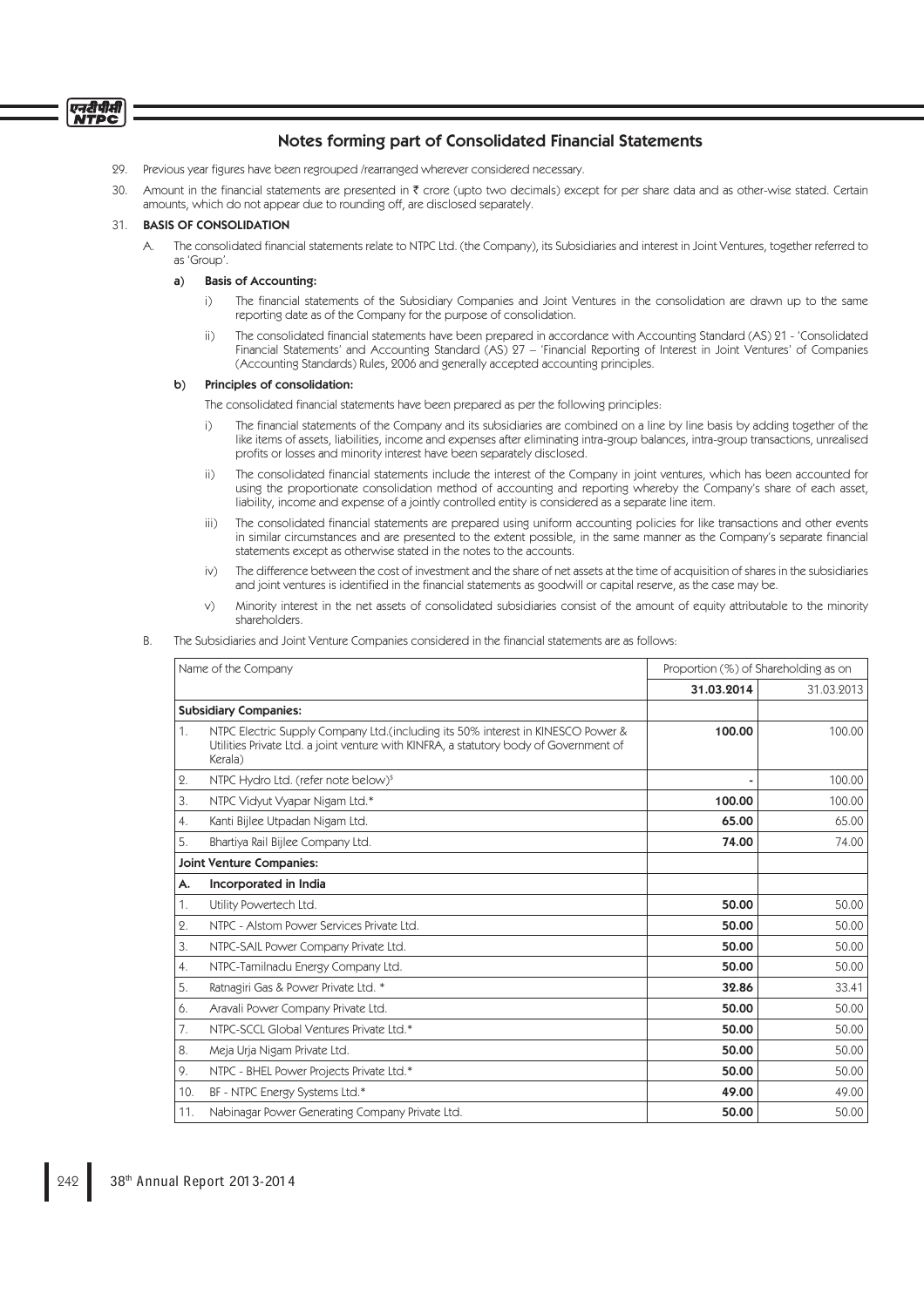# Notes forming part of Consolidated Financial Statements

- 29. Previous year figures have been regrouped /rearranged wherever considered necessary.
- 30. Amount in the financial statements are presented in  $\bar{\tau}$  crore (upto two decimals) except for per share data and as other-wise stated. Certain amounts, which do not appear due to rounding off, are disclosed separately.

## 31. BASIS OF CONSOLIDATION

A. The consolidated financial statements relate to NTPC Ltd. (the Company), its Subsidiaries and interest in Joint Ventures, together referred to as 'Group'.

## a) Basis of Accounting:

- i) The financial statements of the Subsidiary Companies and Joint Ventures in the consolidation are drawn up to the same reporting date as of the Company for the purpose of consolidation.
- ii) The consolidated financial statements have been prepared in accordance with Accounting Standard (AS) 21 'Consolidated Financial Statements' and Accounting Standard (AS) 27 – 'Financial Reporting of Interest in Joint Ventures' of Companies (Accounting Standards) Rules, 2006 and generally accepted accounting principles.

### b) Principles of consolidation:

The consolidated financial statements have been prepared as per the following principles:

- i) The financial statements of the Company and its subsidiaries are combined on a line by line basis by adding together of the like items of assets, liabilities, income and expenses after eliminating intra-group balances, intra-group transactions, unrealised profits or losses and minority interest have been separately disclosed.
- ii) The consolidated financial statements include the interest of the Company in joint ventures, which has been accounted for using the proportionate consolidation method of accounting and reporting whereby the Company's share of each asset, liability, income and expense of a jointly controlled entity is considered as a separate line item.
- iii) The consolidated financial statements are prepared using uniform accounting policies for like transactions and other events in similar circumstances and are presented to the extent possible, in the same manner as the Company's separate financial statements except as otherwise stated in the notes to the accounts.
- iv) The difference between the cost of investment and the share of net assets at the time of acquisition of shares in the subsidiaries and joint ventures is identified in the financial statements as goodwill or capital reserve, as the case may be.
- v) Minority interest in the net assets of consolidated subsidiaries consist of the amount of equity attributable to the minority shareholders.
- The Subsidiaries and Joint Venture Companies considered in the financial statements are as follows:

| Name of the Company |                                                                                                                                                                                     | Proportion (%) of Shareholding as on |            |
|---------------------|-------------------------------------------------------------------------------------------------------------------------------------------------------------------------------------|--------------------------------------|------------|
|                     |                                                                                                                                                                                     | 31.03.2014                           | 31.03.2013 |
|                     | <b>Subsidiary Companies:</b>                                                                                                                                                        |                                      |            |
| 1.                  | NTPC Electric Supply Company Ltd.(including its 50% interest in KINESCO Power &<br>Utilities Private Ltd. a joint venture with KINFRA, a statutory body of Government of<br>Kerala) | 100.00                               | 100.00     |
| 2.                  | NTPC Hydro Ltd. (refer note below) <sup>\$</sup>                                                                                                                                    |                                      | 100.00     |
| 3.                  | NTPC Vidyut Vyapar Nigam Ltd.*                                                                                                                                                      | 100.00                               | 100.00     |
| 4.                  | Kanti Bijlee Utpadan Nigam Ltd.                                                                                                                                                     | 65.00                                | 65.00      |
| 5.                  | Bhartiya Rail Bijlee Company Ltd.                                                                                                                                                   | 74.00                                | 74.00      |
|                     | <b>Joint Venture Companies:</b>                                                                                                                                                     |                                      |            |
| А.                  | Incorporated in India                                                                                                                                                               |                                      |            |
| 1.                  | Utility Powertech Ltd.                                                                                                                                                              | 50.00                                | 50.00      |
| 2.                  | NTPC - Alstom Power Services Private Ltd.                                                                                                                                           | 50.00                                | 50.00      |
| 3.                  | NTPC-SAIL Power Company Private Ltd.                                                                                                                                                | 50.00                                | 50.00      |
| 4.                  | NTPC-Tamilnadu Energy Company Ltd.                                                                                                                                                  | 50.00                                | 50.00      |
| 5.                  | Ratnagiri Gas & Power Private Ltd. *                                                                                                                                                | 32.86                                | 33.41      |
| 6.                  | Aravali Power Company Private Ltd.                                                                                                                                                  | 50.00                                | 50.00      |
| 7.                  | NTPC-SCCL Global Ventures Private Ltd.*                                                                                                                                             | 50.00                                | 50.00      |
| 8.                  | Meja Urja Nigam Private Ltd.                                                                                                                                                        | 50.00                                | 50.00      |
| 9.                  | NTPC - BHEL Power Projects Private Ltd.*                                                                                                                                            | 50.00                                | 50.00      |
| 10.                 | BF - NTPC Energy Systems Ltd.*                                                                                                                                                      | 49.00                                | 49.00      |
| 11.                 | Nabinagar Power Generating Company Private Ltd.                                                                                                                                     | 50.00                                | 50.00      |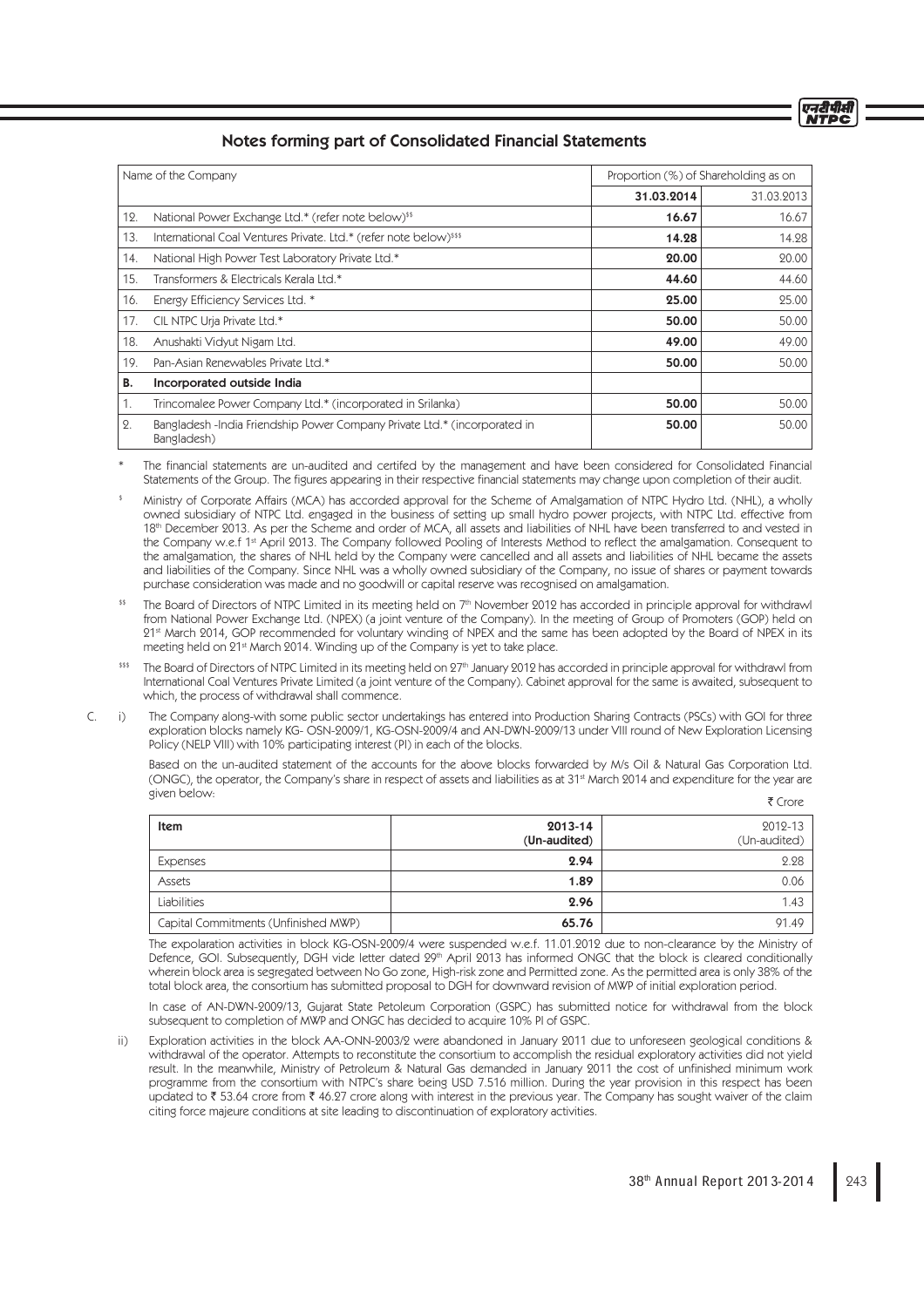# Notes forming part of Consolidated Financial Statements

| Name of the Company |                                                                                           | Proportion (%) of Shareholding as on |            |
|---------------------|-------------------------------------------------------------------------------------------|--------------------------------------|------------|
|                     |                                                                                           | 31.03.2014                           | 31.03.2013 |
| 12.                 | National Power Exchange Ltd.* (refer note below) <sup>\$\$</sup>                          | 16.67                                | 16.67      |
| 13.                 | International Coal Ventures Private. Ltd.* (refer note below) <sup>\$\$\$</sup>           | 14.28                                | 14.28      |
| 14.                 | National High Power Test Laboratory Private Ltd.*                                         | 20.00                                | 20.00      |
| 15.                 | Transformers & Electricals Kerala Ltd.*                                                   | 44.60                                | 44.60      |
| 16.                 | Energy Efficiency Services Ltd. *                                                         | 25.00                                | 25.00      |
| 17.                 | CIL NTPC Urja Private Ltd.*                                                               | 50.00                                | 50.00      |
| 18.                 | Anushakti Vidyut Nigam Ltd.                                                               | 49.00                                | 49.00      |
| 19.                 | Pan-Asian Renewables Private Ltd.*                                                        | 50.00                                | 50.00      |
| В.                  | Incorporated outside India                                                                |                                      |            |
| 1.                  | Trincomalee Power Company Ltd.* (incorporated in Srilanka)                                | 50.00                                | 50.00      |
| 2.                  | Bangladesh - India Friendship Power Company Private Ltd.* (incorporated in<br>Bangladesh) | 50.00                                | 50.00      |

The financial statements are un-audited and certifed by the management and have been considered for Consolidated Financial Statements of the Group. The figures appearing in their respective financial statements may change upon completion of their audit.

\$ Ministry of Corporate Affairs (MCA) has accorded approval for the Scheme of Amalgamation of NTPC Hydro Ltd. (NHL), a wholly owned subsidiary of NTPC Ltd. engaged in the business of setting up small hydro power projects, with NTPC Ltd. effective from 18th December 2013. As per the Scheme and order of MCA, all assets and liabilities of NHL have been transferred to and vested in the Company w.e.f 1<sup>st</sup> April 2013. The Company followed Pooling of Interests Method to reflect the amalgamation. Consequent to the amalgamation, the shares of NHL held by the Company were cancelled and all assets and liabilities of NHL became the assets and liabilities of the Company. Since NHL was a wholly owned subsidiary of the Company, no issue of shares or payment towards purchase consideration was made and no goodwill or capital reserve was recognised on amalgamation.

<sup>\$\$</sup> The Board of Directors of NTPC Limited in its meeting held on 7<sup>th</sup> November 2012 has accorded in principle approval for withdrawl from National Power Exchange Ltd. (NPEX) (a joint venture of the Company). In the meeting of Group of Promoters (GOP) held on 21st March 2014, GOP recommended for voluntary winding of NPEX and the same has been adopted by the Board of NPEX in its meeting held on 21<sup>st</sup> March 2014. Winding up of the Company is yet to take place.

\$55 The Board of Directors of NTPC Limited in its meeting held on 27th January 2012 has accorded in principle approval for withdrawl from International Coal Ventures Private Limited (a joint venture of the Company). Cabinet approval for the same is awaited, subsequent to which, the process of withdrawal shall commence.

 C. i) The Company along-with some public sector undertakings has entered into Production Sharing Contracts (PSCs) with GOI for three exploration blocks namely KG- OSN-2009/1, KG-OSN-2009/4 and AN-DWN-2009/13 under VIII round of New Exploration Licensing Policy (NELP VIII) with 10% participating interest (PI) in each of the blocks.

 Based on the un-audited statement of the accounts for the above blocks forwarded by M/s Oil & Natural Gas Corporation Ltd. (ONGC), the operator, the Company's share in respect of assets and liabilities as at 31<sup>st</sup> March 2014 and expenditure for the year are given below: ₹ Crore

| Item                                 | 2013-14<br>(Un-audited) | 2012-13<br>(Un-audited) |
|--------------------------------------|-------------------------|-------------------------|
| Expenses                             | 2.94                    | 2.28                    |
| Assets                               | 1.89                    | 0.06                    |
| Liabilities                          | 2.96                    | 1.43                    |
| Capital Commitments (Unfinished MWP) | 65.76                   | 91.49                   |

 The expolaration activities in block KG-OSN-2009/4 were suspended w.e.f. 11.01.2012 due to non-clearance by the Ministry of Defence, GOI. Subsequently, DGH vide letter dated 29<sup>th</sup> April 2013 has informed ONGC that the block is cleared conditionally wherein block area is segregated between No Go zone, High-risk zone and Permitted zone. As the permitted area is only 38% of the total block area, the consortium has submitted proposal to DGH for downward revision of MWP of initial exploration period.

 In case of AN-DWN-2009/13, Gujarat State Petoleum Corporation (GSPC) has submitted notice for withdrawal from the block subsequent to completion of MWP and ONGC has decided to acquire 10% PI of GSPC.

Exploration activities in the block AA-ONN-2003/2 were abandoned in January 2011 due to unforeseen geological conditions & withdrawal of the operator. Attempts to reconstitute the consortium to accomplish the residual exploratory activities did not yield result. In the meanwhile, Ministry of Petroleum & Natural Gas demanded in January 2011 the cost of unfinished minimum work programme from the consortium with NTPC's share being USD 7.516 million. During the year provision in this respect has been updated to  $\bar{\xi}$  53.64 crore from  $\bar{\xi}$  46.27 crore along with interest in the previous year. The Company has sought waiver of the claim citing force majeure conditions at site leading to discontinuation of exploratory activities.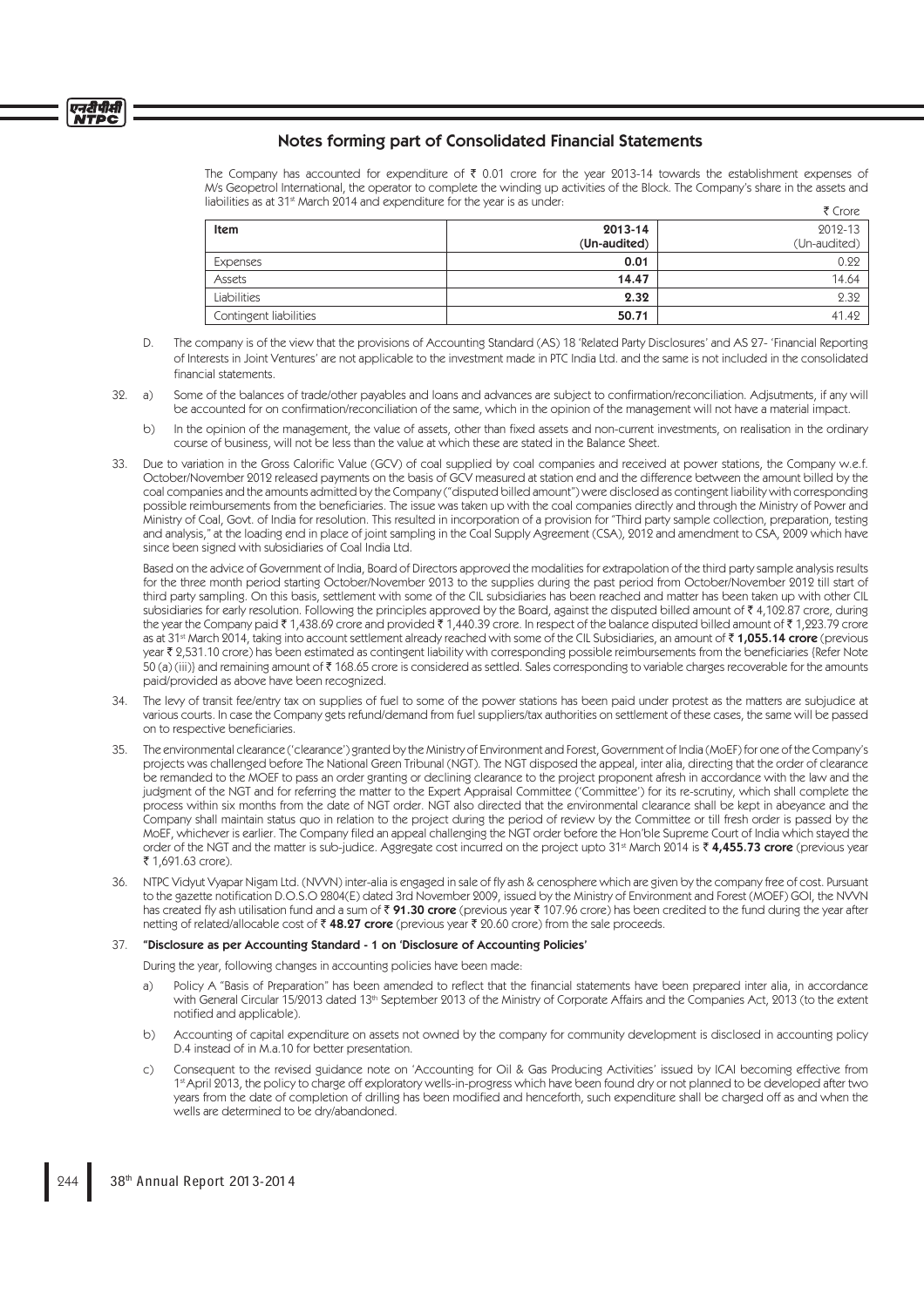The Company has accounted for expenditure of  $\bar{\tau}$  0.01 crore for the year 2013-14 towards the establishment expenses of M/s Geopetrol International, the operator to complete the winding up activities of the Block. The Company's share in the assets and liabilities as at 31<sup>st</sup> March 2014 and expenditure for the year is as under:  $F$  Crore

|              | .            |
|--------------|--------------|
| 2013-14      | 2012-13      |
| (Un-audited) | (Un-audited) |
| 0.01         | 0.22         |
| 14.47        | 14.64        |
| 2.32         | 2.32         |
| 50.71        | 41.42        |
|              |              |

- D. The company is of the view that the provisions of Accounting Standard (AS) 18 'Related Party Disclosures' and AS 27- 'Financial Reporting of Interests in Joint Ventures' are not applicable to the investment made in PTC India Ltd. and the same is not included in the consolidated financial statements
- 32. a) Some of the balances of trade/other payables and loans and advances are subject to confirmation/reconciliation. Adjsutments, if any will be accounted for on confirmation/reconciliation of the same, which in the opinion of the management will not have a material impact.
	- b) In the opinion of the management, the value of assets, other than fixed assets and non-current investments, on realisation in the ordinary course of business, will not be less than the value at which these are stated in the Balance Sheet.
- 33. Due to variation in the Gross Calorific Value (GCV) of coal supplied by coal companies and received at power stations, the Company w.e.f. October/November 2012 released payments on the basis of GCV measured at station end and the difference between the amount billed by the coal companies and the amounts admitted by the Company ("disputed billed amount") were disclosed as contingent liability with corresponding possible reimbursements from the beneficiaries. The issue was taken up with the coal companies directly and through the Ministry of Power and Ministry of Coal, Govt. of India for resolution. This resulted in incorporation of a provision for "Third party sample collection, preparation, testing and analysis," at the loading end in place of joint sampling in the Coal Supply Agreement (CSA), 2012 and amendment to CSA, 2009 which have since been signed with subsidiaries of Coal India Ltd.

 Based on the advice of Government of India, Board of Directors approved the modalities for extrapolation of the third party sample analysis results for the three month period starting October/November 2013 to the supplies during the past period from October/November 2012 till start of third party sampling. On this basis, settlement with some of the CIL subsidiaries has been reached and matter has been taken up with other CIL subsidiaries for early resolution. Following the principles approved by the Board, against the disputed billed amount of  $\bar{\tau}$  4,102.87 crore, during the year the Company paid  $\bar{\tau}$  1,438.69 crore and provided  $\bar{\tau}$  1,440.39 crore. In respect of the balance disputed billed amount of  $\bar{\tau}$  1,223.79 crore as at 31<sup>st</sup> March 2014, taking into account settlement already reached with some of the CIL Subsidiaries, an amount of  $\bar{\tau}$  1,055.14 crore (previous year  $\bar{\tau}$  2,531.10 crore) has been estimated as contingent liability with corresponding possible reimbursements from the beneficiaries {Refer Note 50 (a) (iii)} and remaining amount of ₹168.65 crore is considered as settled. Sales corresponding to variable charges recoverable for the amounts paid/provided as above have been recognized.

- 34. The levy of transit fee/entry tax on supplies of fuel to some of the power stations has been paid under protest as the matters are subjudice at various courts. In case the Company gets refund/demand from fuel suppliers/tax authorities on settlement of these cases, the same will be passed on to respective beneficiaries.
- 35. The environmental clearance ('clearance') granted by the Ministry of Environment and Forest, Government of India (MoEF) for one of the Company's projects was challenged before The National Green Tribunal (NGT). The NGT disposed the appeal, inter alia, directing that the order of clearance be remanded to the MOEF to pass an order granting or declining clearance to the project proponent afresh in accordance with the law and the judgment of the NGT and for referring the matter to the Expert Appraisal Committee ('Committee') for its re-scrutiny, which shall complete the process within six months from the date of NGT order. NGT also directed that the environmental clearance shall be kept in abeyance and the Company shall maintain status quo in relation to the project during the period of review by the Committee or till fresh order is passed by the MoEF, whichever is earlier. The Company filed an appeal challenging the NGT order before the Hon'ble Supreme Court of India which stayed the order of the NGT and the matter is sub-judice. Aggregate cost incurred on the project upto 31st March 2014 is  $\bar{\tau}$  4,455.73 crore (previous year ₹ 1,691.63 crore).
- 36. NTPC Vidyut Vyapar Nigam Ltd. (NVVN) inter-alia is engaged in sale of fly ash & cenosphere which are given by the company free of cost. Pursuant to the gazette notification D.O.S.O 2804(E) dated 3rd November 2009, issued by the Ministry of Environment and Forest (MOEF) GOI, the NVVN has created fly ash utilisation fund and a sum of  $\bar{x}$  91.30 crore (previous year  $\bar{x}$  107.96 crore) has been credited to the fund during the year after netting of related/allocable cost of  $\bar{\tau}$  48.27 crore (previous year  $\bar{\tau}$  20.60 crore) from the sale proceeds.

### 37. "Disclosure as per Accounting Standard - 1 on 'Disclosure of Accounting Policies'

During the year, following changes in accounting policies have been made:

- a) Policy A "Basis of Preparation" has been amended to reflect that the financial statements have been prepared inter alia, in accordance with General Circular 15/2013 dated 13th September 2013 of the Ministry of Corporate Affairs and the Companies Act, 2013 (to the extent notified and applicable).
- b) Accounting of capital expenditure on assets not owned by the company for community development is disclosed in accounting policy D.4 instead of in M.a.10 for better presentation.
- c) Consequent to the revised guidance note on 'Accounting for Oil & Gas Producing Activities' issued by ICAI becoming effective from 1<sup>x</sup> April 2013, the policy to charge off exploratory wells-in-progress which have been found dry or not planned to be developed after two years from the date of completion of drilling has been modified and henceforth, such expenditure shall be charged off as and when the wells are determined to be dry/abandoned.

एनदीपीसी **NTDC**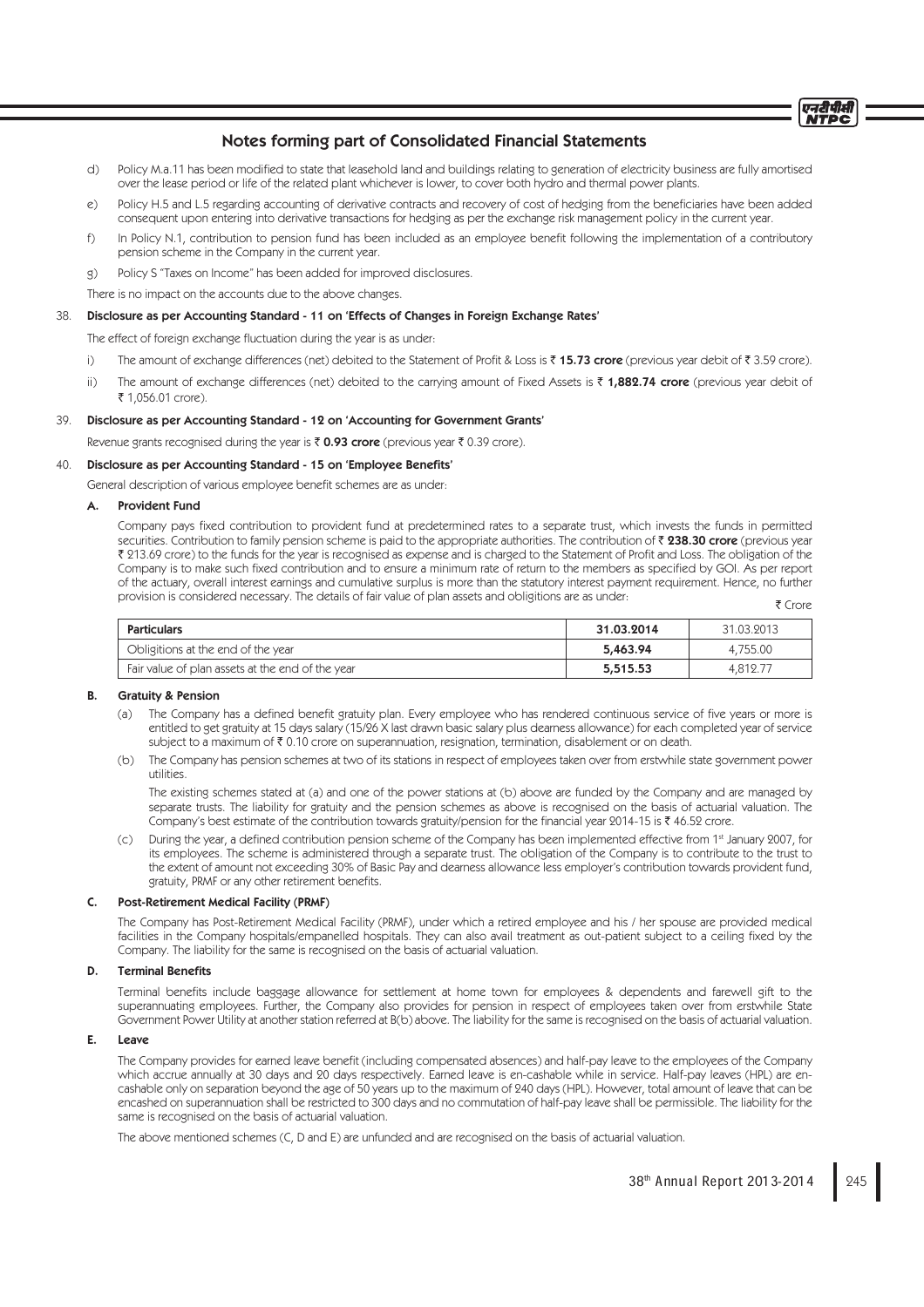# Notes forming part of Consolidated Financial Statements

- d) Policy M.a.11 has been modified to state that leasehold land and buildings relating to generation of electricity business are fully amortised over the lease period or life of the related plant whichever is lower, to cover both hydro and thermal power plants.
- e) Policy H.5 and L.5 regarding accounting of derivative contracts and recovery of cost of hedging from the beneficiaries have been added consequent upon entering into derivative transactions for hedging as per the exchange risk management policy in the current year.
- f) In Policy N.1, contribution to pension fund has been included as an employee benefit following the implementation of a contributory pension scheme in the Company in the current year.
- g) Policy S "Taxes on Income" has been added for improved disclosures.
- There is no impact on the accounts due to the above changes.

#### 38. Disclosure as per Accounting Standard - 11 on 'Effects of Changes in Foreign Exchange Rates'

The effect of foreign exchange fluctuation during the year is as under:

- i) The amount of exchange differences (net) debited to the Statement of Profit & Loss is  $\bar{\tau}$  15.73 crore (previous year debit of  $\bar{\tau}$  3.59 crore).
- ii) The amount of exchange differences (net) debited to the carrying amount of Fixed Assets is  $\bar{\tau}$  1,882.74 crore (previous year debit of ₹ 1,056.01 crore).

#### 39. Disclosure as per Accounting Standard - 12 on 'Accounting for Government Grants'

Revenue grants recognised during the year is  $\bar{\tau}$  0.93 crore (previous year  $\bar{\tau}$  0.39 crore).

## 40. Disclosure as per Accounting Standard - 15 on 'Employee Benefits'

General description of various employee benefit schemes are as under:

## A. Provident Fund

Company pays fixed contribution to provident fund at predetermined rates to a separate trust, which invests the funds in permitted securities. Contribution to family pension scheme is paid to the appropriate authorities. The contribution of  $\bar{z}$  238.30 crore (previous year ₹ 213.69 crore) to the funds for the year is recognised as expense and is charged to the Statement of Profit and Loss. The obligation of the Company is to make such fixed contribution and to ensure a minimum rate of return to the members as specified by GOI. As per report of the actuary, overall interest earnings and cumulative surplus is more than the statutory interest payment requirement. Hence, no further provision is considered necessary. The details of fair value of plan assets and obligitions are as under:

₹ Crore

| <b>Particulars</b>                               | 31.03.2014 | 31.03.2013 |
|--------------------------------------------------|------------|------------|
| Obligitions at the end of the year               | 5,463.94   | 4,755.00   |
| Fair value of plan assets at the end of the year | 5,515.53   | 4.812.77   |

#### B. Gratuity & Pension

- (a) The Company has a defined benefit gratuity plan. Every employee who has rendered continuous service of five years or more is entitled to get gratuity at 15 days salary (15/26 X last drawn basic salary plus dearness allowance) for each completed year of service subject to a maximum of  $\bar{\tau}$  0.10 crore on superannuation, resignation, termination, disablement or on death.
- (b) The Company has pension schemes at two of its stations in respect of employees taken over from erstwhile state government power utilities.

 The existing schemes stated at (a) and one of the power stations at (b) above are funded by the Company and are managed by separate trusts. The liability for gratuity and the pension schemes as above is recognised on the basis of actuarial valuation. The Company's best estimate of the contribution towards gratuity/pension for the financial year 2014-15 is  $\bar{\tau}$  46.52 crore.

(c) During the year, a defined contribution pension scheme of the Company has been implemented effective from 1st January 2007, for its employees. The scheme is administered through a separate trust. The obligation of the Company is to contribute to the trust to the extent of amount not exceeding 30% of Basic Pay and dearness allowance less employer's contribution towards provident fund, gratuity, PRMF or any other retirement benefits.

#### C. Post-Retirement Medical Facility (PRMF)

 The Company has Post-Retirement Medical Facility (PRMF), under which a retired employee and his / her spouse are provided medical facilities in the Company hospitals/empanelled hospitals. They can also avail treatment as out-patient subject to a ceiling fixed by the Company. The liability for the same is recognised on the basis of actuarial valuation.

#### D. Terminal Benefits

Terminal benefits include baggage allowance for settlement at home town for employees & dependents and farewell gift to the superannuating employees. Further, the Company also provides for pension in respect of employees taken over from erstwhile State Government Power Utility at another station referred at B(b) above. The liability for the same is recognised on the basis of actuarial valuation.

#### E. Leave

The Company provides for earned leave benefit (including compensated absences) and half-pay leave to the employees of the Company which accrue annually at 30 days and 20 days respectively. Earned leave is en-cashable while in service. Half-pay leaves (HPL) are encashable only on separation beyond the age of 50 years up to the maximum of 240 days (HPL). However, total amount of leave that can be encashed on superannuation shall be restricted to 300 days and no commutation of half-pay leave shall be permissible. The liability for the same is recognised on the basis of actuarial valuation.

The above mentioned schemes (C, D and E) are unfunded and are recognised on the basis of actuarial valuation.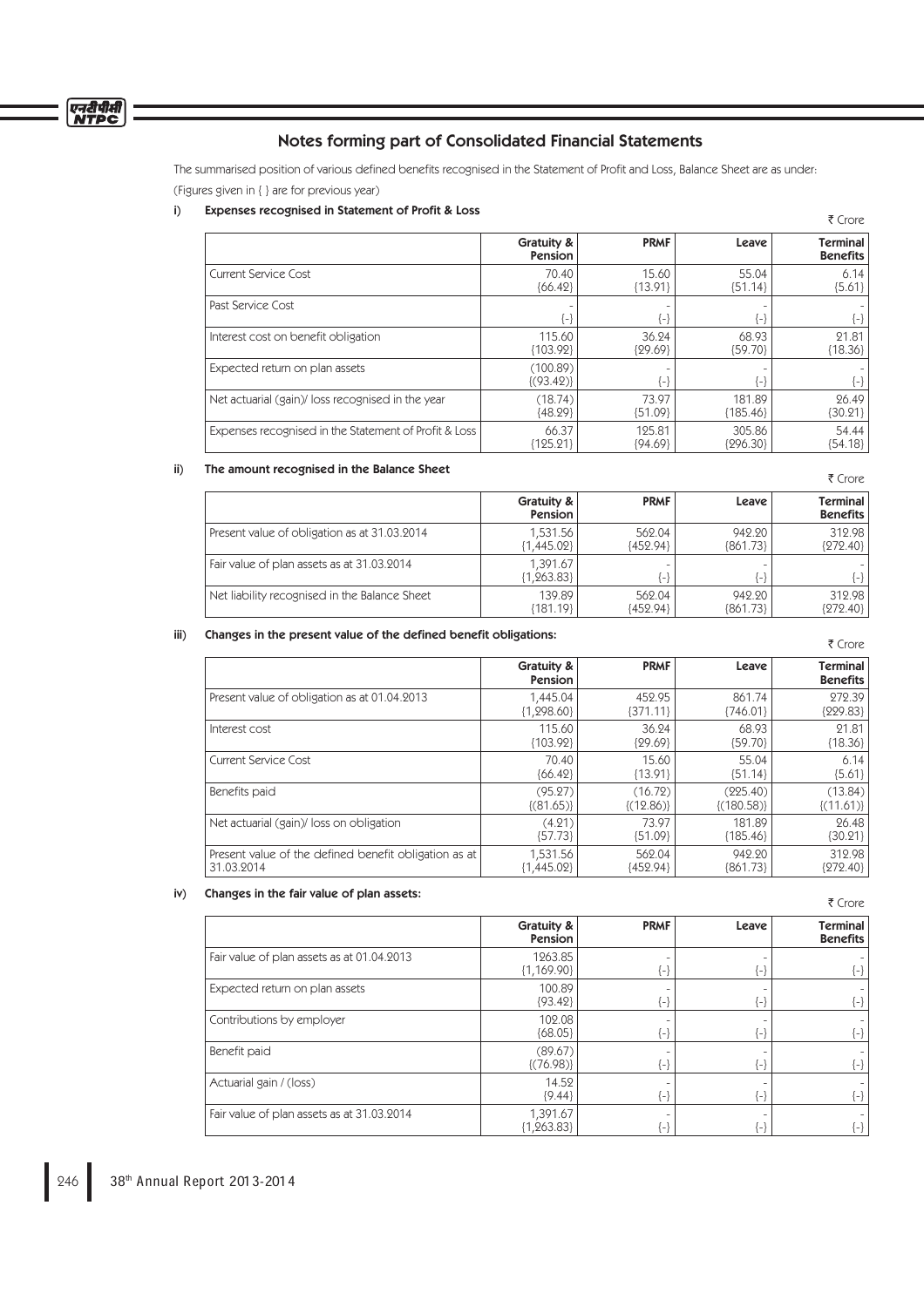

The summarised position of various defined benefits recognised in the Statement of Profit and Loss, Balance Sheet are as under: (Figures given in { } are for previous year)

# i) Expenses recognised in Statement of Profit & Loss

|                                                       |                           |             |            | 1 CIVIE                     |
|-------------------------------------------------------|---------------------------|-------------|------------|-----------------------------|
|                                                       | Gratuity &<br>Pension     | <b>PRMF</b> | Leave      | Terminal<br><b>Benefits</b> |
| Current Service Cost                                  | 70.40                     | 15.60       | 55.04      | 6.14                        |
|                                                       | ${66.42}$                 | ${13.91}$   | ${51.14}$  | ${5.61}$                    |
| Past Service Cost                                     | {-}                       | {-}         | $\{-\}$    | $\{\text{-}\}$              |
| Interest cost on benefit obligation                   | 115.60                    | 36.24       | 68.93      | 21.81                       |
|                                                       | ${103.92}$                | ${29.69}$   | {59.70}    | ${18.36}$                   |
| Expected return on plan assets                        | (100.89)<br>$\{(93.42)\}$ | {-}         | {−}        | $\{-\}$                     |
| Net actuarial (gain)/loss recognised in the year      | (18.74)                   | 73.97       | 181.89     | 26.49                       |
|                                                       | ${48.29}$                 | ${51.09}$   | ${185.46}$ | 30.21                       |
| Expenses recognised in the Statement of Profit & Loss | 66.37                     | 125.81      | 305.86     | 54.44                       |
|                                                       | ${125.21}$                | ${94.69}$   | ${296.30}$ | [54.18]                     |

## ii) The amount recognised in the Balance Sheet

|                                               | Gratuity &<br>Pension    | <b>PRMF</b>              | Leave                    | Terminal<br><b>Benefits</b> |
|-----------------------------------------------|--------------------------|--------------------------|--------------------------|-----------------------------|
| Present value of obligation as at 31.03.2014  | 1.531.56                 | 562.04                   | 942.20                   | 312.98                      |
|                                               | ${1,445.02}$             | ${452.94}$               | ${861.73}$               | ${272.40}$                  |
| Fair value of plan assets as at 31.03.2014    | 1.391.67<br>${1,263.83}$ | $\overline{\phantom{a}}$ | $\overline{\phantom{a}}$ | $\{-\}$                     |
| Net liability recognised in the Balance Sheet | 139.89                   | 562.04                   | 942.20                   | 312.98                      |
|                                               | {181.19}                 | {452.94}                 | ${861.73}$               | ${272.40}$                  |

## iii) Changes in the present value of the defined benefit obligations:

| indiryes in the present value of the defined oenent convations. |                       |             |                 | ₹ Crore                     |
|-----------------------------------------------------------------|-----------------------|-------------|-----------------|-----------------------------|
|                                                                 | Gratuity &<br>Pension | <b>PRMF</b> | Leave           | Terminal<br><b>Benefits</b> |
| Present value of obligation as at 01.04.2013                    | 1.445.04              | 452.95      | 861.74          | 272.39                      |
|                                                                 | ${1,298.60}$          | ${371.11}$  | ${746.01}$      | ${229.83}$                  |
| Interest cost                                                   | 115.60                | 36.24       | 68.93           | 21.81                       |
|                                                                 | ${103.92}$            | ${29.69}$   | ${59.70}$       | ${18.36}$                   |
| <b>Current Service Cost</b>                                     | 70.40                 | 15.60       | 55.04           | 6.14                        |
|                                                                 | ${66.42}$             | ${13.91}$   | ${51.14}$       | ${5.61}$                    |
| Benefits paid                                                   | (95.27)               | (16.72)     | (225.40)        | (13.84)                     |
|                                                                 | $\{(81.65)\}\$        | ${(12.86)}$ | $\{(180.58)\}\$ | $\{(11.61)\}\$              |
| Net actuarial (gain)/loss on obligation                         | (4.21)                | 73.97       | 181.89          | 26.48                       |
|                                                                 | ${57.73}$             | ${51.09}$   | ${185.46}$      | ${30.21}$                   |
| Present value of the defined benefit obligation as at           | 1,531.56              | 562.04      | 942.20          | 312.98                      |
| 31.03.2014                                                      | ${1,445.02}$          | ${452.94}$  | ${861.73}$      | {272.40}                    |

# iv) Changes in the fair value of plan assets:

₹ Crore

 $\overline{z}$  Cross

₹ Crore

|                                            | Gratuity &<br><b>Pension</b> | <b>PRMF</b>                 | Leave | Terminal<br><b>Benefits</b> |
|--------------------------------------------|------------------------------|-----------------------------|-------|-----------------------------|
| Fair value of plan assets as at 01.04.2013 | 1263.85<br>${1,169.90}$      | {-}                         | {−}   | {−}                         |
| Expected return on plan assets             | 100.89<br>${93.42}$          | $\left\{ \text{-} \right\}$ | {−}   | $\{-\}$                     |
| Contributions by employer                  | 102.08<br>${68.05}$          | $\{\text{-}\}$              | {−}   | $\{-\}$                     |
| Benefit paid                               | (89.67)<br>$\{(76.98)\}\$    | $\left\{ \text{-} \right\}$ | {-}   | $\{-\}$                     |
| Actuarial gain / (loss)                    | 14.52<br>${9.44}$            | $\left\{ \text{-} \right\}$ | {-}   | {-}                         |
| Fair value of plan assets as at 31.03.2014 | 1,391.67<br>${1,263.83}$     | -1                          | -}    | $\{\text{-}\}$              |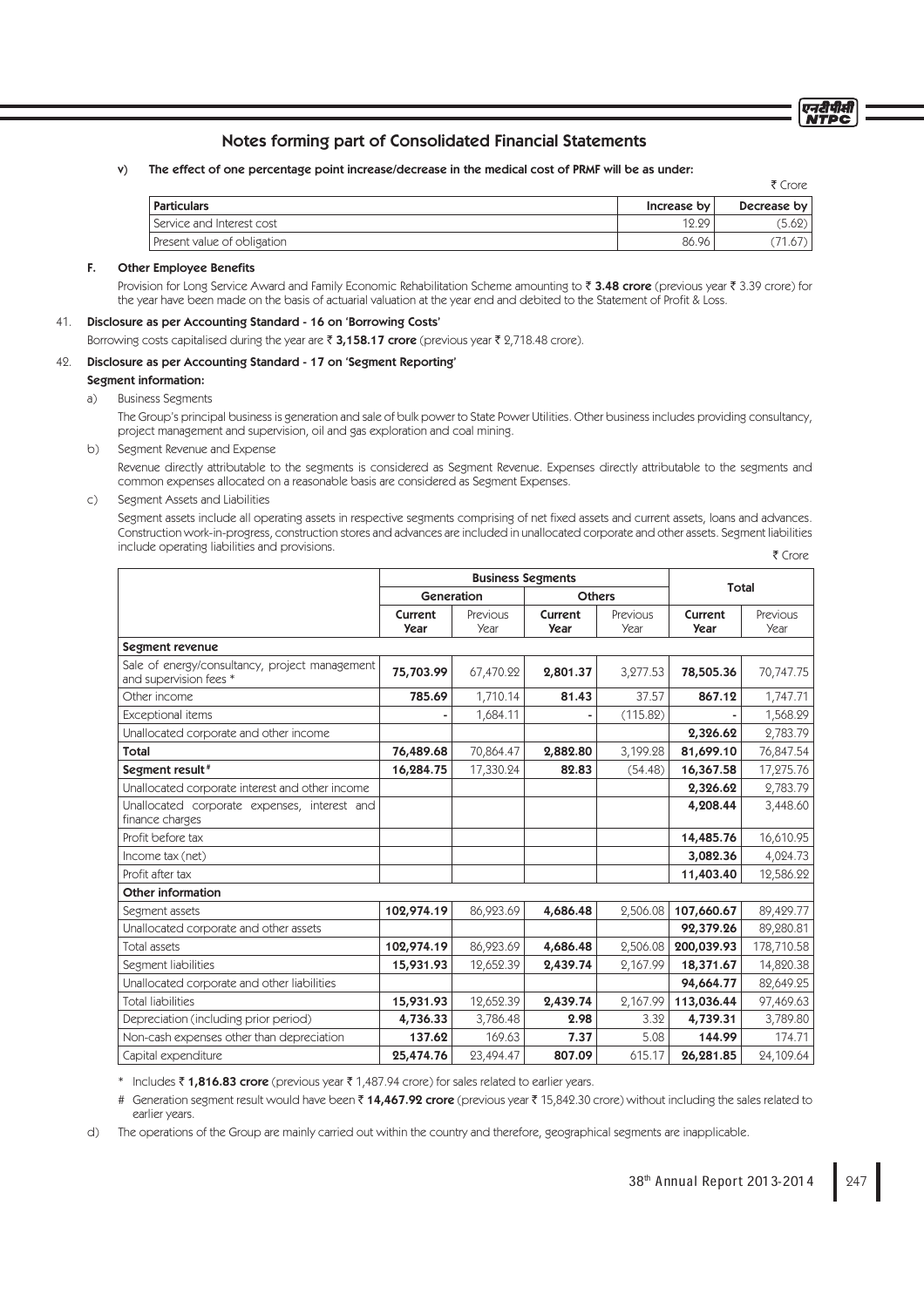# Notes forming part of Consolidated Financial Statements

v) The effect of one percentage point increase/decrease in the medical cost of PRMF will be as under:

|                             |             | ₹ Crore     |
|-----------------------------|-------------|-------------|
| <b>Particulars</b>          | Increase by | Decrease by |
| Service and Interest cost   | 12.29       | (5.62)      |
| Present value of obligation | 86.96       |             |

## F. Other Employee Benefits

Provision for Long Service Award and Family Economic Rehabilitation Scheme amounting to ₹3.48 crore (previous year ₹3.39 crore) for the year have been made on the basis of actuarial valuation at the year end and debited to the Statement of Profit & Loss.

## 41. Disclosure as per Accounting Standard - 16 on 'Borrowing Costs'

Borrowing costs capitalised during the year are  $\bar{\tau}$  3,158.17 crore (previous year  $\bar{\tau}$  2,718.48 crore).

#### 42. Disclosure as per Accounting Standard - 17 on 'Segment Reporting'

# Segment information:

a) Business Segments

 The Group's principal business is generation and sale of bulk power to State Power Utilities. Other business includes providing consultancy, project management and supervision, oil and gas exploration and coal mining.

b) Segment Revenue and Expense

 Revenue directly attributable to the segments is considered as Segment Revenue. Expenses directly attributable to the segments and common expenses allocated on a reasonable basis are considered as Segment Expenses.

c) Segment Assets and Liabilities

Segment assets include all operating assets in respective segments comprising of net fixed assets and current assets, loans and advances. Construction work-in-progress, construction stores and advances are included in unallocated corporate and other assets. Segment liabilities include operating liabilities and provisions. ₹ Crore

|                                                                          | <b>Business Segments</b> |                  |                        |                  | Total                  |                  |
|--------------------------------------------------------------------------|--------------------------|------------------|------------------------|------------------|------------------------|------------------|
|                                                                          | Generation               |                  | <b>Others</b>          |                  |                        |                  |
|                                                                          | Current<br><b>Year</b>   | Previous<br>Year | Current<br><b>Year</b> | Previous<br>Year | Current<br><b>Year</b> | Previous<br>Year |
| Segment revenue                                                          |                          |                  |                        |                  |                        |                  |
| Sale of energy/consultancy, project management<br>and supervision fees * | 75,703.99                | 67,470.22        | 2,801.37               | 3,277.53         | 78,505.36              | 70,747.75        |
| Other income                                                             | 785.69                   | 1,710.14         | 81.43                  | 37.57            | 867.12                 | 1,747.71         |
| <b>Exceptional items</b>                                                 |                          | 1,684.11         |                        | (115.82)         |                        | 1,568.29         |
| Unallocated corporate and other income                                   |                          |                  |                        |                  | 2,326.62               | 2,783.79         |
| Total                                                                    | 76,489.68                | 70,864.47        | 2,882.80               | 3,199.28         | 81,699.10              | 76,847.54        |
| Segment result <sup>#</sup>                                              | 16,284.75                | 17,330.24        | 82.83                  | (54.48)          | 16,367.58              | 17,275.76        |
| Unallocated corporate interest and other income                          |                          |                  |                        |                  | 2,326.62               | 2,783.79         |
| Unallocated corporate expenses, interest and<br>finance charges          |                          |                  |                        |                  | 4,208.44               | 3,448.60         |
| Profit before tax                                                        |                          |                  |                        |                  | 14,485.76              | 16,610.95        |
| Income tax (net)                                                         |                          |                  |                        |                  | 3,082.36               | 4,024.73         |
| Profit after tax                                                         |                          |                  |                        |                  | 11,403.40              | 12,586.22        |
| <b>Other information</b>                                                 |                          |                  |                        |                  |                        |                  |
| Segment assets                                                           | 102,974.19               | 86,923.69        | 4,686.48               | 2,506.08         | 107,660.67             | 89,429.77        |
| Unallocated corporate and other assets                                   |                          |                  |                        |                  | 92,379.26              | 89,280.81        |
| Total assets                                                             | 102,974.19               | 86,923.69        | 4,686.48               | 2,506.08         | 200,039.93             | 178,710.58       |
| Segment liabilities                                                      | 15,931.93                | 12,652.39        | 2,439.74               | 2,167.99         | 18,371.67              | 14,820.38        |
| Unallocated corporate and other liabilities                              |                          |                  |                        |                  | 94,664.77              | 82,649.25        |
| <b>Total liabilities</b>                                                 | 15,931.93                | 12,652.39        | 2,439.74               | 2,167.99         | 113,036.44             | 97,469.63        |
| Depreciation (including prior period)                                    | 4,736.33                 | 3,786.48         | 2.98                   | 3.32             | 4,739.31               | 3,789.80         |
| Non-cash expenses other than depreciation                                | 137.62                   | 169.63           | 7.37                   | 5.08             | 144.99                 | 174.71           |
| Capital expenditure                                                      | 25,474.76                | 23,494.47        | 807.09                 | 615.17           | 26,281.85              | 24,109.64        |

\* Includes  $\bar{\zeta}$  1,816.83 crore (previous year  $\bar{\zeta}$  1,487.94 crore) for sales related to earlier years.

# Generation segment result would have been ₹14,467.92 crore (previous year ₹15,842.30 crore) without including the sales related to earlier years.

d) The operations of the Group are mainly carried out within the country and therefore, geographical segments are inapplicable.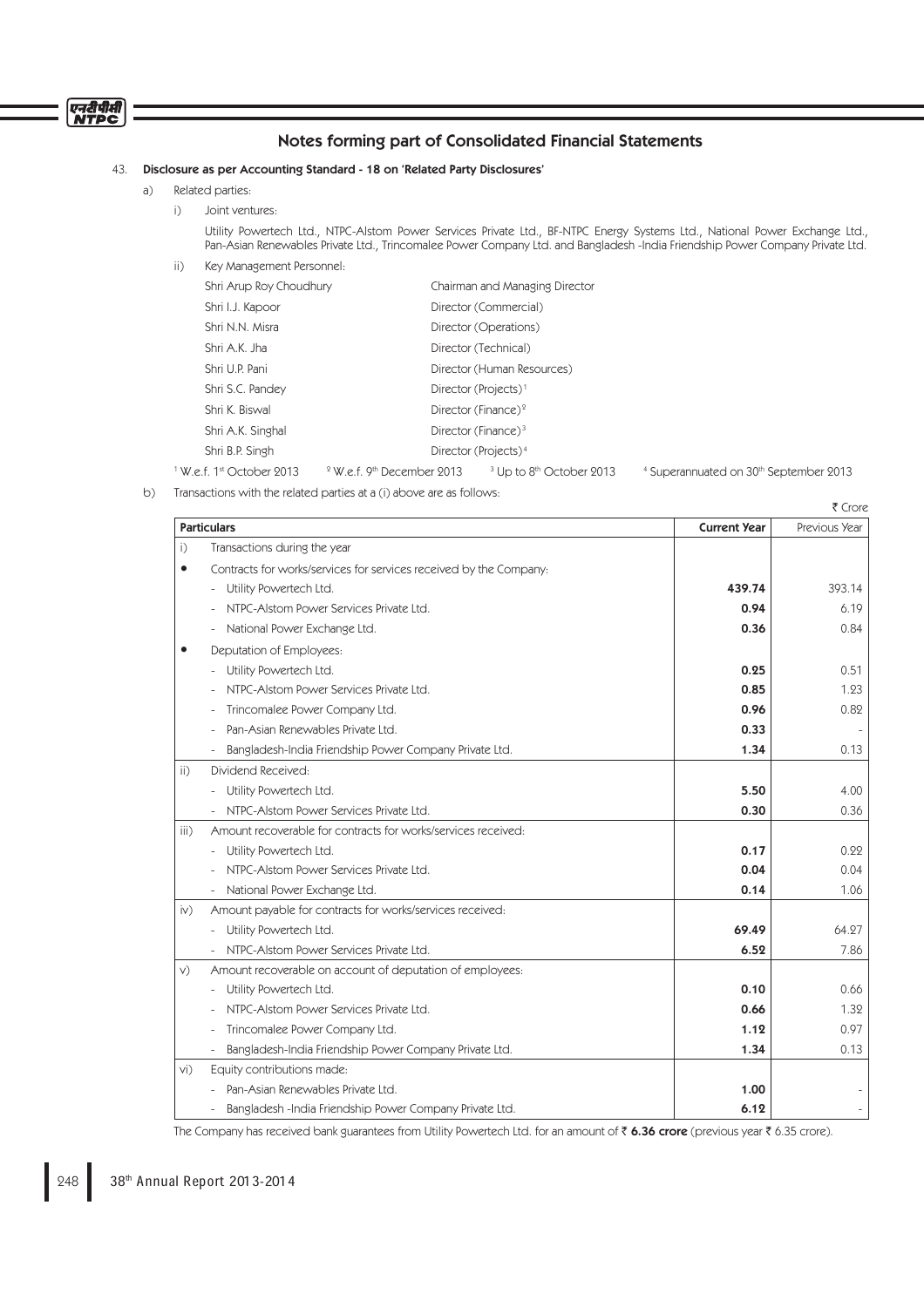# एनदीपीसी

# Notes forming part of Consolidated Financial Statements

# 43. Disclosure as per Accounting Standard - 18 on 'Related Party Disclosures'

- a) Related parties:
	- i) Joint ventures:

 Utility Powertech Ltd., NTPC-Alstom Power Services Private Ltd., BF-NTPC Energy Systems Ltd., National Power Exchange Ltd., Pan-Asian Renewables Private Ltd., Trincomalee Power Company Ltd. and Bangladesh -India Friendship Power Company Private Ltd.

ii) Key Management Personnel:

|                                                  | Shri Arup Roy Choudhury |                                  | Chairman and Managing Director      |
|--------------------------------------------------|-------------------------|----------------------------------|-------------------------------------|
| Shri I.J. Kapoor                                 |                         | Director (Commercial)            |                                     |
| Shri N.N. Misra                                  |                         | Director (Operations)            |                                     |
| Shri A.K. Jha                                    |                         | Director (Technical)             |                                     |
| Shri U.P. Pani                                   |                         | Director (Human Resources)       |                                     |
| Shri S.C. Pandey                                 |                         | Director (Projects) <sup>1</sup> |                                     |
| Shri K. Biswal                                   |                         | Director (Finance) <sup>2</sup>  |                                     |
| Shri A.K. Singhal                                |                         | Director (Finance) $3$           |                                     |
| Shri B.P. Singh                                  |                         | Director (Projects) <sup>4</sup> |                                     |
| <sup>1</sup> W.e.f. 1 <sup>st</sup> October 2013 |                         | $2$ W.e.f. 9th December 2013     | <sup>3</sup> Up to 8th October 2013 |

<sup>4</sup> Superannuated on 30<sup>th</sup> September 2013

b) Transactions with the related parties at a (i) above are as follows:

|                   | <b>Particulars</b>                                                 | <b>Current Year</b> | Previous Year     |
|-------------------|--------------------------------------------------------------------|---------------------|-------------------|
| i)                | Transactions during the year                                       |                     |                   |
| $\bullet$         | Contracts for works/services for services received by the Company: |                     |                   |
|                   | Utility Powertech Ltd.                                             | 439.74              | 393.14            |
|                   | NTPC-Alstom Power Services Private Ltd.                            | 0.94                | 6.19              |
|                   | National Power Exchange Ltd.                                       | 0.36                | 0.84              |
| $\bullet$         | Deputation of Employees:                                           |                     |                   |
|                   | Utility Powertech Ltd.                                             | 0.25                | 0.51              |
|                   | NTPC-Alstom Power Services Private Ltd.                            | 0.85                | 1.23              |
|                   | Trincomalee Power Company Ltd.                                     | 0.96                | 0.82              |
|                   | Pan-Asian Renewables Private Ltd.                                  | 0.33                |                   |
|                   | Bangladesh-India Friendship Power Company Private Ltd.             | 1.34                | 0.13              |
| $\overline{ii}$ ) | Dividend Received:                                                 |                     |                   |
|                   | Utility Powertech Ltd.                                             | 5.50                | 4.00              |
|                   | NTPC-Alstom Power Services Private Ltd.                            | 0.30                | 0.36              |
| iii)              | Amount recoverable for contracts for works/services received:      |                     |                   |
|                   | Utility Powertech Ltd.                                             | 0.17                | 0.22              |
|                   | NTPC-Alstom Power Services Private Ltd.                            | 0.04                | 0.04              |
|                   | National Power Exchange Ltd.                                       | 0.14                | 1.06              |
| iv)               | Amount payable for contracts for works/services received:          |                     |                   |
|                   | Utility Powertech Ltd.                                             | 69.49               | 64.27             |
|                   | NTPC-Alstom Power Services Private Ltd.                            | 6.52                | 7.86              |
| V)                | Amount recoverable on account of deputation of employees:          |                     |                   |
|                   | Utility Powertech Ltd.                                             | 0.10                | 0.66              |
|                   | NTPC-Alstom Power Services Private Ltd.                            | 0.66                | 1.32              |
|                   | Trincomalee Power Company Ltd.                                     | 1.12                | 0.97              |
|                   | Bangladesh-India Friendship Power Company Private Ltd.             | 1.34                | 0.13              |
| vi)               | Equity contributions made:                                         |                     |                   |
|                   | Pan-Asian Renewables Private Ltd.                                  | 1.00                |                   |
|                   | Bangladesh -India Friendship Power Company Private Ltd.            | 6.12                | $\qquad \qquad -$ |

The Company has received bank guarantees from Utility Powertech Ltd. for an amount of  $\bar{\tau}$  6.36 crore (previous year  $\bar{\tau}$  6.35 crore).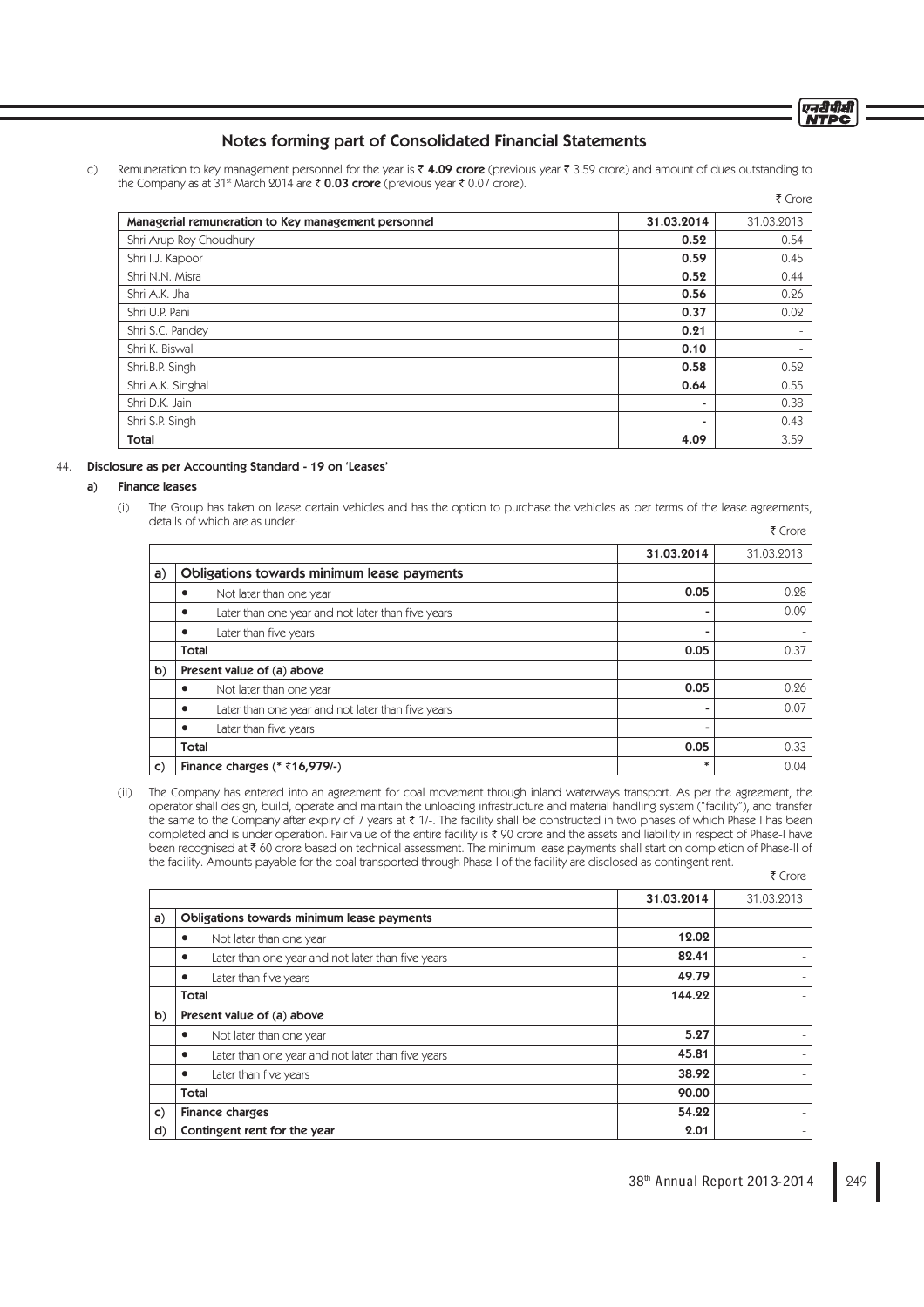# Notes forming part of Consolidated Financial Statements

c) Remuneration to key management personnel for the year is  $\bar{\zeta}$  4.09 crore (previous year  $\bar{\zeta}$  3.59 crore) and amount of dues outstanding to the Company as at 31<sup>st</sup> March 2014 are  $\bar{\zeta}$  **0.03 crore** (previous year  $\bar{\zeta}$  0.07 crore).

|                                                     |            | ₹ Crore    |
|-----------------------------------------------------|------------|------------|
| Managerial remuneration to Key management personnel | 31.03.2014 | 31.03.2013 |
| Shri Arup Roy Choudhury                             | 0.52       | 0.54       |
| Shri I.J. Kapoor                                    | 0.59       | 0.45       |
| Shri N.N. Misra                                     | 0.52       | 0.44       |
| Shri A.K. Jha                                       | 0.56       | 0.26       |
| Shri U.P. Pani                                      | 0.37       | 0.02       |
| Shri S.C. Pandey                                    | 0.21       |            |
| Shri K. Biswal                                      | 0.10       |            |
| Shri.B.P. Singh                                     | 0.58       | 0.52       |
| Shri A.K. Singhal                                   | 0.64       | 0.55       |
| Shri D.K. Jain                                      | -          | 0.38       |
| Shri S.P. Singh                                     |            | 0.43       |
| <b>Total</b>                                        | 4.09       | 3.59       |

#### 44. Disclosure as per Accounting Standard - 19 on 'Leases'

#### a) Finance leases

 (i) The Group has taken on lease certain vehicles and has the option to purchase the vehicles as per terms of the lease agreements, details of which are as under: ₹ Crore

|              |                                                   | 31.03.2014 | 31.03.2013 |
|--------------|---------------------------------------------------|------------|------------|
| a)           | Obligations towards minimum lease payments        |            |            |
|              | Not later than one year                           | 0.05       | 0.28       |
|              | Later than one year and not later than five years |            | 0.09       |
|              | Later than five years                             |            |            |
|              | <b>Total</b>                                      | 0.05       | 0.37       |
| b)           | Present value of (a) above                        |            |            |
|              | Not later than one year                           | 0.05       | 0.26       |
|              | Later than one year and not later than five years |            | 0.07       |
|              | Later than five years                             | ۰          |            |
|              | <b>Total</b>                                      | 0.05       | 0.33       |
| $\mathsf{C}$ | Finance charges ( $*$ ₹16,979/-)                  |            | 0.04       |

 (ii) The Company has entered into an agreement for coal movement through inland waterways transport. As per the agreement, the operator shall design, build, operate and maintain the unloading infrastructure and material handling system ("facility"), and transfer the same to the Company after expiry of 7 years at ₹ 1/-. The facility shall be constructed in two phases of which Phase I has been completed and is under operation. Fair value of the entire facility is ₹ 90 crore and the assets and liability in respect of Phase-I have been recognised at ₹ 60 crore based on technical assessment. The minimum lease payments shall start on completion of Phase-II of the facility. Amounts payable for the coal transported through Phase-I of the facility are disclosed as contingent rent. ₹ Crore

31.03.2014 31.03.2013 a) Obligations towards minimum lease payments • Not later than one year 12.02 • Later than one year and not later than five years **82.41 82.41**  $\bullet$  Later than five years  $\bullet$  49.79  $\blacksquare$ Total 144.22  $\blacksquare$  . Total 144.22  $\blacksquare$ b) Present value of (a) above • Not later than one year 5.27 • Later than one year and not later than five years **45.81** 45.81 • Later than five years 38.92 Total 90.00 c) Finance charges 54.22 d) Contingent rent for the year 2.01 - 2.01 - 2.01 - 2.01 - 2.01 - 2.01 - 2.01 - 2.01 - 2.01 - 2.01 - 2.01 - 2.01 - 2.01 - 2.01 - 2.01 - 2.01 - 2.01 - 2.01 - 2.01 - 2.01 - 2.01 - 2.01 - 2.01 - 2.01 - 2.01 - 2.01 - 2.01 - 2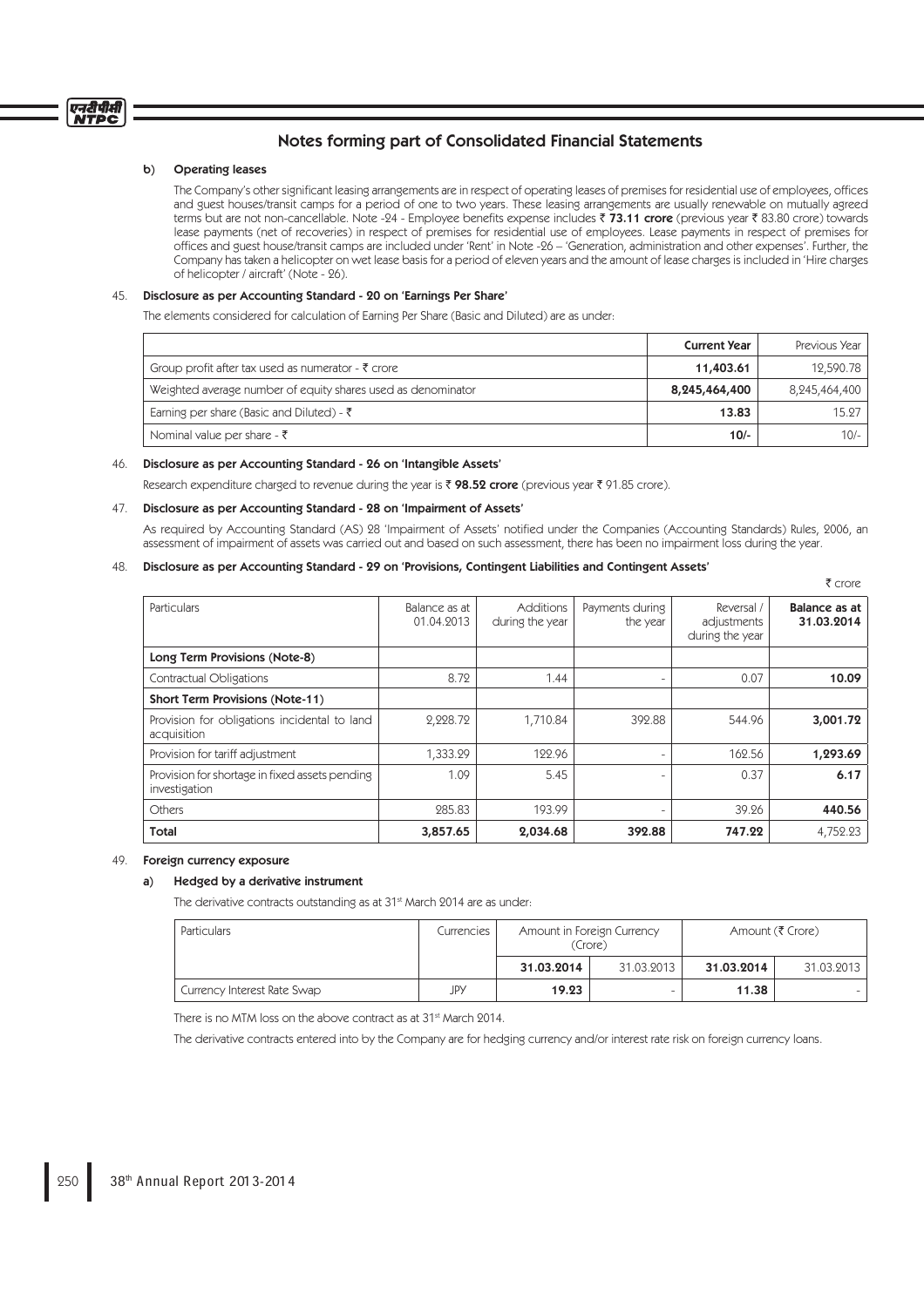# Notes forming part of Consolidated Financial Statements

## b) Operating leases

The Company's other significant leasing arrangements are in respect of operating leases of premises for residential use of employees, offices and guest houses/transit camps for a period of one to two years. These leasing arrangements are usually renewable on mutually agreed terms but are not non-cancellable. Note -24 - Employee benefits expense includes ₹ 73.11 crore (previous year ₹ 83.80 crore) towards lease payments (net of recoveries) in respect of premises for residential use of employees. Lease payments in respect of premises for offices and guest house/transit camps are included under 'Rent' in Note -26 – 'Generation, administration and other expenses'. Further, the Company has taken a helicopter on wet lease basis for a period of eleven years and the amount of lease charges is included in 'Hire charges of helicopter / aircraft' (Note - 26).

# 45. Disclosure as per Accounting Standard - 20 on 'Earnings Per Share'

The elements considered for calculation of Earning Per Share (Basic and Diluted) are as under:

|                                                               | <b>Current Year</b> | Previous Year |
|---------------------------------------------------------------|---------------------|---------------|
| Group profit after tax used as numerator - $\bar{\tau}$ crore | 11,403.61           | 12,590.78     |
| Weighted average number of equity shares used as denominator  | 8,245,464,400       | 8,245,464,400 |
| Earning per share (Basic and Diluted) - ₹                     | 13.83               | 15.27         |
| Nominal value per share - $\bar{\tau}$                        | $10/-$              | $10/-$        |

#### 46. Disclosure as per Accounting Standard - 26 on 'Intangible Assets'

Research expenditure charged to revenue during the year is  $\bar{\tau}$  98.52 crore (previous year  $\bar{\tau}$  91.85 crore).

## 47. Disclosure as per Accounting Standard - 28 on 'Impairment of Assets'

As required by Accounting Standard (AS) 28 'Impairment of Assets' notified under the Companies (Accounting Standards) Rules, 2006, an assessment of impairment of assets was carried out and based on such assessment, there has been no impairment loss during the year.

₹ crore

# 48. Disclosure as per Accounting Standard - 29 on 'Provisions, Contingent Liabilities and Contingent Assets'

| <b>Particulars</b>                                              | Balance as at<br>01.04.2013 | <b>Additions</b><br>during the year | Payments during<br>the year | Reversal /<br>adjustments<br>during the year | Balance as at<br>31.03.2014 |
|-----------------------------------------------------------------|-----------------------------|-------------------------------------|-----------------------------|----------------------------------------------|-----------------------------|
| Long Term Provisions (Note-8)                                   |                             |                                     |                             |                                              |                             |
| Contractual Obligations                                         | 8.72                        | 1.44                                | -                           | 0.07                                         | 10.09                       |
| <b>Short Term Provisions (Note-11)</b>                          |                             |                                     |                             |                                              |                             |
| Provision for obligations incidental to land<br>acquisition     | 2,228.72                    | 1,710.84                            | 392.88                      | 544.96                                       | 3,001.72                    |
| Provision for tariff adjustment                                 | 1,333.29                    | 122.96                              |                             | 162.56                                       | 1,293.69                    |
| Provision for shortage in fixed assets pending<br>investigation | 1.09                        | 5.45                                |                             | 0.37                                         | 6.17                        |
| Others                                                          | 285.83                      | 193.99                              |                             | 39.26                                        | 440.56                      |
| <b>Total</b>                                                    | 3,857.65                    | 2,034.68                            | 392.88                      | 747.22                                       | 4,752.23                    |

## 49. Foreign currency exposure

### a) Hedged by a derivative instrument

The derivative contracts outstanding as at 31<sup>st</sup> March 2014 are as under:

| <b>Particulars</b>          | Currencies | Amount in Foreign Currency<br>(Crore) |            |            | Amount (₹ Crore) |
|-----------------------------|------------|---------------------------------------|------------|------------|------------------|
|                             |            | 31.03.2014                            | 31.03.2013 | 31.03.2014 | 31.03.2013       |
| Currency Interest Rate Swap | JPY        | 19.23                                 |            | 11.38      |                  |

There is no MTM loss on the above contract as at 31<sup>st</sup> March 2014.

The derivative contracts entered into by the Company are for hedging currency and/or interest rate risk on foreign currency loans.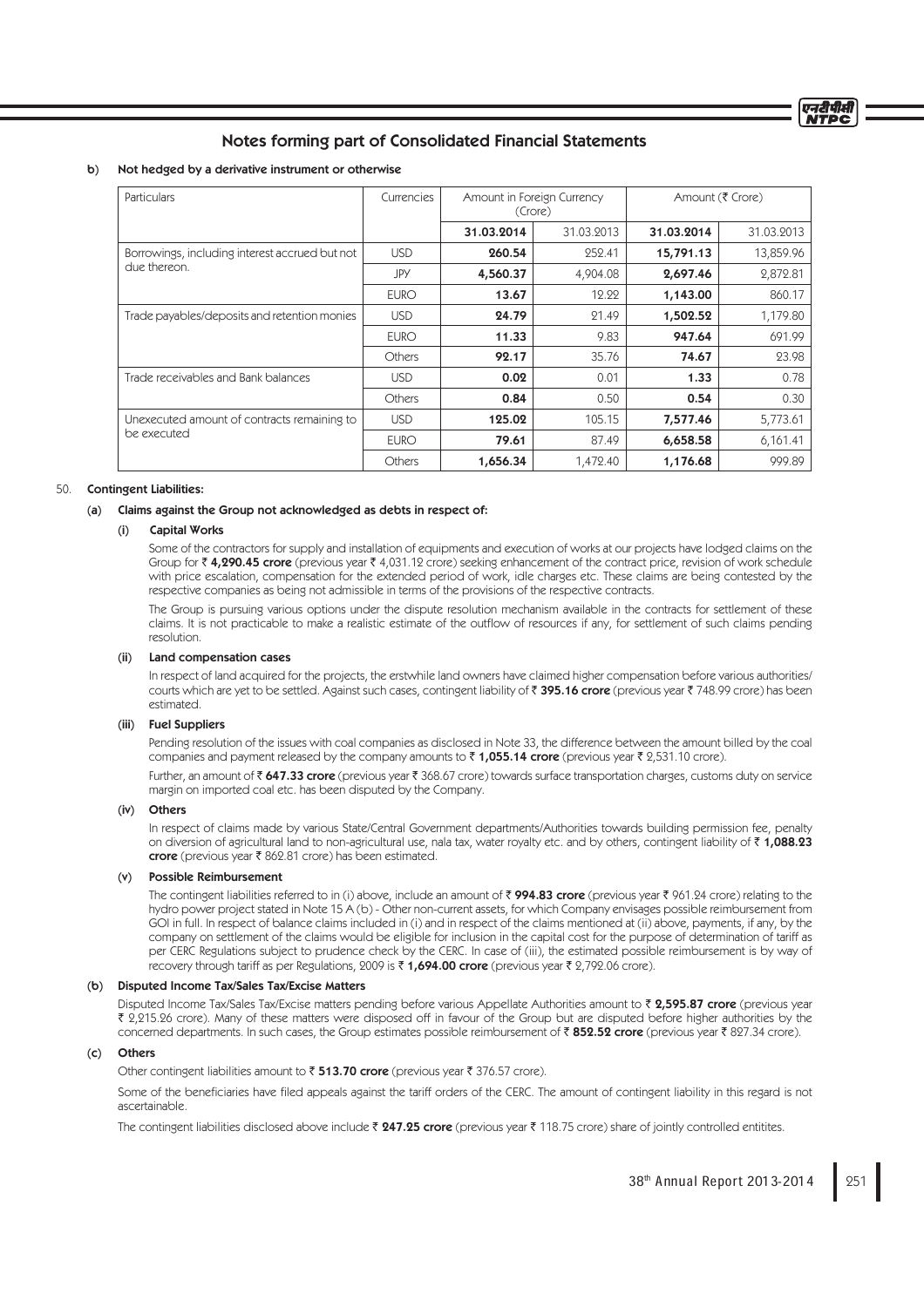# Notes forming part of Consolidated Financial Statements

### b) Not hedged by a derivative instrument or otherwise

| <b>Particulars</b>                             | Currencies  | Amount in Foreign Currency<br>(Crore) |            | Amount (₹ Crore) |            |
|------------------------------------------------|-------------|---------------------------------------|------------|------------------|------------|
|                                                |             | 31.03.2014                            | 31.03.2013 | 31.03.2014       | 31.03.2013 |
| Borrowings, including interest accrued but not | <b>USD</b>  | 260.54                                | 252.41     | 15,791.13        | 13,859.96  |
| due thereon.                                   | JPY         | 4,560.37                              | 4,904.08   | 2,697.46         | 2,872.81   |
|                                                | <b>EURO</b> | 13.67                                 | 12.22      | 1,143.00         | 860.17     |
| Trade payables/deposits and retention monies   | <b>USD</b>  | 24.79                                 | 21.49      | 1,502.52         | 1,179.80   |
|                                                | <b>EURO</b> | 11.33                                 | 9.83       | 947.64           | 691.99     |
|                                                | Others      | 92.17                                 | 35.76      | 74.67            | 23.98      |
| Trade receivables and Bank balances            | <b>USD</b>  | 0.02                                  | 0.01       | 1.33             | 0.78       |
|                                                | Others      | 0.84                                  | 0.50       | 0.54             | 0.30       |
| Unexecuted amount of contracts remaining to    | <b>USD</b>  | 125.02                                | 105.15     | 7,577.46         | 5,773.61   |
| be executed                                    | <b>EURO</b> | 79.61                                 | 87.49      | 6,658.58         | 6,161.41   |
|                                                | Others      | 1,656.34                              | 1,472.40   | 1,176.68         | 999.89     |

### 50. Contingent Liabilities:

#### (a) Claims against the Group not acknowledged as debts in respect of:

## Capital Works

 Some of the contractors for supply and installation of equipments and execution of works at our projects have lodged claims on the Group for  $\bar{\tau}$  4,290.45 crore (previous year  $\bar{\tau}$  4,031.12 crore) seeking enhancement of the contract price, revision of work schedule with price escalation, compensation for the extended period of work, idle charges etc. These claims are being contested by the respective companies as being not admissible in terms of the provisions of the respective contracts.

 The Group is pursuing various options under the dispute resolution mechanism available in the contracts for settlement of these claims. It is not practicable to make a realistic estimate of the outflow of resources if any, for settlement of such claims pending resolution.

#### Land compensation cases

 In respect of land acquired for the projects, the erstwhile land owners have claimed higher compensation before various authorities/ courts which are yet to be settled. Against such cases, contingent liability of ₹ 395.16 crore (previous year ₹ 748.99 crore) has been estimated.

#### (iii) Fuel Suppliers

 Pending resolution of the issues with coal companies as disclosed in Note 33, the difference between the amount billed by the coal companies and payment released by the company amounts to  $\bar{\tau}$  1,055.14 crore (previous year  $\bar{\tau}$  2,531.10 crore).

Further, an amount of  $\bar{\tau}$  647.33 crore (previous year  $\bar{\tau}$  368.67 crore) towards surface transportation charges, customs duty on service margin on imported coal etc. has been disputed by the Company.

#### (iv) Others

 In respect of claims made by various State/Central Government departments/Authorities towards building permission fee, penalty on diversion of agricultural land to non-agricultural use, nala tax, water royalty etc. and by others, contingent liability of ₹1,088.23 crore (previous year  $\bar{\tau}$  862.81 crore) has been estimated.

#### (v) Possible Reimbursement

The contingent liabilities referred to in (i) above, include an amount of  $\bar{z}$  994.83 crore (previous year  $\bar{z}$  961.24 crore) relating to the hydro power project stated in Note 15 A (b) - Other non-current assets, for which Company envisages possible reimbursement from GOI in full. In respect of balance claims included in (i) and in respect of the claims mentioned at (ii) above, payments, if any, by the company on settlement of the claims would be eligible for inclusion in the capital cost for the purpose of determination of tariff as per CERC Regulations subject to prudence check by the CERC. In case of (iii), the estimated possible reimbursement is by way of recovery through tariff as per Regulations, 2009 is  $\bar{\tau}$  1,694.00 crore (previous year  $\bar{\tau}$  2,792.06 crore).

#### (b) Disputed Income Tax/Sales Tax/Excise Matters

Disputed Income Tax/Sales Tax/Excise matters pending before various Appellate Authorities amount to  $\bar{\tau}$  2,595.87 crore (previous year ` 2,215.26 crore). Many of these matters were disposed off in favour of the Group but are disputed before higher authorities by the concerned departments. In such cases, the Group estimates possible reimbursement of  $\bar{\tau}$  852.52 crore (previous year  $\bar{\tau}$  827.34 crore).

#### (c) Others

Other contingent liabilities amount to  $\bar{\tau}$  513.70 crore (previous year  $\bar{\tau}$  376.57 crore).

Some of the beneficiaries have filed appeals against the tariff orders of the CERC. The amount of contingent liability in this regard is not ascertainable.

The contingent liabilities disclosed above include  $\bar{x}$  247.25 crore (previous year  $\bar{x}$  118.75 crore) share of jointly controlled entitites.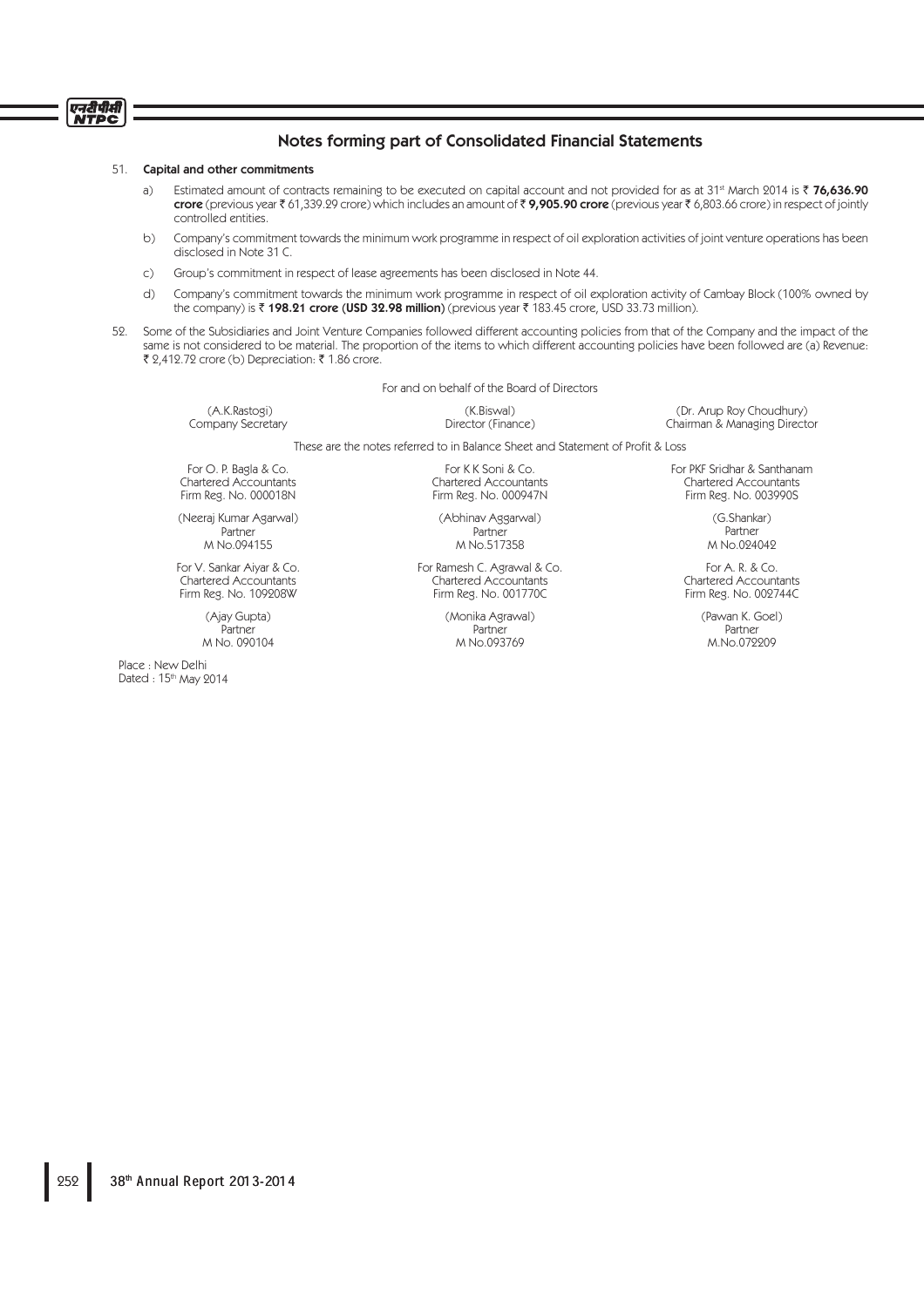#### 51. Capital and other commitments

एनरीपीसी<br>NTPC

- a) Estimated amount of contracts remaining to be executed on capital account and not provided for as at 31<sup>st</sup> March 2014 is  $\bar{\tau}$  76,636.90 crore (previous year  $\bar{\tau}$  61,339.29 crore) which includes an amount of  $\bar{\tau}$  9,905.90 crore (previous year  $\bar{\tau}$  6,803.66 crore) in respect of jointly controlled entities.
- b) Company's commitment towards the minimum work programme in respect of oil exploration activities of joint venture operations has been disclosed in Note 31 C.
- c) Group's commitment in respect of lease agreements has been disclosed in Note 44.
- d) Company's commitment towards the minimum work programme in respect of oil exploration activity of Cambay Block (100% owned by the company) is  $\bar{\tau}$  198.21 crore (USD 32.98 million) (previous year  $\bar{\tau}$  183.45 crore, USD 33.73 million).
- 52. Some of the Subsidiaries and Joint Venture Companies followed different accounting policies from that of the Company and the impact of the same is not considered to be material. The proportion of the items to which different accounting policies have been followed are (a) Revenue: ₹ 2,412.72 crore (b) Depreciation: ₹ 1.86 crore.

For and on behalf of the Board of Directors

(A.K.Rastogi) Company Secretary

(K.Biswal) Director (Finance)

(Dr. Arup Roy Choudhury) Chairman & Managing Director

These are the notes referred to in Balance Sheet and Statement of Profit & Loss

For O. P. Bagla & Co. Chartered Accountants Firm Reg. No. 000018N

(Neeraj Kumar Agarwal) Partner M No.094155

For V. Sankar Aiyar & Co. Chartered Accountants Firm Reg. No. 109208W

> (Ajay Gupta) Partner M No. 090104

Place : New Delhi Dated : 15<sup>th</sup> May 2014

For K K Soni & Co. Chartered Accountants Firm Reg. No. 000947N

(Abhinav Aggarwal) Partner M No.517358

For Ramesh C. Agrawal & Co. Chartered Accountants Firm Reg. No. 001770C

> (Monika Agrawal) Partner M No.093769

For PKF Sridhar & Santhanam Chartered Accountants Firm Reg. No. 003990S

> (G.Shankar) Partner M No.024042

For A. R. & Co. Chartered Accountants Firm Reg. No. 002744C

> (Pawan K. Goel) Partner M.No.072209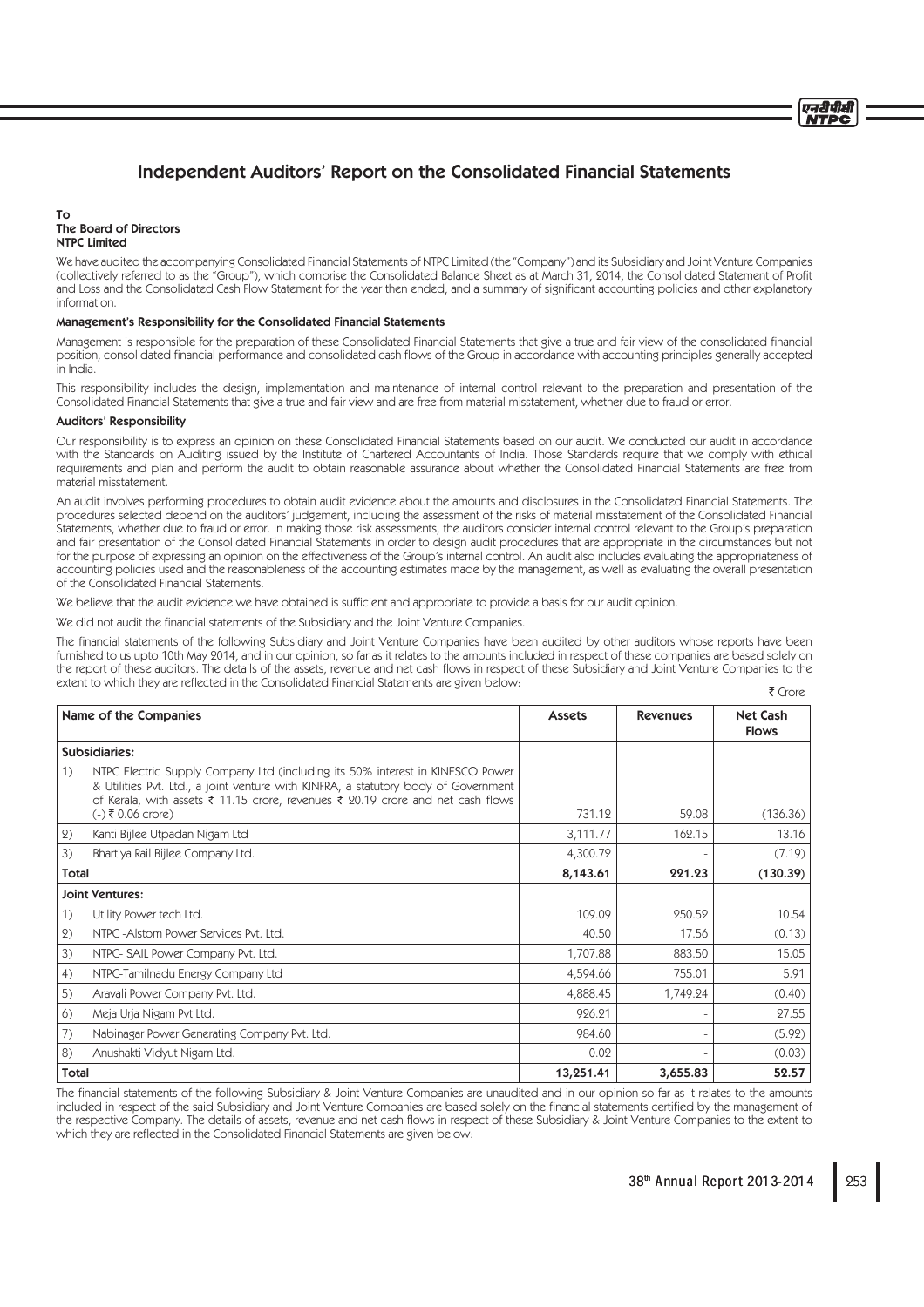# Independent Auditors' Report on the Consolidated Financial Statements

#### To The Board of Directors NTPC Limited

We have audited the accompanying Consolidated Financial Statements of NTPC Limited (the "Company") and its Subsidiary and Joint Venture Companies (collectively referred to as the "Group"), which comprise the Consolidated Balance Sheet as at March 31, 2014, the Consolidated Statement of Profi t denotes and the Consolidated Cash Flow Statement for the year then ended, and a summary of significant accounting policies and other explanatory information.

#### Management's Responsibility for the Consolidated Financial Statements

Management is responsible for the preparation of these Consolidated Financial Statements that give a true and fair view of the consolidated financial position, consolidated financial performance and consolidated cash flows of the Group in accordance with accounting principles generally accepted in India.

This responsibility includes the design, implementation and maintenance of internal control relevant to the preparation and presentation of the Consolidated Financial Statements that give a true and fair view and are free from material misstatement, whether due to fraud or error.

### Auditors' Responsibility

Our responsibility is to express an opinion on these Consolidated Financial Statements based on our audit. We conducted our audit in accordance with the Standards on Auditing issued by the Institute of Chartered Accountants of India. Those Standards require that we comply with ethical requirements and plan and perform the audit to obtain reasonable assurance about whether the Consolidated Financial Statements are free from material misstatement.

An audit involves performing procedures to obtain audit evidence about the amounts and disclosures in the Consolidated Financial Statements. The procedures selected depend on the auditors' judgement, including the assessment of the risks of material misstatement of the Consolidated Financial Statements, whether due to fraud or error. In making those risk assessments, the auditors consider internal control relevant to the Group's preparation and fair presentation of the Consolidated Financial Statements in order to design audit procedures that are appropriate in the circumstances but not for the purpose of expressing an opinion on the effectiveness of the Group's internal control. An audit also includes evaluating the appropriateness of accounting policies used and the reasonableness of the accounting estimates made by the management, as well as evaluating the overall presentation of the Consolidated Financial Statements.

We believe that the audit evidence we have obtained is sufficient and appropriate to provide a basis for our audit opinion.

We did not audit the financial statements of the Subsidiary and the Joint Venture Companies.

The financial statements of the following Subsidiary and Joint Venture Companies have been audited by other auditors whose reports have been furnished to us upto 10th May 2014, and in our opinion, so far as it relates to the amounts included in respect of these companies are based solely on the report of these auditors. The details of the assets, revenue and net cash flows in respect of these Subsidiary and Joint Venture Companies to the extent to which they are reflected in the Consolidated Financial Statements are given below:  $F$  Crore

|              | Name of the Companies                                                                                                                                                                                                                                                         |           | <b>Revenues</b> | <b>Net Cash</b><br><b>Flows</b> |
|--------------|-------------------------------------------------------------------------------------------------------------------------------------------------------------------------------------------------------------------------------------------------------------------------------|-----------|-----------------|---------------------------------|
|              | Subsidiaries:                                                                                                                                                                                                                                                                 |           |                 |                                 |
| 1)           | NTPC Electric Supply Company Ltd (including its 50% interest in KINESCO Power<br>& Utilities Pvt. Ltd., a joint venture with KINFRA, a statutory body of Government<br>of Kerala, with assets ₹ 11.15 crore, revenues ₹ 20.19 crore and net cash flows<br>$(-)$ ₹ 0.06 crore) | 731.12    | 59.08           | (136.36)                        |
| (2)          | Kanti Bijlee Utpadan Nigam Ltd                                                                                                                                                                                                                                                | 3,111.77  | 162.15          | 13.16                           |
| 3)           | Bhartiya Rail Bijlee Company Ltd.                                                                                                                                                                                                                                             | 4,300.72  |                 | (7.19)                          |
| Total        |                                                                                                                                                                                                                                                                               | 8,143.61  | 221.23          | (130.39)                        |
|              | <b>Joint Ventures:</b>                                                                                                                                                                                                                                                        |           |                 |                                 |
| 1)           | Utility Power tech Ltd.                                                                                                                                                                                                                                                       | 109.09    | 250.52          | 10.54                           |
| (2)          | NTPC - Alstom Power Services Pvt. Ltd.                                                                                                                                                                                                                                        | 40.50     | 17.56           | (0.13)                          |
| 3)           | NTPC- SAIL Power Company Pvt. Ltd.                                                                                                                                                                                                                                            | 1,707.88  | 883.50          | 15.05                           |
| 4)           | NTPC-Tamilnadu Energy Company Ltd                                                                                                                                                                                                                                             | 4,594.66  | 755.01          | 5.91                            |
| 5)           | Aravali Power Company Pvt. Ltd.                                                                                                                                                                                                                                               | 4,888.45  | 1,749.24        | (0.40)                          |
| 6)           | Meja Urja Nigam Pvt Ltd.                                                                                                                                                                                                                                                      | 926.21    |                 | 27.55                           |
| 7)           | Nabinagar Power Generating Company Pvt. Ltd.                                                                                                                                                                                                                                  | 984.60    |                 | (5.92)                          |
| 8)           | Anushakti Vidyut Nigam Ltd.                                                                                                                                                                                                                                                   | 0.02      |                 | (0.03)                          |
| <b>Total</b> |                                                                                                                                                                                                                                                                               | 13,251.41 | 3,655.83        | 52.57                           |

The financial statements of the following Subsidiary & Joint Venture Companies are unaudited and in our opinion so far as it relates to the amounts included in respect of the said Subsidiary and Joint Venture Companies are based solely on the financial statements certified by the management of the respective Company. The details of assets, revenue and net cash flows in respect of these Subsidiary & Joint Venture Companies to the extent to which they are reflected in the Consolidated Financial Statements are given below:

एनटीपीसी NTDC